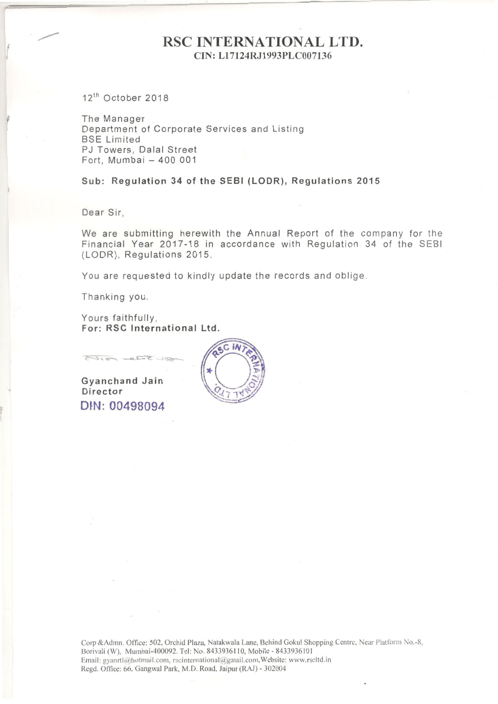# RSC INTERNATIONAL LTD. CIN: Ll7124RJ1993PLC007136

 $12<sup>th</sup>$  October 2018

The Manager Department of Corporate Services and Listing **BSE** Limited PJ Towers, Dalal Street Fort, Mumbai - 400 001

Sub: Regulation 34 of the SEBI (LODR), Regulations 2015

Dear Sir,

We are submitting herewith the Annual Report of the company for the Financial Year 2017-18 in accordance with Regulation 34 of the SESI (LODR), Regulations 2015.

You are requested to kindly update the records and oblige.

Thanking you.

Yours faithfully, For: RSC International Ltd.

Gyanchand Jain Director DIN: 00498094

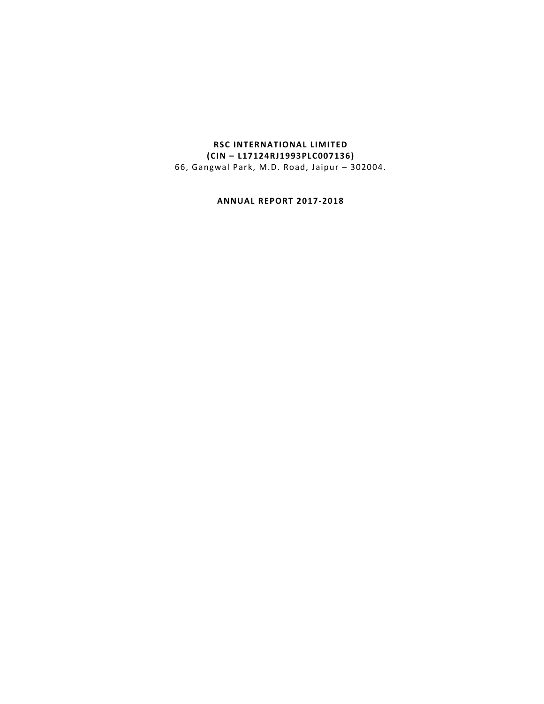# **RSC INTERNATIONAL LIMITED (CIN – L17124RJ1993PLC007136)** 66, Gangwal Park, M.D. Road, Jaipur – 302004.

**ANNUAL REPORT 2017‐2018**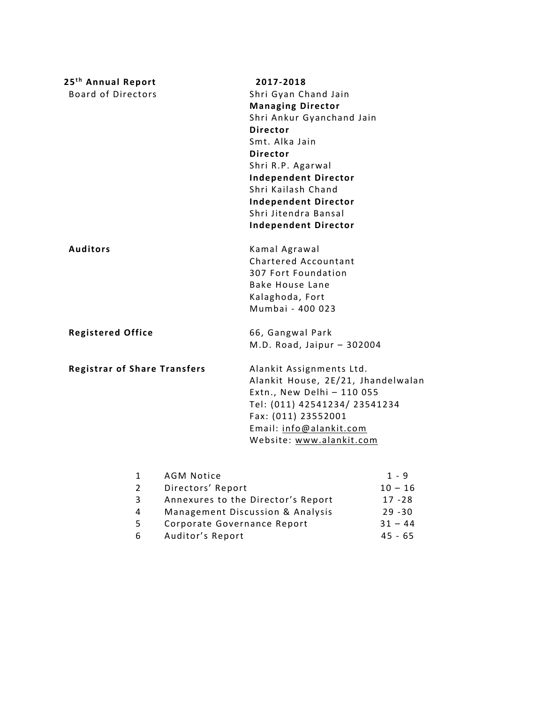| 25 <sup>th</sup> Annual Report      |                   | 2017-2018                                    |           |
|-------------------------------------|-------------------|----------------------------------------------|-----------|
| <b>Board of Directors</b>           |                   | Shri Gyan Chand Jain                         |           |
|                                     |                   | <b>Managing Director</b>                     |           |
|                                     |                   | Shri Ankur Gyanchand Jain<br><b>Director</b> |           |
|                                     |                   | Smt. Alka Jain                               |           |
|                                     |                   | <b>Director</b>                              |           |
|                                     |                   | Shri R.P. Agarwal                            |           |
|                                     |                   | <b>Independent Director</b>                  |           |
|                                     |                   | Shri Kailash Chand                           |           |
|                                     |                   | <b>Independent Director</b>                  |           |
|                                     |                   | Shri Jitendra Bansal                         |           |
|                                     |                   | <b>Independent Director</b>                  |           |
| <b>Auditors</b>                     |                   | Kamal Agrawal                                |           |
|                                     |                   | Chartered Accountant                         |           |
|                                     |                   | 307 Fort Foundation                          |           |
|                                     |                   | <b>Bake House Lane</b>                       |           |
|                                     |                   | Kalaghoda, Fort                              |           |
|                                     |                   | Mumbai - 400 023                             |           |
| <b>Registered Office</b>            |                   | 66, Gangwal Park                             |           |
|                                     |                   | M.D. Road, Jaipur - 302004                   |           |
| <b>Registrar of Share Transfers</b> |                   | Alankit Assignments Ltd.                     |           |
|                                     |                   | Alankit House, 2E/21, Jhandelwalan           |           |
|                                     |                   | Extn., New Delhi - 110 055                   |           |
|                                     |                   | Tel: (011) 42541234/ 23541234                |           |
|                                     |                   | Fax: (011) 23552001                          |           |
|                                     |                   | Email: info@alankit.com                      |           |
|                                     |                   | Website: www.alankit.com                     |           |
| $\mathbf{1}$                        | <b>AGM Notice</b> |                                              | $1 - 9$   |
| $\overline{2}$                      | Directors' Report |                                              | $10 - 16$ |
| 3                                   |                   | Annexures to the Director's Report           | $17 - 28$ |
| 4                                   |                   | Management Discussion & Analysis             | $29 - 30$ |

4 Management Discussion & Analysis 29 - 30<br>5 Corporate Governance Report 31 - 44

6 Auditor's Report

Corporate Governance Report 31 - 44<br>Auditor's Report 45 - 65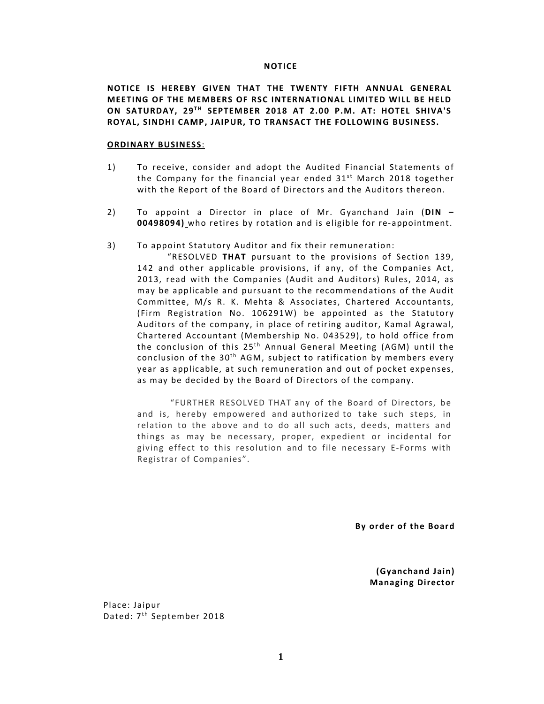#### **NOTICE**

**NOTICE IS HEREBY GIVEN THAT THE TWENTY FIFTH ANNUAL GENERAL MEETING OF THE MEMBERS OF RSC INTERNATIONAL LIMITED WILL BE HELD ON SATURDAY, 29T H SEPTEMBER 2018 AT 2.00 P.M. AT: HOTEL SHIVA'S ROYAL, SINDHI CAMP, JAIPUR, TO TRANSACT THE FOLLOWING BUSINESS.**

#### **ORDINARY BUSINESS**:

- 1) To receive, consider and adopt the Audited Financial Statements of the Company for the financial year ended  $31<sup>st</sup>$  March 2018 together with the Report of the Board of Directors and the Auditors thereon.
- 2) To appoint a Director in place of Mr. Gyanchand Jain (DIN -**00498094)** who retires by rotation and is eligible for re‐appointment.
- 3) To appoint Statutory Auditor and fix their remuneration:

"RESOLVED THAT pursuant to the provisions of Section 139, 142 and other applicable provisions, if any, of the Companies Act, 2013, read with the Companies (Audit and Auditors) Rules, 2014, as may be applicable and pursuant to the recommendations of the Audit Committee, M/s R. K. Mehta & Associates, Chartered Accountants, (Firm Registration No. 106291W) be appointed as the Statutory Auditors of the company, in place of retiring auditor, Kamal Agrawal, Chartered Accountant (Membership No. 043529), to hold office from the conclusion of this  $25<sup>th</sup>$  Annual General Meeting (AGM) until the conclusion of the  $30<sup>th</sup>$  AGM, subject to ratification by members every year as applicable, at such remuneration and out of pocket expenses, as may be decided by the Board of Directors of the company.

"FURTHER RESOLVED THAT any of the Board of Directors, be and is, hereby empowered and authorized to take such steps, in relation to the above and to do all such acts, deeds, matters and things as may be necessary, proper, expedient or incidental for giving effect to this resolution and to file necessary E‐Forms with Registrar of Companies".

By order of the Board

 **(Gyanchand Jain) Managing Director**

Place: Jaipur Dated: 7<sup>th</sup> September 2018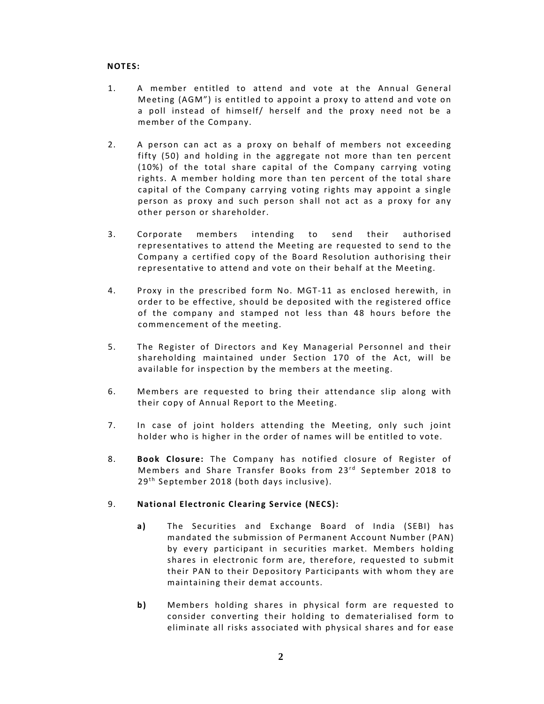# **NOTES:**

- 1. A member entitled to attend and vote at the Annual General Meeting (AGM") is entitled to appoint a proxy to attend and vote on a poll instead of himself/ herself and the proxy need not be a member of the Company.
- 2. A person can act as a proxy on behalf of members not exceeding fifty (50) and holding in the aggregate not more than ten percent  $(10%)$  of the total share capital of the Company carrying voting rights. A member holding more than ten percent of the total share capital of the Company carrying voting rights may appoint a single person as proxy and such person shall not act as a proxy for any other person or shareholder.
- 3. Corporate members intending to send their authorised representatives to attend the Meeting are requested to send to the Company a certified copy of the Board Resolution authorising their representative to attend and vote on their behalf at the Meeting.
- 4. Proxy in the prescribed form No. MGT‐11 as enclosed herewith, in order to be effective, should be deposited with the registered office of the company and stamped not less than 48 hours before the commencement of the meeting.
- 5. The Register of Directors and Key Managerial Personnel and their shareholding maintained under Section 170 of the Act, will be available for inspection by the members at the meeting.
- 6. Members are requested to bring their attendance slip along with their copy of Annual Report to the Meeting.
- 7. In case of joint holders attending the Meeting, only such joint holder who is higher in the order of names will be entitled to vote.
- 8. **Book Closure:** The Company has notified closure of Register of Members and Share Transfer Books from 23<sup>rd</sup> September 2018 to  $29<sup>th</sup>$  September 2018 (both days inclusive).

# 9. **National Electronic Clearing Service (NECS):**

- a) The Securities and Exchange Board of India (SEBI) has mandated the submission of Permanent Account Number (PAN) by every participant in securities market. Members holding shares in electronic form are, therefore, requested to submit their PAN to their Depository Participants with whom they are maintaining their demat accounts.
- **b**) Members holding shares in physical form are requested to consider converting their holding to dematerialised form to eliminate all risks associated with physical shares and for ease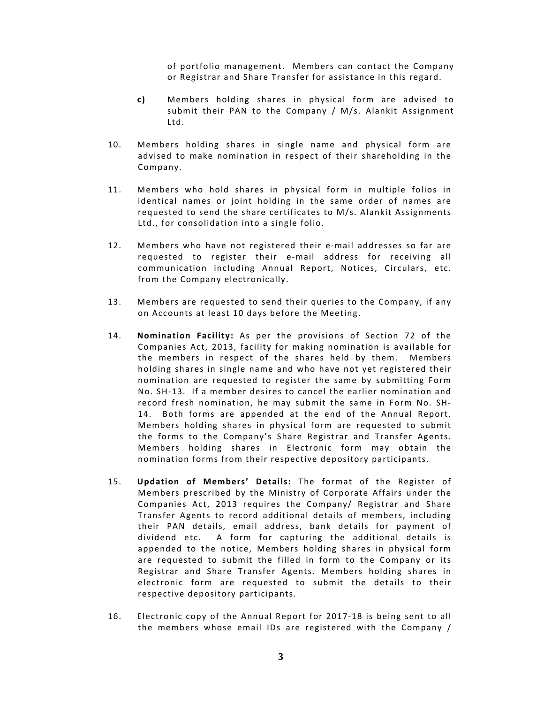of portfolio management. Members can contact the Company or Registrar and Share Transfer for assistance in this regard.

- **c )** Members holding shares in physical form are advised to submit their PAN to the Company / M/s. Alankit Assignment Ltd.
- 10. Members holding shares in single name and physical form are advised to make nomination in respect of their shareholding in the Company.
- 11. Members who hold shares in physical form in multiple folios in identical names or joint holding in the same order of names are requested to send the share certificates to M/s. Alankit Assignments Ltd., for consolidation into a single folio.
- 12. Members who have not registered their e-mail addresses so far are requested to register their e‐mail address for receiving all communication including Annual Report, Notices, Circulars, etc. from the Company electronically.
- 13. Members are requested to send their queries to the Company, if any on Accounts at least 10 days before the Meeting.
- 14. **Nomination Facility:** As per the provisions of Section 72 of the Companies Act, 2013, facility for making nomination is available for the members in respect of the shares held by them. Members holding shares in single name and who have not yet registered their nomination are requested to register the same by submitting Form No. SH-13. If a member desires to cancel the earlier nomination and record fresh nomination, he may submit the same in Form No. SH‐ 14. Both forms are appended at the end of the Annual Report. Members holding shares in physical form are requested to submit the forms to the Company's Share Registrar and Transfer Agents. Members holding shares in Electronic form may obtain the nomination forms from their respective depository participants.
- 15. **Updation of Members' Details:** The format of the Register of Members prescribed by the Ministry of Corporate Affairs under the Companies Act, 2013 requires the Company/ Registrar and Share Transfer Agents to record additional details of members, including their PAN details, email address, bank details for payment of dividend etc. A form for capturing the additional details is appended to the notice, Members holding shares in physical form are requested to submit the filled in form to the Company or its Registrar and Share Transfer Agents. Members holding shares in electronic form are requested to submit the details to their respective depository participants.
- 16. Electronic copy of the Annual Report for 2017-18 is being sent to all the members whose email IDs are registered with the Company /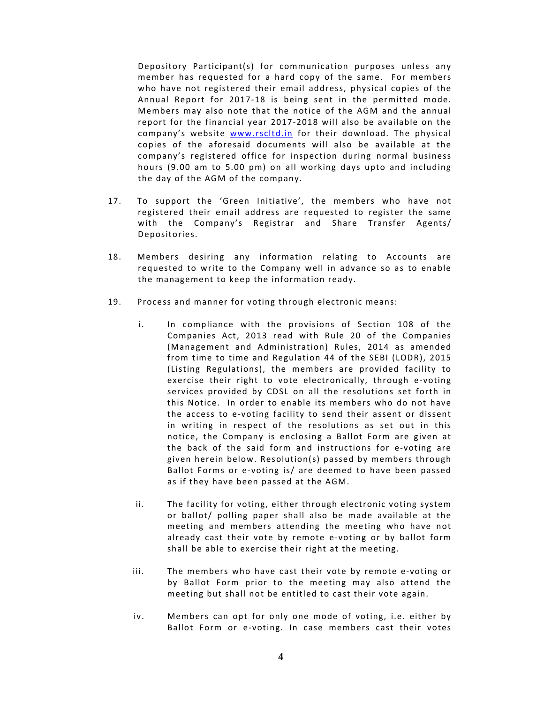Depository Participant(s) for communication purposes unless any member has requested for a hard copy of the same. For members who have not registered their email address, physical copies of the Annual Report for 2017‐18 is being sent in the permitted mode. Members may also note that the notice of the AGM and the annual report for the financial year 2017‐2018 will also be available on the company's website www.rscltd.in for their download. The physical copies of the aforesaid documents will also be available at the company's registered office for inspection during normal business hours (9.00 am to 5.00 pm) on all working days upto and including the day of the AGM of the company.

- 17. To support the 'Green Initiative', the members who have not registered their email address are requested to register the same with the Company's Registrar and Share Transfer Agents/ Depositories.
- 18. Members desiring any information relating to Accounts are requested to write to the Company well in advance so as to enable the management to keep the information ready.
- 19. Process and manner for voting through electronic means:
	- i. In compliance with the provisions of Section 108 of the Companies Act, 2013 read with Rule 20 of the Companies (Management and Administration) Rules, 2014 as amended from time to time and Regulation 44 of the SEBI (LODR), 2015 (Listing Regulations), the members are provided facility to exercise their right to vote electronically, through e‐voting services provided by CDSL on all the resolutions set forth in this Notice. In order to enable its members who do not have the access to e-voting facility to send their assent or dissent in writing in respect of the resolutions as set out in this notice, the Company is enclosing a Ballot Form are given at the back of the said form and instructions for e-voting are given herein below. Resolution(s) passed by members through Ballot Forms or e-voting is/ are deemed to have been passed as if they have been passed at the AGM.
	- ii. The facility for voting, either through electronic voting system or ballot/ polling paper shall also be made available at the meeting and members attending the meeting who have not already cast their vote by remote e-voting or by ballot form shall be able to exercise their right at the meeting.
	- iii. The members who have cast their vote by remote e-voting or by Ballot Form prior to the meeting may also attend the meeting but shall not be entitled to cast their vote again.
	- iv. Members can opt for only one mode of voting, i.e. either by Ballot Form or e-voting. In case members cast their votes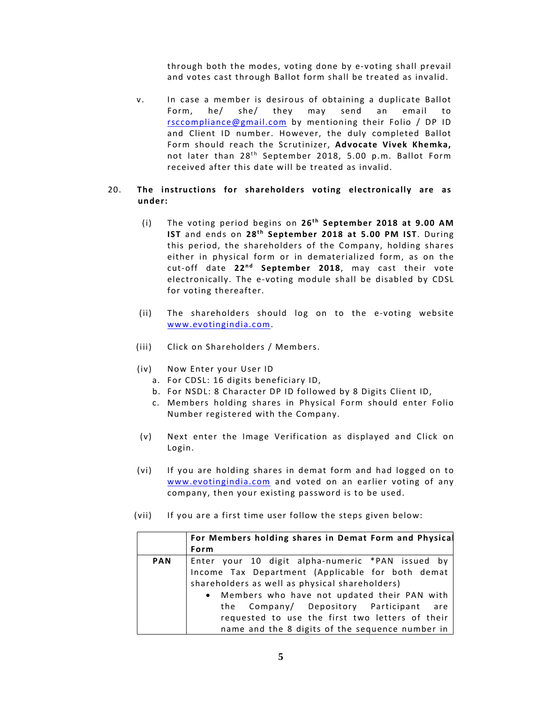through both the modes, voting done by e‐voting shall prevail and votes cast through Ballot form shall be treated as invalid.

v. In case a member is desirous of obtaining a duplicate Ballot Form, he/ she/ they may send an email to rsccompliance@gmail.com by mentioning their Folio / DP ID and Client ID number. However, the duly completed Ballot Form should reach the Scrutinizer, **Advocate Vivek Khemka,** not later than 28<sup>th</sup> September 2018, 5.00 p.m. Ballot Form received after this date will be treated as invalid.

## 20. **The instructions for shareholders voting electronically are as under:**

- (i) The voting period begins on 26<sup>th</sup> September 2018 at 9.00 AM **IST** and ends on 28<sup>th</sup> September 2018 at 5.00 PM IST. During this period, the shareholders of the Company, holding shares either in physical form or in dematerialized form, as on the cut-off date 22<sup>nd</sup> September 2018, may cast their vote electronically. The e‐voting module shall be disabled by CDSL for voting thereafter.
- (ii) The shareholders should log on to the e‐voting website www.evotingindia.com.
- (iii) Click on Shareholders / Members.
- (iv) Now Enter your User ID
	- a. For CDSL: 16 digits beneficiary ID,
	- b. For NSDL: 8 Character DP ID followed by 8 Digits Client ID,
	- c. Members holding shares in Physical Form should enter Folio Number registered with the Company.
- (v) Next enter the Image Verification as displayed and Click on Login.
- (vi) I f you are holding shares in demat form and had logged on to www.evotingindia.com and voted on an earlier voting of any company, then your existing password is to be used.
- (vii) If you are a first time user follow the steps given below:

|            | For Members holding shares in Demat Form and Physical |  |  |  |  |  |  |  |  |
|------------|-------------------------------------------------------|--|--|--|--|--|--|--|--|
|            | Form                                                  |  |  |  |  |  |  |  |  |
| <b>PAN</b> | Enter your 10 digit alpha-numeric *PAN issued by      |  |  |  |  |  |  |  |  |
|            | Income Tax Department (Applicable for both demat      |  |  |  |  |  |  |  |  |
|            | shareholders as well as physical shareholders)        |  |  |  |  |  |  |  |  |
|            | • Members who have not updated their PAN with         |  |  |  |  |  |  |  |  |
|            | the Company/ Depository Participant are               |  |  |  |  |  |  |  |  |
|            | requested to use the first two letters of their       |  |  |  |  |  |  |  |  |
|            | name and the 8 digits of the sequence number in       |  |  |  |  |  |  |  |  |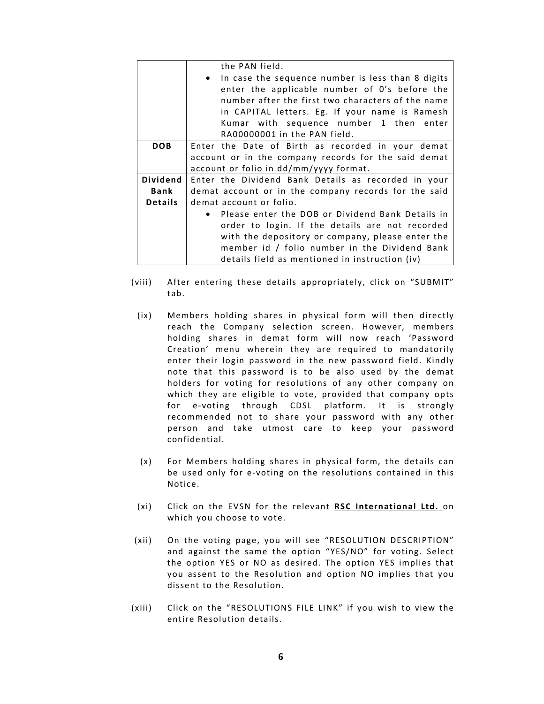|                | the PAN field.                                       |  |  |  |  |  |  |  |  |  |  |
|----------------|------------------------------------------------------|--|--|--|--|--|--|--|--|--|--|
|                | • In case the sequence number is less than 8 digits  |  |  |  |  |  |  |  |  |  |  |
|                | enter the applicable number of O's before the        |  |  |  |  |  |  |  |  |  |  |
|                | number after the first two characters of the name    |  |  |  |  |  |  |  |  |  |  |
|                | in CAPITAL letters. Eg. If your name is Ramesh       |  |  |  |  |  |  |  |  |  |  |
|                | Kumar with sequence number 1 then enter              |  |  |  |  |  |  |  |  |  |  |
|                | RA00000001 in the PAN field.                         |  |  |  |  |  |  |  |  |  |  |
| <b>DOB</b>     | Enter the Date of Birth as recorded in your demat    |  |  |  |  |  |  |  |  |  |  |
|                | account or in the company records for the said demat |  |  |  |  |  |  |  |  |  |  |
|                | account or folio in dd/mm/yyyy format.               |  |  |  |  |  |  |  |  |  |  |
| Dividend       | Enter the Dividend Bank Details as recorded in your  |  |  |  |  |  |  |  |  |  |  |
| Bank           | demat account or in the company records for the said |  |  |  |  |  |  |  |  |  |  |
| <b>Details</b> | demat account or folio.                              |  |  |  |  |  |  |  |  |  |  |
|                | • Please enter the DOB or Dividend Bank Details in   |  |  |  |  |  |  |  |  |  |  |
|                | order to login. If the details are not recorded      |  |  |  |  |  |  |  |  |  |  |
|                | with the depository or company, please enter the     |  |  |  |  |  |  |  |  |  |  |
|                | member id / folio number in the Dividend Bank        |  |  |  |  |  |  |  |  |  |  |
|                | details field as mentioned in instruction (iv)       |  |  |  |  |  |  |  |  |  |  |

- (viii) After entering these details appropriately, click on "SUBMIT" tab.
	- (ix) Members holding shares in physical form will then directly reach the Company selection screen. However, members holding shares in demat form will now reach 'Password Creation' menu wherein they are required to mandatorily enter their login password in the new password field. Kindly note that this password is to be also used by the demat holders for voting for resolutions of any other company on which they are eligible to vote, provided that company opts for e-voting through CDSL platform. It is strongly recommended not to share your password with any other person and take utmost care to keep your password confidential.
	- (x) For Members holding shares in physical form, the details can be used only for e-voting on the resolutions contained in this Notice.
	- (xi) Click on the EVSN for the relevant **RSC International Ltd.** on which you choose to vote.
- (xii) On the voting page, you will see "RESOLUTION DESCRIPTION" and against the same the option "YES/NO" for voting. Select the option YES or NO as desired. The option YES implies that you assent to the Resolution and option NO implies that you dissent to the Resolution.
- (xiii) Click on the "RESOLUTIONS FILE LINK" if you wish to view the entire Resolution details.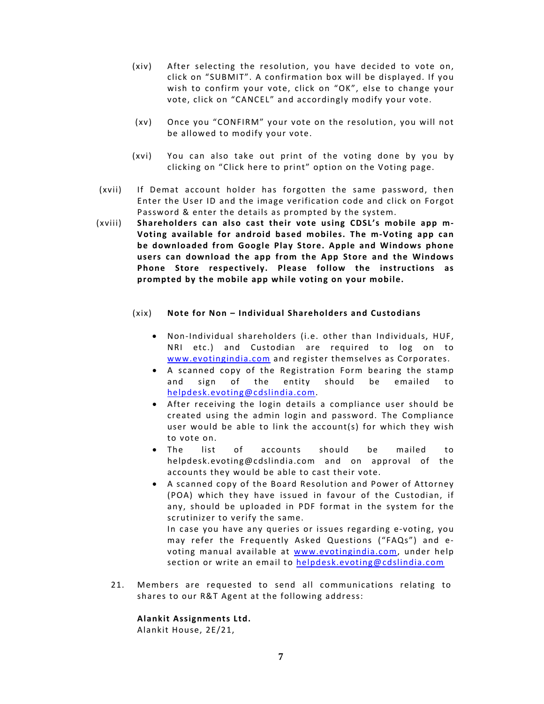- (xiv) After selecting the resolution, you have decided to vote on, click on "SUBMIT". A confirmation box will be displayed. If you wish to confirm your vote, click on "OK", else to change your vote, click on "CANCEL" and accordingly modify your vote.
- (xv) Once you "CONFIRM" your vote on the resolution, you will not be allowed to modify your vote.
- (xvi) You can also take out print of the voting done by you by clicking on "Click here to print" option on the Voting page.
- (xvii) If Demat account holder has forgotten the same password, then Enter the User ID and the image verification code and click on Forgot Password & enter the details as prompted by the system.
- (xviii) **Shareholders can also cast their vote using CDSL's mobile app m‐ Voting available for android based mobiles. The m‐Voting app can be downloaded from Google Play Store. Apple and Windows phone users can download the app from the App Store and the Windows Phone Store respectively. Please follow the instructions as prompted by the mobile app while voting on your mobile.**

## (xix) **Note for Non – Individual Shareholders and Custodians**

- Non‐Individual shareholders (i.e. other than Individuals, HUF, NRI etc.) and Custodian are required to log on to www.evotingindia.com and register themselves as Corporates.
- A scanned copy of the Registration Form bearing the stamp and sign of the entity should be emailed to helpdesk.evoting@cdslindia.com.
- After receiving the login details a compliance user should be created using the admin login and password. The Compliance user would be able to link the account(s) for which they wish to vote on.
- The list of accounts should be mailed to helpdesk.evoting@cdslindia.com and on approval of the accounts they would be able to cast their vote.
- A scanned copy of the Board Resolution and Power of Attorney (POA) which they have issued in favour of the Custodian, if any, should be uploaded in PDF format in the system for the scrutinizer to verify the same.

In case you have any queries or issues regarding e-voting, you may refer the Frequently Asked Questions ("FAQs") and e‐ voting manual available at www.evotingindia.com, under help section or write an email to helpdesk.evoting@cdslindia.com

21. Members are requested to send all communications relating to shares to our R&T Agent at the following address:

#### **Alankit Assignments Ltd.**

Alankit House, 2E/21,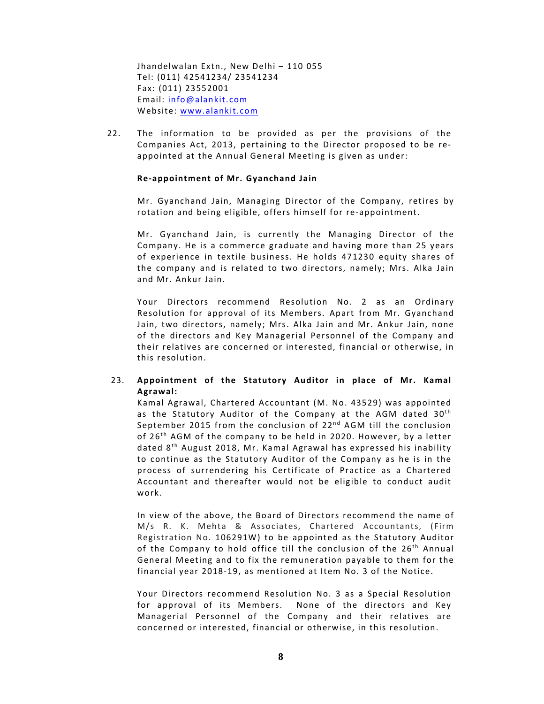Jhandelwalan Extn., New Delhi – 110 055 Tel: (011) 42541234/ 23541234 Fax: (011) 23552001 Email: info@alankit.com Website: www.alankit.com

22. The information to be provided as per the provisions of the Companies Act, 2013, pertaining to the Director proposed to be re‐ appointed at the Annual General Meeting is given as under:

#### **Re-appointment of Mr. Gyanchand Jain**

Mr. Gyanchand Jain, Managing Director of the Company, retires by rotation and being eligible, offers himself for re‐appointment.

Mr. Gyanchand Jain, is currently the Managing Director of the Company. He is a commerce graduate and having more than 25 years of experience in textile business. He holds 471230 equity shares of the company and is related to two directors, namely; Mrs. Alka Jain and Mr. Ankur Jain.

Your Directors recommend Resolution No. 2 as an Ordinary Resolution for approval of its Members. Apart from Mr. Gyanchand Jain, two directors, namely; Mrs. Alka Jain and Mr. Ankur Jain, none of the directors and Key Managerial Personnel of the Company and their relatives are concerned or interested, financial or otherwise, in this resolution.

# 23. **Appointment o f the Statutory Auditor in place o f Mr. Kamal Agrawal:**

Kamal Agrawal, Chartered Accountant (M. No. 43529) was appointed as the Statutory Auditor of the Company at the AGM dated 30<sup>th</sup> September 2015 from the conclusion of  $22^{nd}$  AGM till the conclusion of  $26<sup>th</sup>$  AGM of the company to be held in 2020. However, by a letter dated 8<sup>th</sup> August 2018, Mr. Kamal Agrawal has expressed his inability to continue as the Statutory Auditor of the Company as he is in the process of surrendering his Certificate of Practice as a Chartered Accountant and thereafter would not be eligible to conduct audit work.

In view of the above, the Board of Directors recommend the name of M/s R. K. Mehta & Associates, Chartered Accountants, (Firm Registration No. 106291W) to be appointed as the Statutory Auditor of the Company to hold office till the conclusion of the  $26<sup>th</sup>$  Annual General Meeting and to fix the remuneration payable to them for the financial year 2018-19, as mentioned at Item No. 3 of the Notice.

Your Directors recommend Resolution No. 3 as a Special Resolution for approval of its Members. None of the directors and Key Managerial Personnel of the Company and their relatives are concerned or interested, financial or otherwise, in this resolution.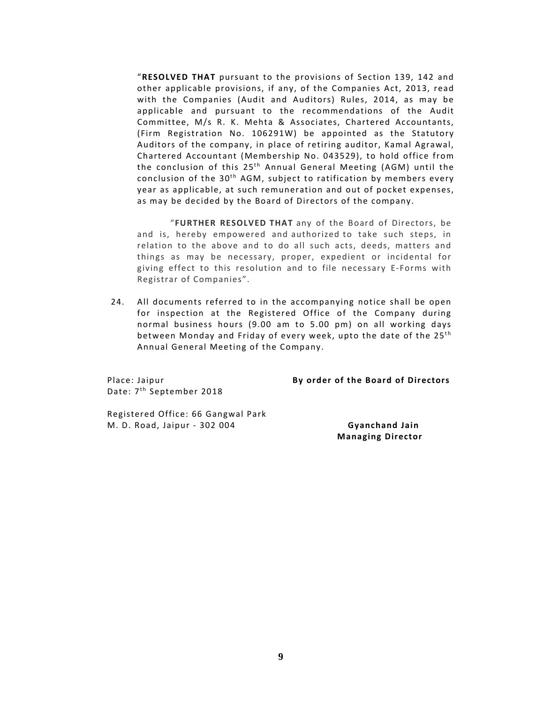"RESOLVED THAT pursuant to the provisions of Section 139, 142 and other applicable provisions, if any, of the Companies Act, 2013, read with the Companies (Audit and Auditors) Rules, 2014, as may be applicable and pursuant to the recommendations of the Audit Committee, M/s R. K. Mehta & Associates, Chartered Accountants, (Firm Registration No. 106291W) be appointed as the Statutory Auditors of the company, in place of retiring auditor, Kamal Agrawal, Chartered Accountant (Membership No. 043529), to hold office from the conclusion of this  $25<sup>th</sup>$  Annual General Meeting (AGM) until the conclusion of the  $30<sup>th</sup>$  AGM, subject to ratification by members every year as applicable, at such remuneration and out of pocket expenses, as may be decided by the Board of Directors of the company.

"**FURTHER RESOLVED THAT** any of the Board of Directors, be and is, hereby empowered and authorized to take such steps, in relation to the above and to do all such acts, deeds, matters and things as may be necessary, proper, expedient or incidental for giving effect to this resolution and to file necessary E‐Forms with Registrar of Companies".

24. All documents referred to in the accompanying notice shall be open for inspection at the Registered Office of the Company during normal business hours (9.00 am to 5.00 pm) on all working days between Monday and Friday of every week, upto the date of the 25<sup>th</sup> Annual General Meeting of the Company.

Date: 7<sup>th</sup> September 2018

Place: Jaipur **By order o f the Board o f Directors**

Registered Office: 66 Gangwal Park M. D. Road, Jaipur ‐ 302 004 **Gyanchand Jain** 

**Managing Director**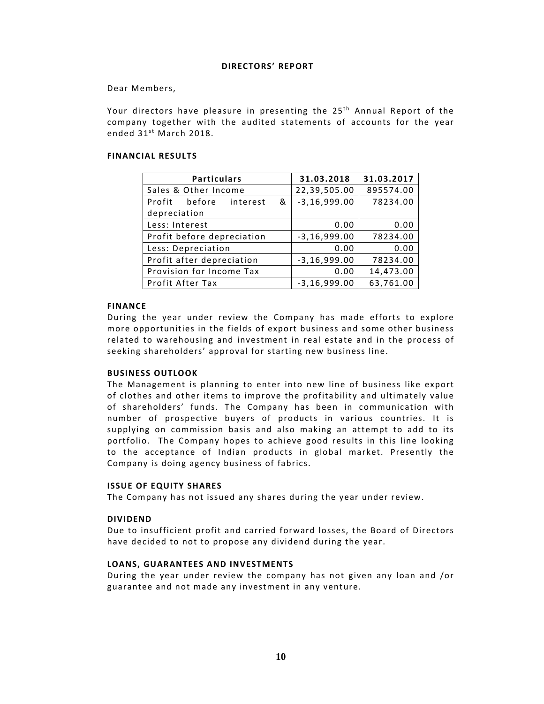## **DIRECTORS' REPORT**

Dear Members,

Your directors have pleasure in presenting the 25<sup>th</sup> Annual Report of the company together with the audited statements of accounts for the year ended  $31^{st}$  March 2018.

## **FINANCIAL RESULTS**

| <b>Particulars</b>          | 31.03.2018                   | 31.03.2017 |  |
|-----------------------------|------------------------------|------------|--|
| Sales & Other Income        | 22,39,505.00                 | 895574.00  |  |
| Profit before interest<br>& | $-3, 16, 999.00$             | 78234.00   |  |
| depreciation                |                              |            |  |
| Less: Interest              | 0.00                         | 0.00       |  |
| Profit before depreciation  | $-3, 16, 999.00$<br>78234.00 |            |  |
| Less: Depreciation          | 0.00                         | 0.00       |  |
| Profit after depreciation   | $-3, 16, 999.00$             | 78234.00   |  |
| Provision for Income Tax    | 0.00                         | 14,473.00  |  |
| Profit After Tax            | $-3, 16, 999.00$             | 63,761.00  |  |

#### **FINANCE**

During the year under review the Company has made efforts to explore more opportunities in the fields of export business and some other business related to warehousing and investment in real estate and in the process of seeking shareholders' approval for starting new business line.

#### **BUSINESS OUTLOOK**

The Management is planning to enter into new line of business like export of clothes and other items to improve the profitability and ultimately value of shareholders' funds. The Company has been in communication with number of prospective buyers of products in various countries. It is supplying on commission basis and also making an attempt to add to its portfolio. The Company hopes to achieve good results in this line looking to the acceptance of Indian products in global market. Presently the Company is doing agency business of fabrics.

#### **ISSUE OF EQUITY SHARES**

The Company has not issued any shares during the year under review.

#### **DIVIDEND**

Due to insufficient profit and carried forward losses, the Board of Directors have decided to not to propose any dividend during the year.

## **LOANS, GUARANTEES AND INVESTMENTS**

During the year under review the company has not given any loan and /or guarantee and not made any investment in any venture.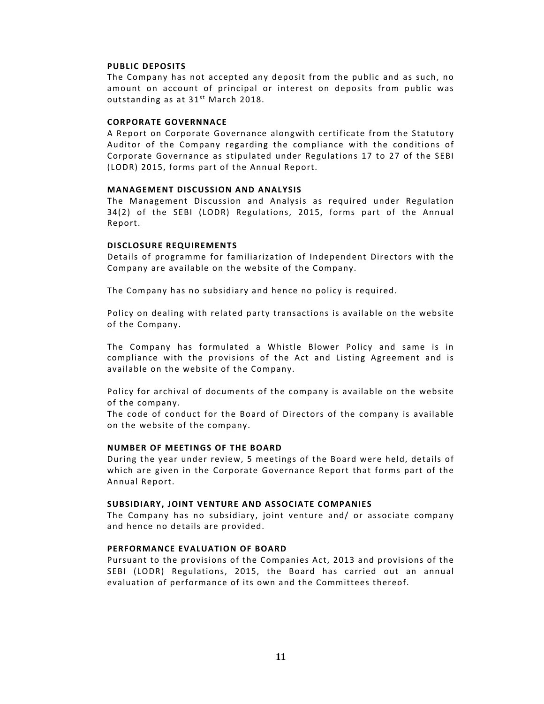#### **PUBLIC DEPOSITS**

The Company has not accepted any deposit from the public and as such, no amount on account of principal or interest on deposits from public was outstanding as at  $31<sup>st</sup>$  March 2018.

## **CORPORATE GOVERNNACE**

A Report on Corporate Governance alongwith certificate from the Statutory Auditor of the Company regarding the compliance with the conditions of Corporate Governance as stipulated under Regulations 17 to 27 of the SEBI (LODR) 2015, forms part of the Annual Report.

### **MANAGEMENT DISCUSSION AND ANALYSIS**

The Management Discussion and Analysis as required under Regulation 34(2) of the SEBI (LODR) Regulations, 2015, forms part of the Annual Report.

#### **DISCLOSURE REQUIREMENTS**

Details of programme for familiarization of Independent Directors with the Company are available on the website of the Company.

The Company has no subsidiary and hence no policy is required.

Policy on dealing with related party transactions is available on the website of the Company.

The Company has formulated a Whistle Blower Policy and same is in compliance with the provisions of the Act and Listing Agreement and is available on the website of the Company.

Policy for archival of documents of the company is available on the website of the company.

The code of conduct for the Board of Directors of the company is available on the website of the company.

#### **NUMBER OF MEETINGS OF THE BOARD**

During the year under review, 5 meetings of the Board were held, details of which are given in the Corporate Governance Report that forms part of the Annual Report.

### **SUBSIDIARY, JOINT VENTURE AND ASSOCIATE COMPANIES**

The Company has no subsidiary, joint venture and/ or associate company and hence no details are provided.

## **PERFORMANCE EVALUATION OF BOARD**

Pursuant to the provisions of the Companies Act, 2013 and provisions of the SEBI (LODR) Regulations, 2015, the Board has carried out an annual evaluation of performance of its own and the Committees thereof.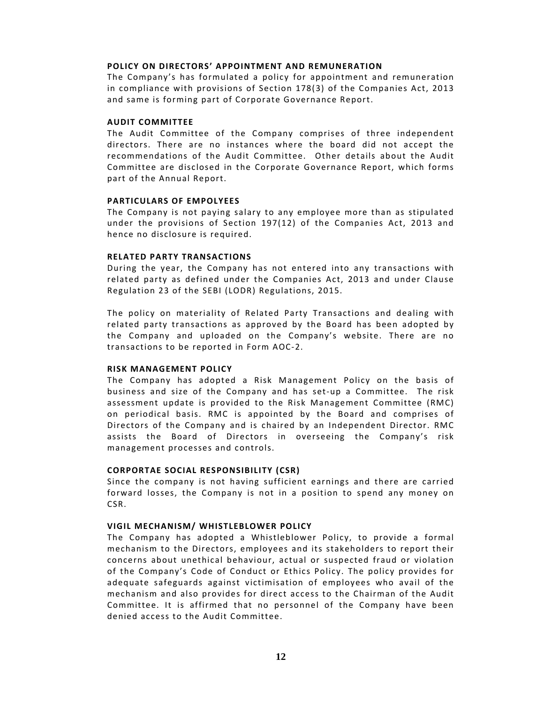#### **POLICY ON DIRECTORS' APPOINTMENT AND REMUNERATION**

The Company's has formulated a policy for appointment and remuneration in compliance with provisions of Section 178(3) of the Companies Act, 2013 and same is forming part of Corporate Governance Report.

#### **AUDIT COMMITTEE**

The Audit Committee of the Company comprises of three independent directors. There are no instances where the board did not accept the recommendations of the Audit Committee. Other details about the Audit Committee are disclosed in the Corporate Governance Report, which forms part of the Annual Report.

#### **PARTICULARS OF EMPOLYEES**

The Company is not paying salary to any employee more than as stipulated under the provisions of Section 197(12) of the Companies Act, 2013 and hence no disclosure is required.

#### **RELATED PARTY TRANSACTIONS**

During the year, the Company has not entered into any transactions with related party as defined under the Companies Act, 2013 and under Clause Regulation 23 of the SEBI (LODR) Regulations, 2015.

The policy on materiality of Related Party Transactions and dealing with related party transactions as approved by the Board has been adopted by the Company and uploaded on the Company's website. There are no transactions to be reported in Form AOC‐2.

#### **RISK MANAGEMENT POLICY**

The Company has adopted a Risk Management Policy on the basis of business and size of the Company and has set-up a Committee. The risk assessment update is provided to the Risk Management Committee (RMC) on periodical basis. RMC is appointed by the Board and comprises of Directors of the Company and is chaired by an Independent Director. RMC assists the Board of Directors in overseeing the Company's risk management processes and controls.

#### **CORPORTAE SOCIAL RESPONSIBILITY (CSR)**

Since the company is not having sufficient earnings and there are carried forward losses, the Company is not in a position to spend any money on CSR. 

#### **VIGIL MECHANISM/ WHISTLEBLOWER POLICY**

The Company has adopted a Whistleblower Policy, to provide a formal mechanism to the Directors, employees and its stakeholders to report their concerns about unethical behaviour, actual or suspected fraud or violation of the Company's Code of Conduct or Ethics Policy. The policy provides for adequate safeguards against victimisation of employees who avail of the mechanism and also provides for direct access to the Chairman of the Audit Committee. It is affirmed that no personnel of the Company have been denied access to the Audit Committee.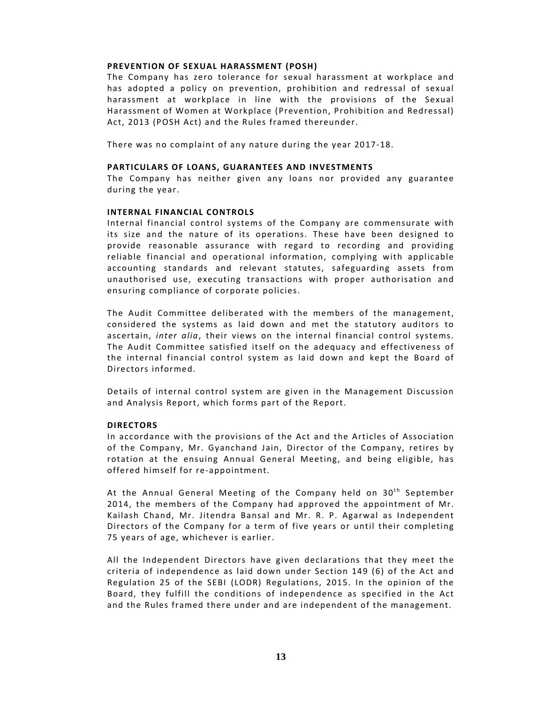#### **PREVENTION OF SEXUAL HARASSMENT (POSH)**

The Company has zero tolerance for sexual harassment at workplace and has adopted a policy on prevention, prohibition and redressal of sexual harassment at workplace in line with the provisions of the Sexual Harassment of Women at Workplace (Prevention, Prohibition and Redressal) Act, 2013 (POSH Act) and the Rules framed thereunder.

There was no complaint of any nature during the year 2017-18.

#### **PARTICULARS OF LOANS, GUARANTEES AND INVESTMENTS**

The Company has neither given any loans nor provided any guarantee during the year.

#### **INTERNAL FINANCIAL CONTROLS**

Internal financial control systems of the Company are commensurate with its size and the nature of its operations. These have been designed to provide reasonable assurance with regard to recording and providing reliable financial and operational information, complying with applicable accounting standards and relevant statutes, safeguarding assets from unauthorised use, executing transactions with proper authorisation and ensuring compliance of corporate policies.

The Audit Committee deliberated with the members of the management, considered the systems as laid down and met the statutory auditors to ascertain, *inter alia*, their views on the internal financial control systems. The Audit Committee satisfied itself on the adequacy and effectiveness of the internal financial control system as laid down and kept the Board of Directors informed.

Details of internal control system are given in the Management Discussion and Analysis Report, which forms part of the Report.

#### **DIRECTORS**

In accordance with the provisions of the Act and the Articles of Association of the Company, Mr. Gyanchand Jain, Director of the Company, retires by rotation at the ensuing Annual General Meeting, and being eligible, has offered himself for re‐appointment.

At the Annual General Meeting of the Company held on  $30<sup>th</sup>$  September 2014, the members of the Company had approved the appointment of Mr. Kailash Chand, Mr. Jitendra Bansal and Mr. R. P. Agarwal as Independent Directors of the Company for a term of five years or until their completing 75 years of age, whichever is earlier.

All the Independent Directors have given declarations that they meet the criteria of independence as laid down under Section 149 (6) of the Act and Regulation 25 of the SEBI (LODR) Regulations, 2015. In the opinion of the Board, they fulfill the conditions of independence as specified in the Act and the Rules framed there under and are independent of the management.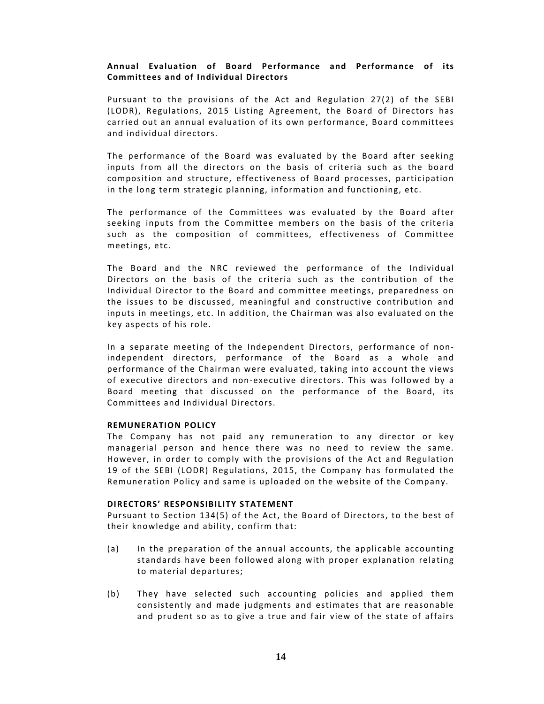## **Annual Evaluation o f Board Performance and Performance o f its Committees and of Individual Directors**

Pursuant to the provisions of the Act and Regulation  $27(2)$  of the SEBI (LODR), Regulations, 2015 Listing Agreement, the Board of Directors has carried out an annual evaluation of its own performance, Board committees and individual directors.

The performance of the Board was evaluated by the Board after seeking inputs from all the directors on the basis of criteria such as the board composition and structure, effectiveness of Board processes, participation in the long term strategic planning, information and functioning, etc.

The performance of the Committees was evaluated by the Board after seeking inputs from the Committee members on the basis of the criteria such as the composition of committees, effectiveness of Committee meetings, etc.

The Board and the NRC reviewed the performance of the Individual Directors on the basis of the criteria such as the contribution of the Individual Director to the Board and committee meetings, preparedness on the issues to be discussed, meaningful and constructive contribution and inputs in meetings, etc. In addition, the Chairman was also evaluated on the key aspects of his role.

In a separate meeting of the Independent Directors, performance of nonindependent directors, performance of the Board as a whole and performance of the Chairman were evaluated, taking into account the views of executive directors and non-executive directors. This was followed by a Board meeting that discussed on the performance of the Board, its Committees and Individual Directors.

#### **REMUNERATION POLICY**

The Company has not paid any remuneration to any director or key managerial person and hence there was no need to review the same. However, in order to comply with the provisions of the Act and Regulation 19 of the SEBI (LODR) Regulations, 2015, the Company has formulated the Remuneration Policy and same is uploaded on the website of the Company.

#### **DIRECTORS' RESPONSIBILITY STATEMENT**

Pursuant to Section 134(5) of the Act, the Board of Directors, to the best of their knowledge and ability, confirm that:

- $(a)$  In the preparation of the annual accounts, the applicable accounting standards have been followed along with proper explanation relating to material departures;
- (b) They have selected such accounting policies and applied them consistently and made judgments and estimates that are reasonable and prudent so as to give a true and fair view of the state of affairs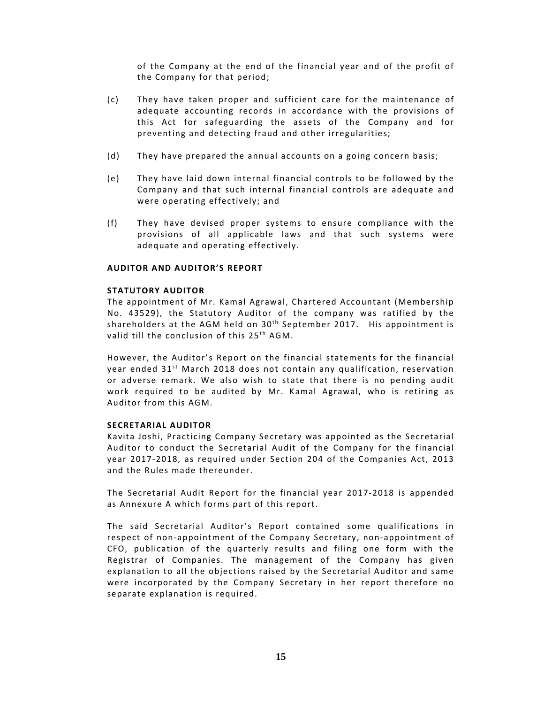of the Company at the end of the financial year and of the profit of the Company for that period;

- (c) They have taken proper and sufficient care for the maintenance of adequate accounting records in accordance with the provisions of this Act for safeguarding the assets of the Company and for preventing and detecting fraud and other irregularities;
- (d) They have prepared the annual accounts on a going concern basis;
- (e) They have laid down internal financial controls to be followed by the Company and that such internal financial controls are adequate and were operating effectively; and
- (f) They have devised proper systems to ensure compliance with the provisions of all applicable laws and that such systems were adequate and operating effectively.

#### **AUDITOR AND AUDITOR'S REPORT**

## **STATUTORY AUDITOR**

The appointment of Mr. Kamal Agrawal, Chartered Accountant (Membership No. 43529), the Statutory Auditor of the company was ratified by the shareholders at the AGM held on  $30<sup>th</sup>$  September 2017. His appointment is valid till the conclusion of this  $25<sup>th</sup> AGM$ .

However, the Auditor's Report on the financial statements for the financial year ended  $31<sup>st</sup>$  March 2018 does not contain any qualification, reservation or adverse remark. We also wish to state that there is no pending audit work required to be audited by Mr. Kamal Agrawal, who is retiring as Auditor from this AGM.

#### **SECRETARIAL AUDITOR**

Kavita Joshi, Practicing Company Secretary was appointed as the Secretarial Auditor to conduct the Secretarial Audit of the Company for the financial year 2017-2018, as required under Section 204 of the Companies Act, 2013 and the Rules made thereunder.

The Secretarial Audit Report for the financial year 2017‐2018 is appended as Annexure A which forms part of this report.

The said Secretarial Auditor's Report contained some qualifications in respect of non-appointment of the Company Secretary, non-appointment of CFO, publication of the quarterly results and filing one form with the Registrar of Companies. The management of the Company has given explanation to all the objections raised by the Secretarial Auditor and same were incorporated by the Company Secretary in her report therefore no separate explanation is required.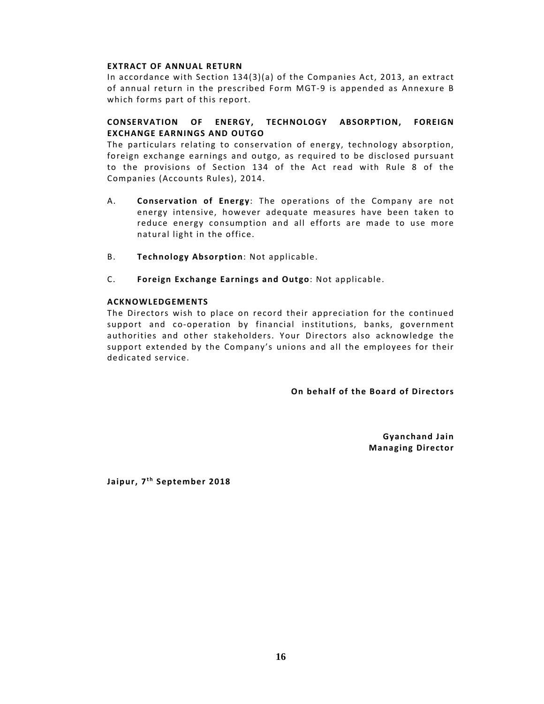## **EXTRACT OF ANNUAL RETURN**

In accordance with Section  $134(3)(a)$  of the Companies Act, 2013, an extract of annual return in the prescribed Form MGT-9 is appended as Annexure B which forms part of this report.

# **CONSERVATION OF ENERGY, TECHNOLOGY ABSORPTION, FOREIGN EXCHANGE EARNINGS AND OUTGO**

The particulars relating to conservation of energy, technology absorption, foreign exchange earnings and outgo, as required to be disclosed pursuant to the provisions of Section 134 of the Act read with Rule 8 of the Companies (Accounts Rules), 2014.

- A. **Conservation of Energy**: The operations of the Company are not energy intensive, however adequate measures have been taken to reduce energy consumption and all efforts are made to use more natural light in the office.
- B. **Technology Absorption**: Not applicable.
- C. **Foreign Exchange Earnings and Outgo**: Not applicable.

## **ACKNOWLEDGEMENTS**

The Directors wish to place on record their appreciation for the continued support and co-operation by financial institutions, banks, government authorities and other stakeholders. Your Directors also acknowledge the support extended by the Company's unions and all the employees for their dedicated service.

## **On** behalf of the Board of Directors

**Gyanchand Jain Managing Director** 

**Jaipur, 7<sup>th</sup> September 2018**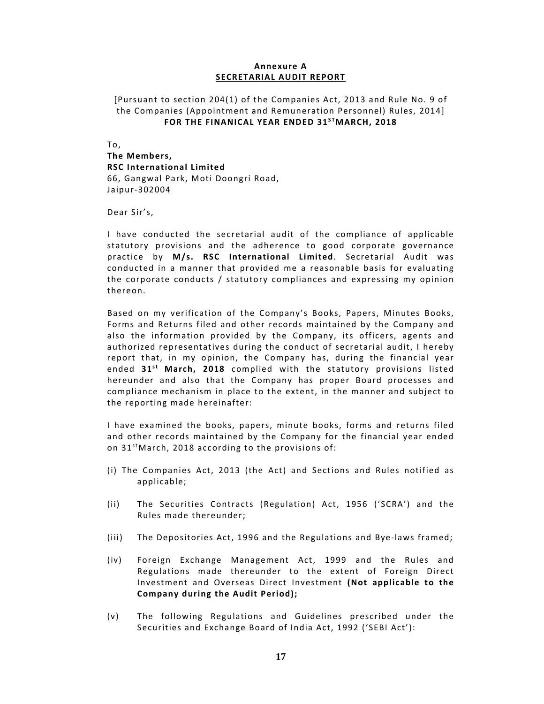## **Annexure A SECRETARIAL AUDIT REPORT**

# [Pursuant to section 204(1) of the Companies Act, 2013 and Rule No. 9 of the Companies (Appointment and Remuneration Personnel) Rules, 2014] **FOR THE FINANICAL YEAR ENDED 31S TMARCH, 2018**

To, **The Members, RSC International Limited** 66, Gangwal Park, Moti Doongri Road, Jaipur‐302004

Dear Sir's,

I have conducted the secretarial audit of the compliance of applicable statutory provisions and the adherence to good corporate governance practice by **M/s. RSC International Limited**. Secretarial Audit was conducted in a manner that provided me a reasonable basis for evaluating the corporate conducts / statutory compliances and expressing my opinion thereon.

Based on my verification of the Company's Books, Papers, Minutes Books, Forms and Returns filed and other records maintained by the Company and also the information provided by the Company, its officers, agents and authorized representatives during the conduct of secretarial audit, I hereby report that, in my opinion, the Company has, during the financial year ended 31<sup>st</sup> March, 2018 complied with the statutory provisions listed hereunder and also that the Company has proper Board processes and compliance mechanism in place to the extent, in the manner and subject to the reporting made hereinafter:

I have examined the books, papers, minute books, forms and returns filed and other records maintained by the Company for the financial year ended on  $31^{st}$ March, 2018 according to the provisions of:

- (i) The Companies Act, 2013 (the Act) and Sections and Rules notified as applicable;
- (ii) The Securities Contracts (Regulation) Act, 1956 ('SCRA') and the Rules made thereunder;
- (iii) The Depositories Act, 1996 and the Regulations and Bye‐laws framed;
- (iv) Foreign Exchange Management Act, 1999 and the Rules and Regulations made thereunder to the extent of Foreign Direct Investment and Overseas Direct Investment **(Not applicable to the Company during the Audit Period);**
- (v) The following Regulations and Guidelines prescribed under the Securities and Exchange Board of India Act, 1992 ('SEBI Act'):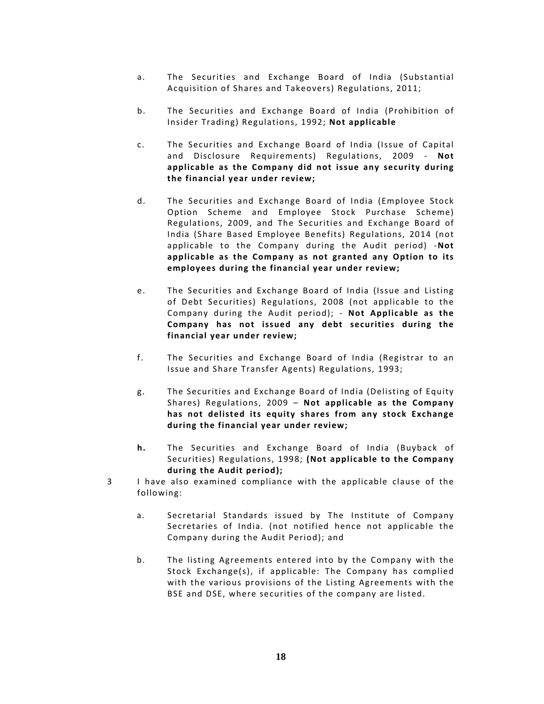- a. The Securities and Exchange Board of India (Substantial Acquisition of Shares and Takeovers) Regulations, 2011;
- b. The Securities and Exchange Board of India (Prohibition of Insider Trading) Regulations, 1992; **Not applicable**
- c. The Securities and Exchange Board of India (Issue of Capital and Disclosure Requirements) Regulations, 2009 ‐ **Not applicable as the Company did not issue any security during the financial year under review;**
- d. The Securities and Exchange Board of India (Employee Stock Option Scheme and Employee Stock Purchase Scheme) Regulations, 2009, and The Securities and Exchange Board of India (Share Based Employee Benefits) Regulations, 2014 (not applicable to the Company during the Audit period) ‐**Not applicable as the Company as not granted any Option to its employees during the financial year under review;**
- e. The Securities and Exchange Board of India (Issue and Listing of Debt Securities) Regulations, 2008 (not applicable to the Company during the Audit period); ‐ **Not Applicable as the Company has not issued any debt securities during the financial year under review;**
- f. The Securities and Exchange Board of India (Registrar to an Issue and Share Transfer Agents) Regulations, 1993;
- g. The Securities and Exchange Board of India (Delisting of Equity Shares) Regulations, 2009 – **Not applicable as the Company has not delisted its equity shares from any stock Exchange during the financial year under review;**
- **h.** The Securities and Exchange Board of India (Buyback of Securities) Regulations, 1998; **(Not applicable to the Company during the Audit period);**
- 3 I have also examined compliance with the applicable clause of the following:
	- a. Secretarial Standards issued by The Institute of Company Secretaries of India. (not notified hence not applicable the Company during the Audit Period); and
	- b. The listing Agreements entered into by the Company with the Stock Exchange(s), if applicable: The Company has complied with the various provisions of the Listing Agreements with the BSE and DSE, where securities of the company are listed.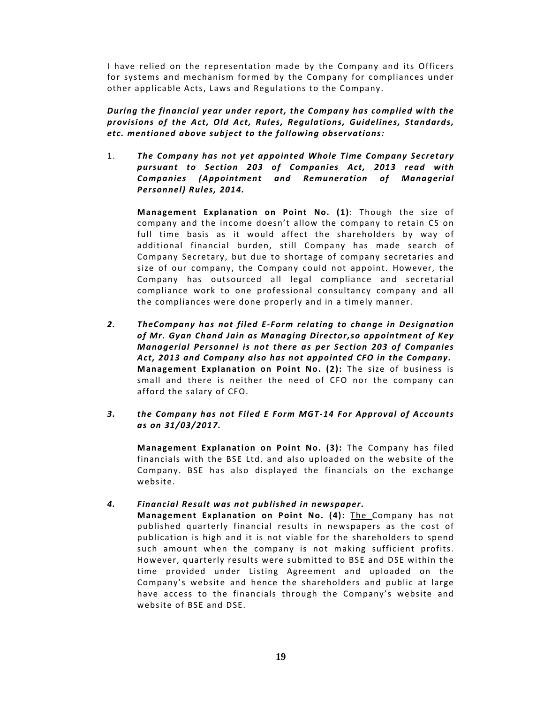I have relied on the representation made by the Company and its Officers for systems and mechanism formed by the Company for compliances under other applicable Acts, Laws and Regulations to the Company.

*During the financial year under report, the Company has complied with the provisions o f the Act, Old Act, Rules, Regulations, Guidelines, Standards, etc. mentioned above subject to the following observations:*

1. *The Company has not yet appointed Whole Time Company Secretary pursuant to Section 203 o f Companies Act, 2013 read with Companies (Appointment and Remuneration o f Managerial Personnel) Rules, 2014.*

**Management Explanation on Point No. (1)**: Though the size o f company and the income doesn't allow the company to retain CS on full time basis as it would affect the shareholders by way of additional financial burden, still Company has made search of Company Secretary, but due to shortage of company secretaries and size of our company, the Company could not appoint. However, the Company has outsourced all legal compliance and secretarial compliance work to one professional consultancy company and all the compliances were done properly and in a timely manner.

- *2. TheCompany has not filed E‐Form relating to change in Designation o f Mr. Gyan Chand Jain as Managing Director,so appointment o f Key Managerial Personnel is not there a s per Section 203 o f Companies Act, 2013 and Company also has not appointed CFO in the Company.* **Management Explanation on Point No. (2):** The size of business is small and there is neither the need of CFO nor the company can afford the salary of CFO.
- *3. the Company has not Filed E Form MGT‐14 For Approval o f Accounts as on 31/03/2017.*

**Management Explanation on Point No. (3):** The Company has filed financials with the BSE Ltd. and also uploaded on the website of the Company. BSE has also displayed the financials on the exchange website.

# *4. Financial Result was not published in newspaper.*

**Management Explanation on Point No. (4):** The Company has not published quarterly financial results in newspapers as the cost of publication is high and it is not viable for the shareholders to spend such amount when the company is not making sufficient profits. However, quarterly results were submitted to BSE and DSE within the time provided under Listing Agreement and uploaded on the Company's website and hence the shareholders and public at large have access to the financials through the Company's website and website of BSE and DSE.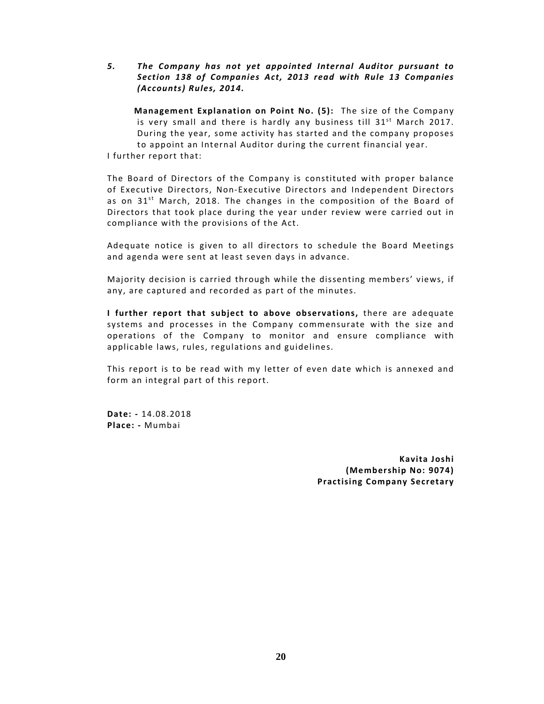*5. The Company has not yet appointed Internal Auditor pursuant to Section 138 o f Companies Act, 2013 read with Rule 13 Companies (Accounts) Rules, 2014.*

**Management Explanation on Point No. (5):** The size of the Company is very small and there is hardly any business till 31<sup>st</sup> March 2017. During the year, some activity has started and the company proposes to appoint an Internal Auditor during the current financial year. I further report that:

The Board of Directors of the Company is constituted with proper balance of Executive Directors, Non-Executive Directors and Independent Directors as on 31<sup>st</sup> March, 2018. The changes in the composition of the Board of Directors that took place during the year under review were carried out in compliance with the provisions of the Act.

Adequate notice is given to all directors to schedule the Board Meetings and agenda were sent at least seven days in advance.

Majority decision is carried through while the dissenting members' views, if any, are captured and recorded as part of the minutes.

**I further report that subject to above observations,** there are adequate systems and processes in the Company commensurate with the size and operations of the Company to monitor and ensure compliance with applicable laws, rules, regulations and guidelines.

This report is to be read with my letter of even date which is annexed and form an integral part of this report.

**Date: ‐** 14.08.2018 **Place: ‐** Mumbai

> **Kavita Joshi (Membership No: 9074) Practising Company Secretary**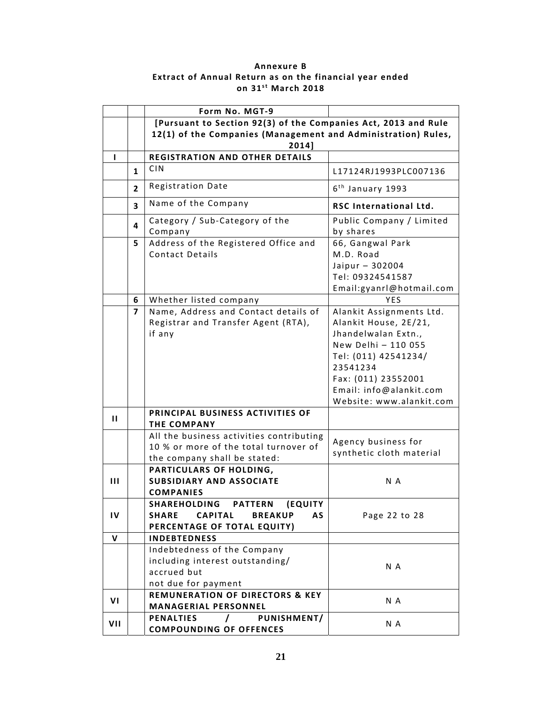# **Annexure B Extract of Annual Return as on the financial year ended on 31s t March 2018**

|                |              | Form No. MGT-9                                                                                                    |                                                                                                                                                                                                                   |
|----------------|--------------|-------------------------------------------------------------------------------------------------------------------|-------------------------------------------------------------------------------------------------------------------------------------------------------------------------------------------------------------------|
|                |              | [Pursuant to Section 92(3) of the Companies Act, 2013 and Rule                                                    |                                                                                                                                                                                                                   |
|                |              | 12(1) of the Companies (Management and Administration) Rules,<br>2014]                                            |                                                                                                                                                                                                                   |
| L              |              | <b>REGISTRATION AND OTHER DETAILS</b>                                                                             |                                                                                                                                                                                                                   |
|                | $\mathbf{1}$ | <b>CIN</b>                                                                                                        | L17124RJ1993PLC007136                                                                                                                                                                                             |
|                | $\mathbf{2}$ | <b>Registration Date</b>                                                                                          | $6th$ January 1993                                                                                                                                                                                                |
|                | 3            | Name of the Company                                                                                               | RSC International Ltd.                                                                                                                                                                                            |
|                | 4            | Category / Sub-Category of the<br>Company                                                                         | Public Company / Limited<br>by shares                                                                                                                                                                             |
|                | 5            | Address of the Registered Office and<br><b>Contact Details</b>                                                    | 66, Gangwal Park<br>M.D. Road<br>Jaipur - 302004<br>Tel: 09324541587<br>Email:gyanrl@hotmail.com                                                                                                                  |
|                | 6            | Whether listed company                                                                                            | <b>YFS</b>                                                                                                                                                                                                        |
|                | 7            | Name, Address and Contact details of<br>Registrar and Transfer Agent (RTA),<br>if any                             | Alankit Assignments Ltd.<br>Alankit House, 2E/21,<br>Jhandelwalan Extn.,<br>New Delhi - 110 055<br>Tel: (011) 42541234/<br>23541234<br>Fax: (011) 23552001<br>Email: info@alankit.com<br>Website: www.alankit.com |
| п              |              | PRINCIPAL BUSINESS ACTIVITIES OF<br><b>THE COMPANY</b>                                                            |                                                                                                                                                                                                                   |
|                |              | All the business activities contributing<br>10 % or more of the total turnover of<br>the company shall be stated: | Agency business for<br>synthetic cloth material                                                                                                                                                                   |
| $\mathbf{III}$ |              | PARTICULARS OF HOLDING,<br><b>SUBSIDIARY AND ASSOCIATE</b><br><b>COMPANIES</b>                                    | N A                                                                                                                                                                                                               |
| IV             |              | SHAREHOLDING PATTERN (EQUITY<br>SHARE CAPITAL<br><b>BREAKUP</b><br><b>AS</b><br>PERCENTAGE OF TOTAL EQUITY)       | Page 22 to 28                                                                                                                                                                                                     |
| $\mathbf{V}$   |              | <b>INDEBTEDNESS</b>                                                                                               |                                                                                                                                                                                                                   |
|                |              | Indebtedness of the Company<br>including interest outstanding/<br>accrued but<br>not due for payment              | N A                                                                                                                                                                                                               |
| VI             |              | <b>REMUNERATION OF DIRECTORS &amp; KEY</b><br><b>MANAGERIAL PERSONNEL</b>                                         | N A                                                                                                                                                                                                               |
| VII            |              | PUNISHMENT/<br><b>PENALTIES</b><br>$\prime$<br><b>COMPOUNDING OF OFFENCES</b>                                     | N A                                                                                                                                                                                                               |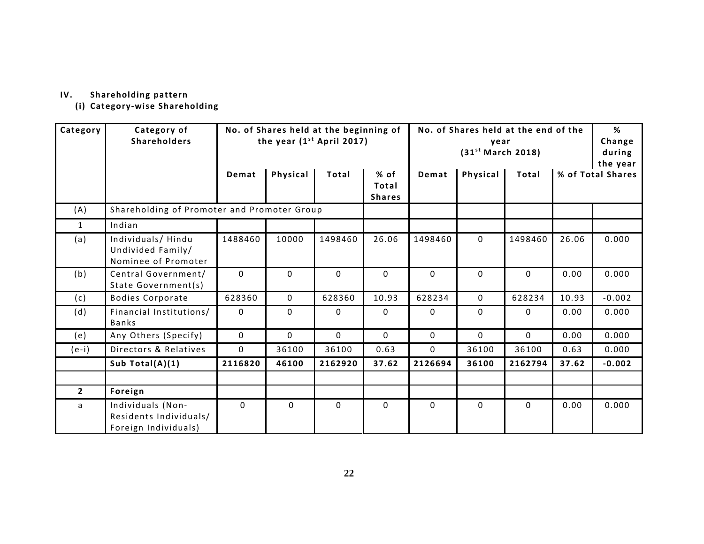#### **IV. Shareholding pattern**

**(i) Category‐wise Shareholding**

| Category     | Category of<br><b>Shareholders</b>                                  | No. of Shares held at the end of the<br>No. of Shares held at the beginning of<br>the year $(1st$ April 2017)<br>year<br>(31 <sup>st</sup> March 2018) |             |          |                                |          |             | %<br>Change<br>during<br>the year |                   |          |
|--------------|---------------------------------------------------------------------|--------------------------------------------------------------------------------------------------------------------------------------------------------|-------------|----------|--------------------------------|----------|-------------|-----------------------------------|-------------------|----------|
|              |                                                                     | Demat                                                                                                                                                  | Physical    | Total    | % of<br>Total<br><b>Shares</b> | Demat    | Physical    | Total                             | % of Total Shares |          |
| (A)          | Shareholding of Promoter and Promoter Group                         |                                                                                                                                                        |             |          |                                |          |             |                                   |                   |          |
| $\mathbf{1}$ | Indian                                                              |                                                                                                                                                        |             |          |                                |          |             |                                   |                   |          |
| (a)          | Individuals/Hindu<br>Undivided Family/<br>Nominee of Promoter       | 1488460                                                                                                                                                | 10000       | 1498460  | 26.06                          | 1498460  | $\Omega$    | 1498460                           | 26.06             | 0.000    |
| (b)          | Central Government/<br>State Government(s)                          | $\Omega$                                                                                                                                               | $\Omega$    | $\Omega$ | $\Omega$                       | $\Omega$ | $\Omega$    | $\Omega$                          | 0.00              | 0.000    |
| (c)          | <b>Bodies Corporate</b>                                             | 628360                                                                                                                                                 | $\mathbf 0$ | 628360   | 10.93                          | 628234   | $\Omega$    | 628234                            | 10.93             | $-0.002$ |
| (d)          | Financial Institutions/<br>Banks                                    | $\Omega$                                                                                                                                               | 0           | 0        | 0                              | 0        | 0           | 0                                 | 0.00              | 0.000    |
| (e)          | Any Others (Specify)                                                | $\Omega$                                                                                                                                               | $\mathbf 0$ | $\Omega$ | $\Omega$                       | $\Omega$ | $\Omega$    | $\Omega$                          | 0.00              | 0.000    |
| $(e-i)$      | Directors & Relatives                                               | $\Omega$                                                                                                                                               | 36100       | 36100    | 0.63                           | $\Omega$ | 36100       | 36100                             | 0.63              | 0.000    |
|              | Sub Total(A)(1)                                                     | 2116820                                                                                                                                                | 46100       | 2162920  | 37.62                          | 2126694  | 36100       | 2162794                           | 37.62             | $-0.002$ |
|              |                                                                     |                                                                                                                                                        |             |          |                                |          |             |                                   |                   |          |
| $\mathbf{2}$ | Foreign                                                             |                                                                                                                                                        |             |          |                                |          |             |                                   |                   |          |
| a            | Individuals (Non-<br>Residents Individuals/<br>Foreign Individuals) | $\Omega$                                                                                                                                               | 0           | 0        | 0                              | 0        | $\mathbf 0$ | $\mathbf 0$                       | 0.00              | 0.000    |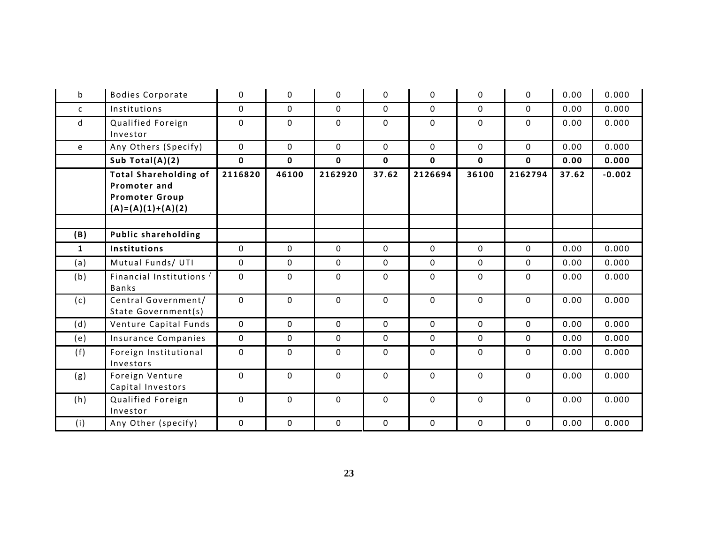| $\mathsf b$  | <b>Bodies Corporate</b>                                                                      | $\mathbf{0}$ | 0            | 0           | 0           | 0           | 0           | 0            | 0.00  | 0.000    |
|--------------|----------------------------------------------------------------------------------------------|--------------|--------------|-------------|-------------|-------------|-------------|--------------|-------|----------|
| $\mathsf{C}$ | Institutions                                                                                 | $\mathbf 0$  | 0            | 0           | 0           | 0           | 0           | $\Omega$     | 0.00  | 0.000    |
| d            | Qualified Foreign<br>Investor                                                                | $\Omega$     | 0            | 0           | 0           | 0           | 0           | 0            | 0.00  | 0.000    |
| e            | Any Others (Specify)                                                                         | $\mathbf 0$  | $\mathbf 0$  | 0           | 0           | $\mathbf 0$ | 0           | $\mathbf 0$  | 0.00  | 0.000    |
|              | Sub Total $(A)(2)$                                                                           | $\mathbf 0$  | $\mathbf 0$  | 0           | $\mathbf 0$ | $\mathbf 0$ | 0           | $\mathbf{0}$ | 0.00  | 0.000    |
|              | <b>Total Shareholding of</b><br>Promoter and<br><b>Promoter Group</b><br>$(A)=(A)(1)+(A)(2)$ | 2116820      | 46100        | 2162920     | 37.62       | 2126694     | 36100       | 2162794      | 37.62 | $-0.002$ |
|              |                                                                                              |              |              |             |             |             |             |              |       |          |
| (B)          | <b>Public shareholding</b>                                                                   |              |              |             |             |             |             |              |       |          |
| $\mathbf{1}$ | Institutions                                                                                 | $\mathbf{0}$ | $\mathbf 0$  | 0           | 0           | $\mathbf 0$ | 0           | $\mathbf{0}$ | 0.00  | 0.000    |
| (a)          | Mutual Funds/ UTI                                                                            | $\mathbf{0}$ | $\mathbf 0$  | $\mathbf 0$ | $\mathbf 0$ | $\mathbf 0$ | $\mathbf 0$ | $\mathbf{0}$ | 0.00  | 0.000    |
| (b)          | Financial Institutions /<br>Banks                                                            | $\mathbf 0$  | $\mathbf{0}$ | $\mathbf 0$ | $\mathbf 0$ | 0           | $\mathbf 0$ | $\mathbf{0}$ | 0.00  | 0.000    |
| (c)          | Central Government/<br>State Government(s)                                                   | $\mathbf{0}$ | $\mathbf 0$  | $\mathbf 0$ | 0           | $\mathbf 0$ | 0           | $\mathbf 0$  | 0.00  | 0.000    |
| (d)          | Venture Capital Funds                                                                        | $\mathbf 0$  | $\mathbf 0$  | 0           | 0           | $\mathbf 0$ | 0           | $\mathbf 0$  | 0.00  | 0.000    |
| (e)          | Insurance Companies                                                                          | $\mathbf{0}$ | 0            | 0           | 0           | 0           | 0           | $\mathbf 0$  | 0.00  | 0.000    |
| (f)          | Foreign Institutional<br>Investors                                                           | $\Omega$     | 0            | 0           | 0           | 0           | 0           | 0            | 0.00  | 0.000    |
| (g)          | Foreign Venture<br>Capital Investors                                                         | $\Omega$     | 0            | 0           | 0           | 0           | 0           | 0            | 0.00  | 0.000    |
| (h)          | Qualified Foreign<br>Investor                                                                | $\Omega$     | 0            | 0           | 0           | 0           | 0           | $\Omega$     | 0.00  | 0.000    |
| (i)          | Any Other (specify)                                                                          | $\mathbf 0$  | $\mathbf 0$  | 0           | 0           | $\mathbf 0$ | 0           | $\mathbf 0$  | 0.00  | 0.000    |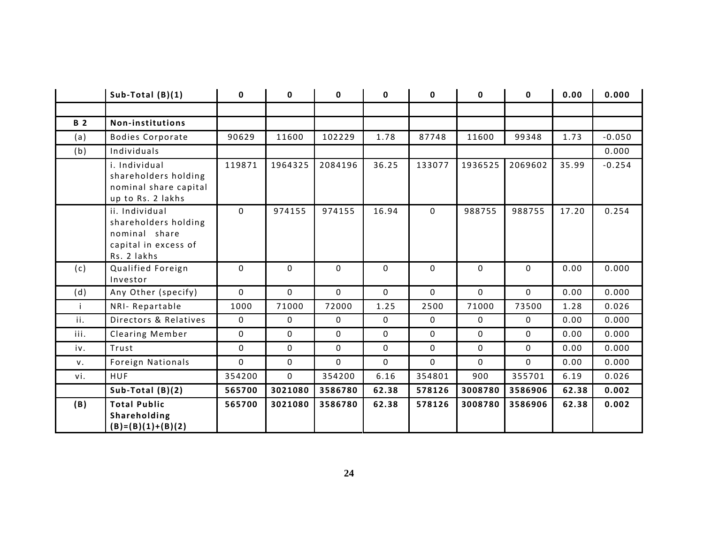|            | Sub-Total $(B)(1)$                                                                             | $\mathbf{0}$ | 0           | 0           | 0        | 0           | 0           | 0        | 0.00  | 0.000    |
|------------|------------------------------------------------------------------------------------------------|--------------|-------------|-------------|----------|-------------|-------------|----------|-------|----------|
|            |                                                                                                |              |             |             |          |             |             |          |       |          |
| <b>B</b> 2 | Non-institutions                                                                               |              |             |             |          |             |             |          |       |          |
| (a)        | <b>Bodies Corporate</b>                                                                        | 90629        | 11600       | 102229      | 1.78     | 87748       | 11600       | 99348    | 1.73  | $-0.050$ |
| (b)        | Individuals                                                                                    |              |             |             |          |             |             |          |       | 0.000    |
|            | i. Individual<br>shareholders holding<br>nominal share capital<br>up to Rs. 2 lakhs            | 119871       | 1964325     | 2084196     | 36.25    | 133077      | 1936525     | 2069602  | 35.99 | $-0.254$ |
|            | ii. Individual<br>shareholders holding<br>nominal share<br>capital in excess of<br>Rs. 2 lakhs | $\Omega$     | 974155      | 974155      | 16.94    | 0           | 988755      | 988755   | 17.20 | 0.254    |
| (c)        | Qualified Foreign<br>Investor                                                                  | $\Omega$     | $\mathbf 0$ | $\Omega$    | $\Omega$ | $\Omega$    | $\Omega$    | $\Omega$ | 0.00  | 0.000    |
| (d)        | Any Other (specify)                                                                            | $\mathbf 0$  | $\mathbf 0$ | $\mathbf 0$ | 0        | $\mathbf 0$ | $\Omega$    | 0        | 0.00  | 0.000    |
|            | NRI-Repartable                                                                                 | 1000         | 71000       | 72000       | 1.25     | 2500        | 71000       | 73500    | 1.28  | 0.026    |
| ii.        | Directors & Relatives                                                                          | 0            | 0           | $\mathbf 0$ | 0        | 0           | $\mathbf 0$ | 0        | 0.00  | 0.000    |
| iii.       | Clearing Member                                                                                | 0            | 0           | 0           | 0        | 0           | 0           | 0        | 0.00  | 0.000    |
| iv.        | Trust                                                                                          | $\Omega$     | $\mathbf 0$ | 0           | 0        | 0           | 0           | 0        | 0.00  | 0.000    |
| V.         | Foreign Nationals                                                                              | 0            | 0           | 0           | 0        | 0           | 0           | 0        | 0.00  | 0.000    |
| vi.        | <b>HUF</b>                                                                                     | 354200       | $\mathbf 0$ | 354200      | 6.16     | 354801      | 900         | 355701   | 6.19  | 0.026    |
|            | Sub-Total $(B)(2)$                                                                             | 565700       | 3021080     | 3586780     | 62.38    | 578126      | 3008780     | 3586906  | 62.38 | 0.002    |
| (B)        | <b>Total Public</b><br>Shareholding<br>$(B)=(B)(1)+(B)(2)$                                     | 565700       | 3021080     | 3586780     | 62.38    | 578126      | 3008780     | 3586906  | 62.38 | 0.002    |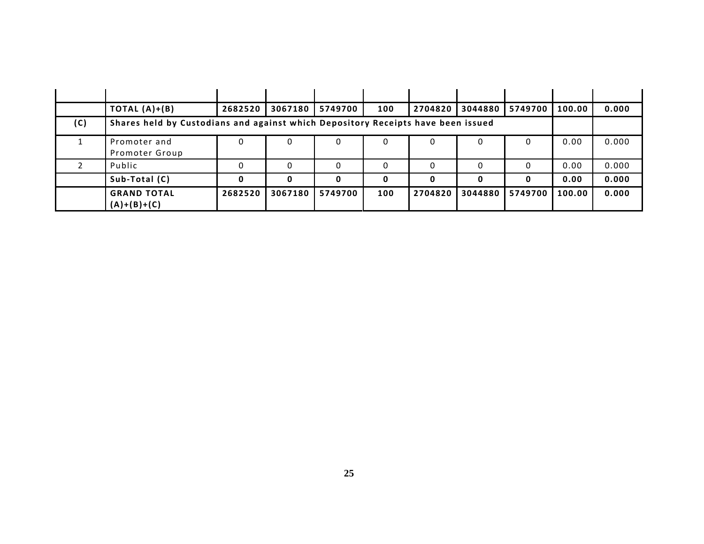|     | TOTAL $(A)+(B)$                                                                  | 2682520 | 3067180 | 5749700 | 100 | 2704820 | 3044880 | 5749700 | 100.00 | 0.000 |
|-----|----------------------------------------------------------------------------------|---------|---------|---------|-----|---------|---------|---------|--------|-------|
| (C) | Shares held by Custodians and against which Depository Receipts have been issued |         |         |         |     |         |         |         |        |       |
|     | Promoter and<br>Promoter Group                                                   | 0       |         |         | 0   | 0       | 0       | 0       | 0.00   | 0.000 |
|     | Public                                                                           |         |         |         |     | 0       |         |         | 0.00   | 0.000 |
|     | Sub-Total (C)                                                                    | 0       |         |         |     |         | 0       | 0       | 0.00   | 0.000 |
|     | <b>GRAND TOTAL</b><br>$(A)+(B)+(C)$                                              | 2682520 | 3067180 | 5749700 | 100 | 2704820 | 3044880 | 5749700 | 100.00 | 0.000 |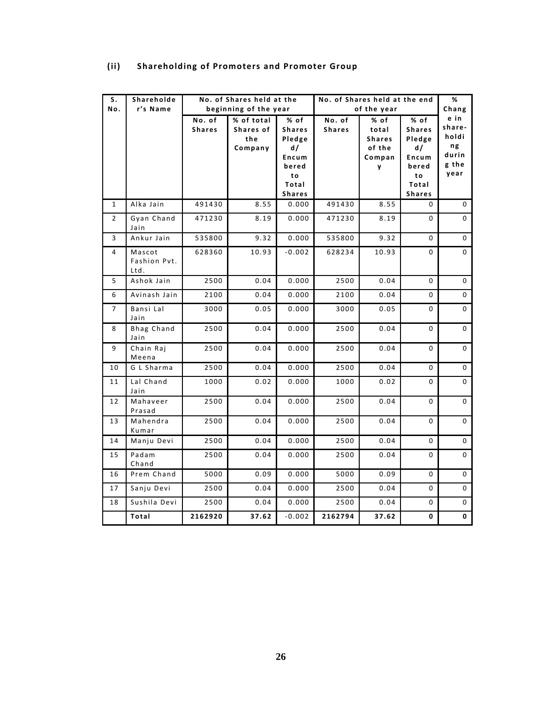| S.             | Shareholde                |                         | No. of Shares held at the<br>beginning of the year |                       |                         | No. of Shares held at the end |                       |               |  |
|----------------|---------------------------|-------------------------|----------------------------------------------------|-----------------------|-------------------------|-------------------------------|-----------------------|---------------|--|
| No.            | r's Name                  |                         |                                                    |                       |                         | of the year                   |                       | Chang<br>e in |  |
|                |                           | No. of<br><b>Shares</b> | % of total<br>Shares of                            | % of<br><b>Shares</b> | No. of<br><b>Shares</b> | % of<br>total                 | % of<br><b>Shares</b> | share-        |  |
|                |                           |                         | the                                                | Pledge                |                         | <b>Shares</b>                 | Pledge                | holdi         |  |
|                |                           |                         | Company                                            | d/                    |                         | of the                        | d/                    | ng            |  |
|                |                           |                         |                                                    | Encum                 |                         | Compan                        | Encum                 | durin         |  |
|                |                           |                         |                                                    | bered                 |                         | y                             | bered                 | g the         |  |
|                |                           |                         |                                                    | to                    |                         |                               | to                    | year          |  |
|                |                           |                         |                                                    | Total                 |                         |                               | Total                 |               |  |
|                |                           |                         |                                                    | <b>Shares</b>         |                         |                               | <b>Shares</b>         |               |  |
| $\mathbf{1}$   | Alka Jain                 | 491430                  | 8.55                                               | 0.000                 | 491430                  | 8.55                          | 0                     | 0             |  |
| $\overline{2}$ | Gyan Chand<br>Jain        | 471230                  | 8.19                                               | 0.000                 | 471230                  | 8.19                          | $\Omega$              | 0             |  |
| 3              | Ankur Jain                | 535800                  | 9.32                                               | 0.000                 | 535800                  | 9.32                          | 0                     | $\mathbf 0$   |  |
| 4              | Mascot<br>Fashion Pvt.    | 628360                  | 10.93                                              | $-0.002$              | 628234                  | 10.93                         | $\mathbf 0$           | 0             |  |
|                | Ltd.                      |                         |                                                    |                       |                         |                               |                       |               |  |
| 5              | Ashok Jain                | 2500                    | 0.04                                               | 0.000                 | 2500                    | 0.04                          | $\mathbf 0$           | $\mathbf 0$   |  |
| 6              | Avinash Jain              | 2100                    | 0.04                                               | 0.000                 | 2100                    | 0.04                          | 0                     | 0             |  |
| 7              | Bansi Lal<br>Jain         | 3000                    | 0.05                                               | 0.000                 | 3000                    | 0.05                          | $\mathbf 0$           | 0             |  |
| 8              | <b>Bhag Chand</b><br>Jain | 2500                    | 0.04                                               | 0.000                 | 2500                    | 0.04                          | $\mathbf 0$           | $\mathbf 0$   |  |
| 9              | Chain Raj<br>Meena        | 2500                    | 0.04                                               | 0.000                 | 2500                    | 0.04                          | $\mathbf 0$           | $\mathbf 0$   |  |
| 10             | G L Sharma                | 2500                    | 0.04                                               | 0.000                 | 2500                    | 0.04                          | $\mathbf 0$           | 0             |  |
| 11             | Lal Chand<br>Jain         | 1000                    | 0.02                                               | 0.000                 | 1000                    | 0.02                          | $\mathbf 0$           | $\mathbf 0$   |  |
| 12             | Mahaveer<br>Prasad        | 2500                    | 0.04                                               | 0.000                 | 2500                    | 0.04                          | 0                     | 0             |  |
| 13             | Mahendra<br>Kumar         | 2500                    | 0.04                                               | 0.000                 | 2500                    | 0.04                          | 0                     | $\mathbf 0$   |  |
| 14             | Manju Devi                | 2500                    | 0.04                                               | 0.000                 | 2500                    | 0.04                          | 0                     | 0             |  |
| 15             | Padam<br>Chand            | 2500                    | 0.04                                               | 0.000                 | 2500                    | 0.04                          | 0                     | 0             |  |
| 16             | Prem Chand                | 5000                    | 0.09                                               | 0.000                 | 5000                    | 0.09                          | $\mathbf 0$           | $\mathbf 0$   |  |
| 17             | Sanju Devi                | 2500                    | 0.04                                               | 0.000                 | 2500                    | 0.04                          | 0                     | 0             |  |
| 18             | Sushila Devi              | 2500                    | 0.04                                               | 0.000                 | 2500                    | 0.04                          | 0                     | 0             |  |
|                | Total                     | 2162920                 | 37.62                                              | $-0.002$              | 2162794                 | 37.62                         | 0                     | 0             |  |

# **(ii)** Shareholding of Promoters and Promoter Group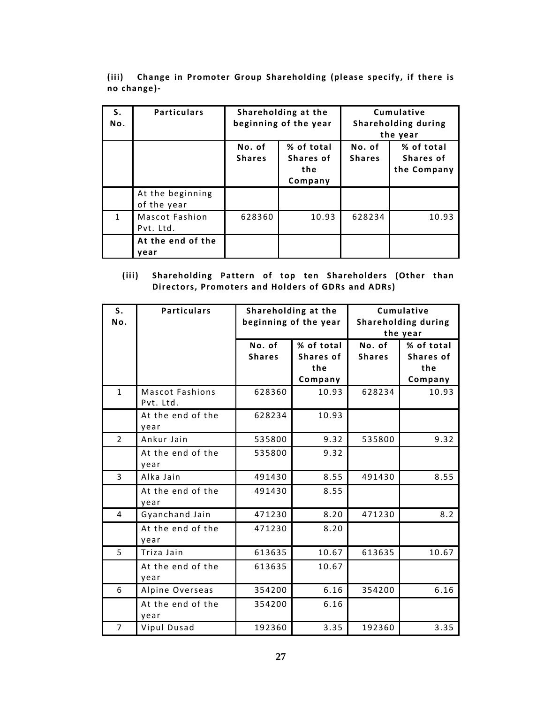|             |  | (iii) Change in Promoter Group Shareholding (please specify, if there is |  |  |  |
|-------------|--|--------------------------------------------------------------------------|--|--|--|
| no change)- |  |                                                                          |  |  |  |

| S.<br>No. | <b>Particulars</b>              |                         | Shareholding at the<br>beginning of the year | Cumulative<br>Shareholding during<br>the year |                                        |  |
|-----------|---------------------------------|-------------------------|----------------------------------------------|-----------------------------------------------|----------------------------------------|--|
|           |                                 | No. of<br><b>Shares</b> | % of total<br>Shares of<br>the<br>Company    | No. of<br><b>Shares</b>                       | % of total<br>Shares of<br>the Company |  |
|           | At the beginning<br>of the year |                         |                                              |                                               |                                        |  |
| 1         | Mascot Fashion<br>Pvt. Ltd.     | 628360                  | 10.93                                        | 628234                                        | 10.93                                  |  |
|           | At the end of the<br>vear       |                         |                                              |                                               |                                        |  |

# **(iii) Shareholding Pattern o f top ten Shareholders (Other than Directors, Promoters and Holders of GDRs and ADRs)**

| S.<br>No.      | <b>Particulars</b>           | Shareholding at the<br>beginning of the year |                                           | Cumulative<br>Shareholding during<br>the year |                                           |
|----------------|------------------------------|----------------------------------------------|-------------------------------------------|-----------------------------------------------|-------------------------------------------|
|                |                              | No. of<br><b>Shares</b>                      | % of total<br>Shares of<br>the<br>Company | No. of<br><b>Shares</b>                       | % of total<br>Shares of<br>the<br>Company |
| $\mathbf{1}$   | Mascot Fashions<br>Pvt. Ltd. | 628360                                       | 10.93                                     | 628234                                        | 10.93                                     |
|                | At the end of the<br>year    | 628234                                       | 10.93                                     |                                               |                                           |
| $\overline{2}$ | Ankur Jain                   | 535800                                       | 9.32                                      | 535800                                        | 9.32                                      |
|                | At the end of the<br>year    | 535800                                       | 9.32                                      |                                               |                                           |
| 3              | Alka Jain                    | 491430                                       | 8.55                                      | 491430                                        | 8.55                                      |
|                | At the end of the<br>year    | 491430                                       | 8.55                                      |                                               |                                           |
| 4              | Gyanchand Jain               | 471230                                       | 8.20                                      | 471230                                        | 8.2                                       |
|                | At the end of the<br>year    | 471230                                       | 8.20                                      |                                               |                                           |
| 5              | Triza Jain                   | 613635                                       | 10.67                                     | 613635                                        | 10.67                                     |
|                | At the end of the<br>year    | 613635                                       | 10.67                                     |                                               |                                           |
| 6              | Alpine Overseas              | 354200                                       | 6.16                                      | 354200                                        | 6.16                                      |
|                | At the end of the<br>year    | 354200                                       | 6.16                                      |                                               |                                           |
| $\overline{7}$ | Vipul Dusad                  | 192360                                       | 3.35                                      | 192360                                        | 3.35                                      |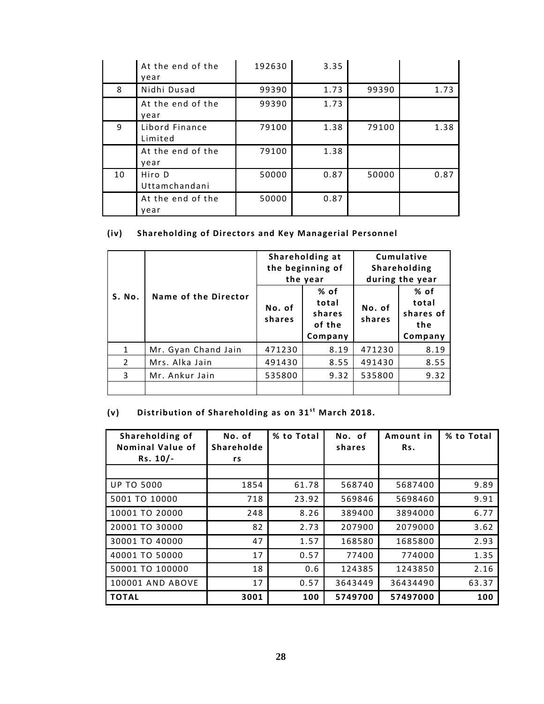|    | At the end of the         | 192630 | 3.35 |       |      |
|----|---------------------------|--------|------|-------|------|
|    | year                      |        |      |       |      |
| 8  | Nidhi Dusad               | 99390  | 1.73 | 99390 | 1.73 |
|    | At the end of the<br>year | 99390  | 1.73 |       |      |
| 9  | Libord Finance<br>Limited | 79100  | 1.38 | 79100 | 1.38 |
|    | At the end of the<br>year | 79100  | 1.38 |       |      |
| 10 | Hiro D<br>Uttamchandani   | 50000  | 0.87 | 50000 | 0.87 |
|    | At the end of the<br>year | 50000  | 0.87 |       |      |

# **(iv) Shareholding o f Directors and Key Managerial Personnel**

|                |                      | Shareholding at<br>the beginning of<br>the year |                                              | Cumulative<br>Shareholding<br>during the year |                                                |  |
|----------------|----------------------|-------------------------------------------------|----------------------------------------------|-----------------------------------------------|------------------------------------------------|--|
| S. No.         | Name of the Director | No. of<br>shares                                | % of<br>total<br>shares<br>of the<br>Company | No. of<br>shares                              | $%$ of<br>total<br>shares of<br>the<br>Company |  |
| 1              | Mr. Gyan Chand Jain  | 471230                                          | 8.19                                         | 471230                                        | 8.19                                           |  |
| $\overline{2}$ | Mrs. Alka Jain       | 491430                                          | 8.55                                         | 491430                                        | 8.55                                           |  |
| 3              | Mr. Ankur Jain       | 535800                                          | 9.32                                         | 535800                                        | 9.32                                           |  |
|                |                      |                                                 |                                              |                                               |                                                |  |

# (v) **Distribution of Shareholding as on 31st March 2018.**

| Shareholding of<br>Nominal Value of<br>$Rs. 10/-$ | No. of<br>Shareholde<br>rs | % to Total | No. of<br>shares | Amount in<br>Rs. | % to Total |
|---------------------------------------------------|----------------------------|------------|------------------|------------------|------------|
|                                                   |                            |            |                  |                  |            |
| <b>UP TO 5000</b>                                 | 1854                       | 61.78      | 568740           | 5687400          | 9.89       |
| 5001 TO 10000                                     | 718                        | 23.92      | 569846           | 5698460          | 9.91       |
| 10001 TO 20000                                    | 248                        | 8.26       | 389400           | 3894000          | 6.77       |
| 20001 TO 30000                                    | 82                         | 2.73       | 207900           | 2079000          | 3.62       |
| 30001 TO 40000                                    | 47                         | 1.57       | 168580           | 1685800          | 2.93       |
| 40001 TO 50000                                    | 17                         | 0.57       | 77400            | 774000           | 1.35       |
| 50001 TO 100000                                   | 18                         | 0.6        | 124385           | 1243850          | 2.16       |
| <b>100001 AND ABOVE</b>                           | 17                         | 0.57       | 3643449          | 36434490         | 63.37      |
| <b>TOTAL</b>                                      | 3001                       | 100        | 5749700          | 57497000         | 100        |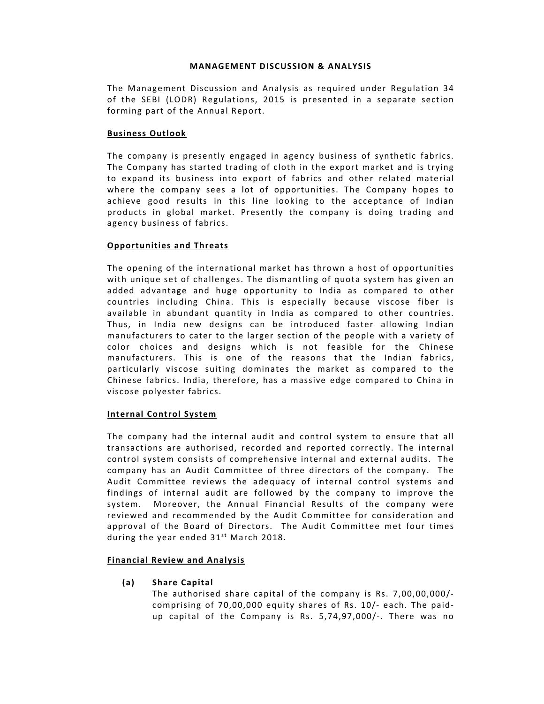## **MANAGEMENT DISCUSSION & ANALYSIS**

The Management Discussion and Analysis as required under Regulation 34 of the SEBI (LODR) Regulations, 2015 is presented in a separate section forming part of the Annual Report.

# **Business Outlook**

The company is presently engaged in agency business of synthetic fabrics. The Company has started trading of cloth in the export market and is trying to expand its business into export of fabrics and other related material where the company sees a lot of opportunities. The Company hopes to achieve good results in this line looking to the acceptance of Indian products in global market. Presently the company is doing trading and agency business of fabrics.

# **Opportunities and Threats**

The opening of the international market has thrown a host of opportunities with unique set of challenges. The dismantling of quota system has given an added advantage and huge opportunity to India as compared to other countries including China. This is especially because viscose fiber is available in abundant quantity in India as compared to other countries. Thus, in India new designs can be introduced faster allowing Indian manufacturers to cater to the larger section of the people with a variety of color choices and designs which is not feasible for the Chinese manufacturers. This is one of the reasons that the Indian fabrics, particularly viscose suiting dominates the market as compared to the Chinese fabrics. India, therefore, has a massive edge compared to China in viscose polyester fabrics.

## **Internal Control System**

The company had the internal audit and control system to ensure that all transactions are authorised, recorded and reported correctly. The internal control system consists of comprehensive internal and external audits. The company has an Audit Committee of three directors of the company. The Audit Committee reviews the adequacy of internal control systems and findings of internal audit are followed by the company to improve the system. Moreover, the Annual Financial Results of the company were reviewed and recommended by the Audit Committee for consideration and approval of the Board of Directors. The Audit Committee met four times during the year ended  $31^{st}$  March 2018.

# **Financial Review and Analysis**

**(a) Share Capital**

The authorised share capital of the company is Rs.  $7,00,00,000/$ comprising of  $70,00,000$  equity shares of Rs.  $10/-$  each. The paidup capital of the Company is Rs. 5,74,97,000/-. There was no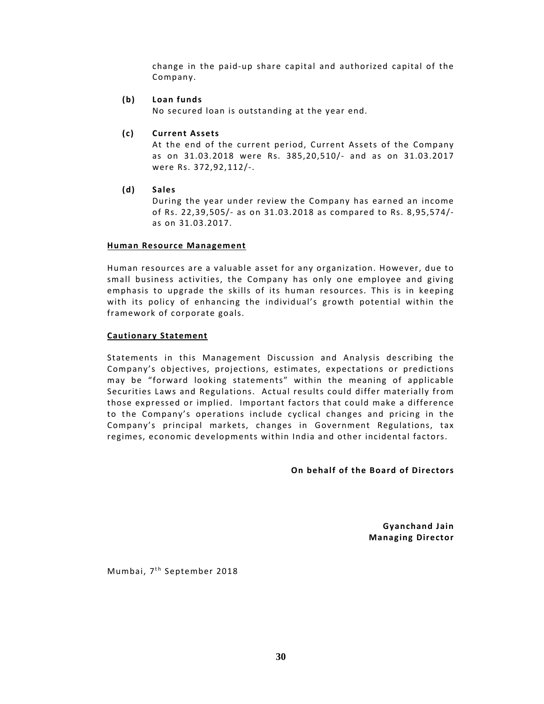change in the paid-up share capital and authorized capital of the Company.

## **(b) Loan funds**

No secured loan is outstanding at the year end.

# **(c) Current Assets**

At the end of the current period, Current Assets of the Company as on 31.03.2018 were Rs. 385,20,510/‐ and as on 31.03.2017 were Rs. 372,92,112/‐.

**(d) Sales**

During the year under review the Company has earned an income o f Rs. 22,39,505/‐ as on 31.03.2018 as compared to Rs. 8,95,574/‐ as on 31.03.2017.

## **Human Resource Management**

Human resources are a valuable asset for any organization. However, due to small business activities, the Company has only one employee and giving emphasis to upgrade the skills of its human resources. This is in keeping with its policy of enhancing the individual's growth potential within the framework of corporate goals.

# **Cautionary Statement**

Statements in this Management Discussion and Analysis describing the Company's objectives, projections, estimates, expectations or predictions may be "forward looking statements" within the meaning of applicable Securities Laws and Regulations. Actual results could differ materially from those expressed or implied. Important factors that could make a difference to the Company's operations include cyclical changes and pricing in the Company's principal markets, changes in Government Regulations, tax regimes, economic developments within India and other incidental factors.

**On** behalf of the Board of Directors

**Gyanchand Jain Managing Director** 

Mumbai, 7<sup>th</sup> September 2018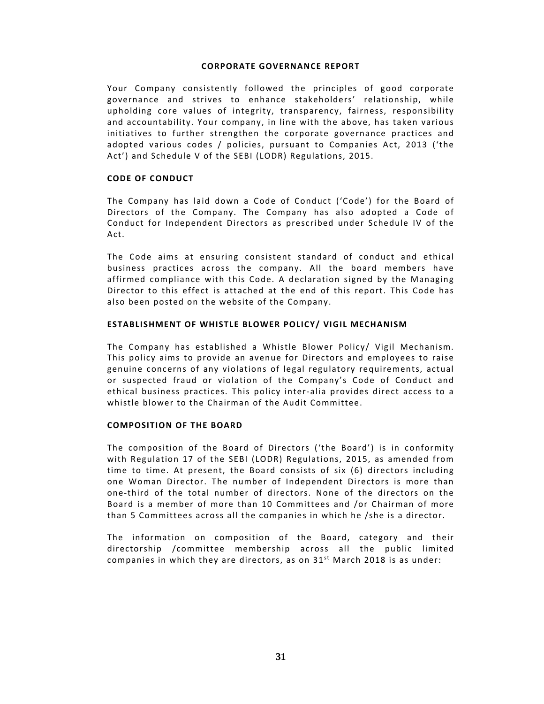## **CORPORATE GOVERNANCE REPORT**

Your Company consistently followed the principles of good corporate governance and strives to enhance stakeholders' relationship, while upholding core values of integrity, transparency, fairness, responsibility and accountability. Your company, in line with the above, has taken various initiatives to further strengthen the corporate governance practices and adopted various codes / policies, pursuant to Companies Act, 2013 ('the Act') and Schedule V of the SEBI (LODR) Regulations, 2015.

### **CODE OF CONDUCT**

The Company has laid down a Code of Conduct ('Code') for the Board of Directors of the Company. The Company has also adopted a Code of Conduct for Independent Directors as prescribed under Schedule IV of the Act.

The Code aims at ensuring consistent standard of conduct and ethical business practices across the company. All the board members have affirmed compliance with this Code. A declaration signed by the Managing Director to this effect is attached at the end of this report. This Code has also been posted on the website of the Company.

## **ESTABLISHMENT OF WHISTLE BLOWER POLICY/ VIGIL MECHANISM**

The Company has established a Whistle Blower Policy/ Vigil Mechanism. This policy aims to provide an avenue for Directors and employees to raise genuine concerns of any violations of legal regulatory requirements, actual or suspected fraud or violation of the Company's Code of Conduct and ethical business practices. This policy inter‐alia provides direct access to a whistle blower to the Chairman of the Audit Committee.

## **COMPOSITION OF THE BOARD**

The composition of the Board of Directors ('the Board') is in conformity with Regulation 17 of the SEBI (LODR) Regulations, 2015, as amended from time to time. At present, the Board consists of  $six$  (6) directors including one Woman Director. The number of Independent Directors is more than one-third of the total number of directors. None of the directors on the Board is a member of more than 10 Committees and /or Chairman of more than 5 Committees across all the companies in which he /she is a director.

The information on composition of the Board, category and their directorship /committee membership across all the public limited companies in which they are directors, as on  $31<sup>st</sup>$  March 2018 is as under: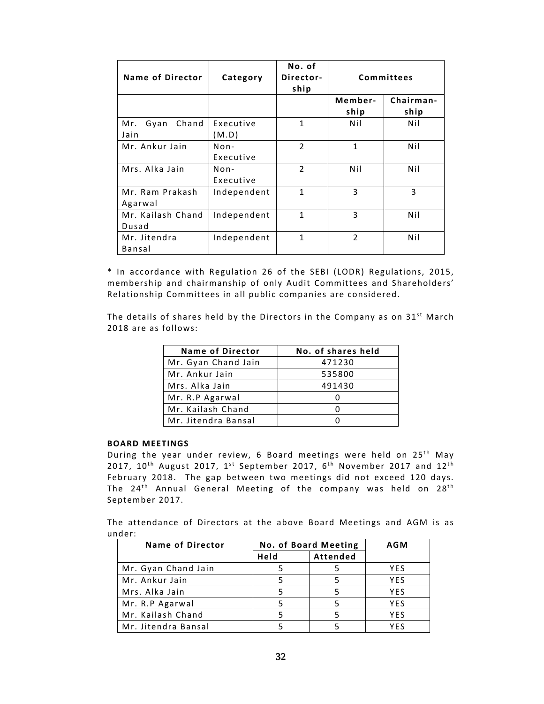| <b>Name of Director</b>      | Category            | No. of<br>Director-<br>ship |                 | <b>Committees</b> |
|------------------------------|---------------------|-----------------------------|-----------------|-------------------|
|                              |                     |                             | Member-<br>ship | Chairman-<br>ship |
| Chand<br>Gyan<br>Mr.<br>Jain | Executive<br>(M.D)  | $\mathbf{1}$                | Nil             | Nil               |
| Mr. Ankur Jain               | $Non-$<br>Executive | $\overline{2}$              | $\mathbf{1}$    | Nil               |
| Mrs. Alka Jain               | $Non-$<br>Executive | $\overline{2}$              | Nil             | Nil               |
| Mr. Ram Prakash<br>Agarwal   | Independent         | $\mathbf{1}$                | 3               | 3                 |
| Mr. Kailash Chand<br>Dusad   | Independent         | $\mathbf{1}$                | 3               | Nil               |
| Mr. Jitendra<br>Bansal       | Independent         | 1                           | $\overline{2}$  | Nil               |

\* In accordance with Regulation 26 of the SEBI (LODR) Regulations, 2015, membership and chairmanship of only Audit Committees and Shareholders' Relationship Committees in all public companies are considered.

The details of shares held by the Directors in the Company as on  $31^{st}$  March 2018 are as follows:

| <b>Name of Director</b> | No. of shares held |
|-------------------------|--------------------|
| Mr. Gyan Chand Jain     | 471230             |
| Mr. Ankur Jain          | 535800             |
| Mrs. Alka Jain          | 491430             |
| Mr. R.P Agarwal         |                    |
| Mr. Kailash Chand       |                    |
| Mr. Jitendra Bansal     |                    |

#### **BOARD MEETINGS**

During the year under review, 6 Board meetings were held on 25<sup>th</sup> May 2017,  $10^{th}$  August 2017,  $1^{st}$  September 2017,  $6^{th}$  November 2017 and  $12^{th}$ February 2018. The gap between two meetings did not exceed 120 days. The 24<sup>th</sup> Annual General Meeting of the company was held on 28<sup>th</sup> September 2017.

The attendance of Directors at the above Board Meetings and AGM is as under:

| <b>Name of Director</b> | No. of Board Meeting |          | <b>AGM</b> |
|-------------------------|----------------------|----------|------------|
|                         | Held                 | Attended |            |
| Mr. Gyan Chand Jain     |                      |          | YES        |
| Mr. Ankur Jain          |                      |          | <b>YES</b> |
| Mrs. Alka Jain          |                      |          | <b>YES</b> |
| Mr. R.P Agarwal         |                      |          | YES        |
| Mr. Kailash Chand       |                      |          | <b>YFS</b> |
| Mr. Jitendra Bansal     |                      |          | YFS        |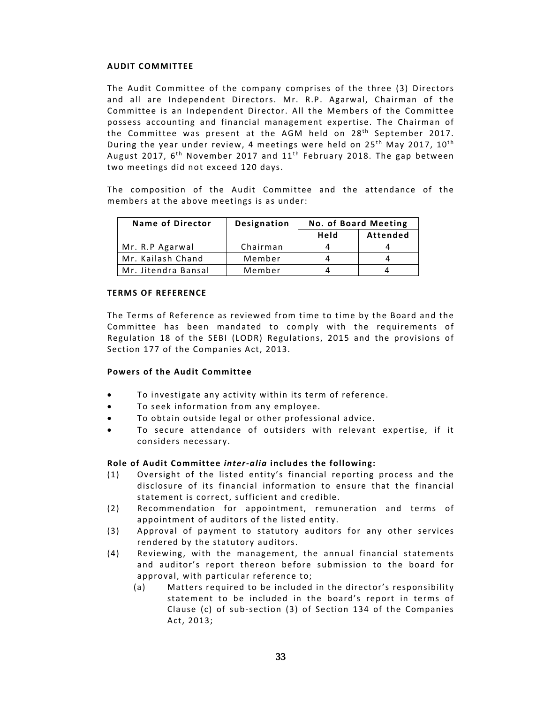## **AUDIT COMMITTEE**

The Audit Committee of the company comprises of the three (3) Directors and all are Independent Directors. Mr. R.P. Agarwal, Chairman of the Committee is an Independent Director. All the Members of the Committee possess accounting and financial management expertise. The Chairman of the Committee was present at the AGM held on  $28^{th}$  September 2017. During the year under review, 4 meetings were held on  $25<sup>th</sup>$  May 2017,  $10<sup>th</sup>$ August 2017,  $6^{th}$  November 2017 and  $11^{th}$  February 2018. The gap between two meetings did not exceed 120 days.

The composition of the Audit Committee and the attendance of the members at the above meetings is as under:

| Name of Director    | <b>Designation</b> | No. of Board Meeting |          |
|---------------------|--------------------|----------------------|----------|
|                     |                    | Held                 | Attended |
| Mr. R.P Agarwal     | Chairman           |                      |          |
| Mr. Kailash Chand   | Member             |                      |          |
| Mr. Jitendra Bansal | Member             |                      |          |

## **TERMS OF REFERENCE**

The Terms of Reference as reviewed from time to time by the Board and the Committee has been mandated to comply with the requirements of Regulation 18 of the SEBI (LODR) Regulations, 2015 and the provisions of Section 177 of the Companies Act, 2013.

# **Powers of the Audit Committee**

- To investigate any activity within its term of reference.
- To seek information from any employee.
- To obtain outside legal or other professional advice.
- To secure attendance of outsiders with relevant expertise, if it considers necessary.

# **Role o f Audit Committee** *inter‐alia* **includes the following:**

- (1) Oversight of the listed entity's financial reporting process and the disclosure of its financial information to ensure that the financial statement is correct, sufficient and credible.
- (2) Recommendation for appointment, remuneration and terms of appointment of auditors of the listed entity.
- (3) Approval of payment to statutory auditors for any other services rendered by the statutory auditors.
- (4) Reviewing, with the management, the annual financial statements and auditor's report thereon before submission to the board for approval, with particular reference to;
	- (a) Matters required to be included in the director's responsibility statement to be included in the board's report in terms of Clause (c) of sub-section  $(3)$  of Section 134 of the Companies Act, 2013;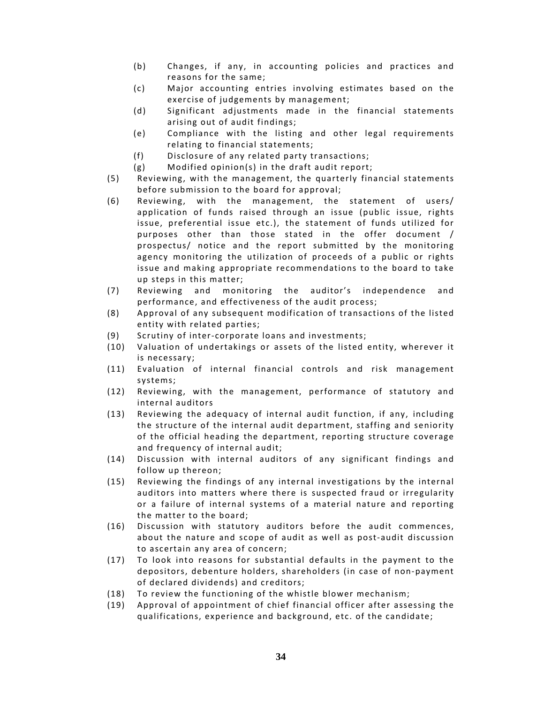- (b) Changes, if any, in accounting policies and practices and reasons for the same;
- (c) Major accounting entries involving estimates based on the exercise of judgements by management;
- (d) Significant adjustments made in the financial statements arising out of audit findings;
- (e) Compliance with the listing and other legal requirements relating to financial statements;
- (f) Disclosure of any related party transactions;
- (g) Modified opinion(s) in the draft audit report;
- (5) Reviewing, with the management, the quarterly financial statements before submission to the board for approval;
- (6) Reviewing, with the management, the statement of users/ application of funds raised through an issue (public issue, rights issue, preferential issue etc.), the statement of funds utilized for purposes other than those stated in the offer document / prospectus/ notice and the report submitted by the monitoring agency monitoring the utilization of proceeds of a public or rights issue and making appropriate recommendations to the board to take up steps in this matter;
- (7) Reviewing and monitoring the auditor's independence and performance, and effectiveness of the audit process;
- (8) Approval of any subsequent modification of transactions of the listed entity with related parties;
- (9) Scrutiny of inter-corporate loans and investments;
- (10) Valuation of undertakings or assets of the listed entity, wherever it is necessary;
- (11) Evaluation of internal financial controls and risk management systems;
- (12) Reviewing, with the management, performance of statutory and internal auditors
- (13) Reviewing the adequacy of internal audit function, if any, including the structure of the internal audit department, staffing and seniority of the official heading the department, reporting structure coverage and frequency of internal audit;
- (14) Discussion with internal auditors of any significant findings and follow up thereon;
- (15) Reviewing the findings of any internal investigations by the internal auditors into matters where there is suspected fraud or irregularity or a failure of internal systems of a material nature and reporting the matter to the board;
- (16) Discussion with statutory auditors before the audit commences, about the nature and scope of audit as well as post-audit discussion to ascertain any area of concern:
- (17) To look into reasons for substantial defaults in the payment to the depositors, debenture holders, shareholders (in case of non-payment of declared dividends) and creditors;
- (18) To review the functioning of the whistle blower mechanism;
- (19) Approval of appointment of chief financial officer after assessing the qualifications, experience and background, etc. of the candidate;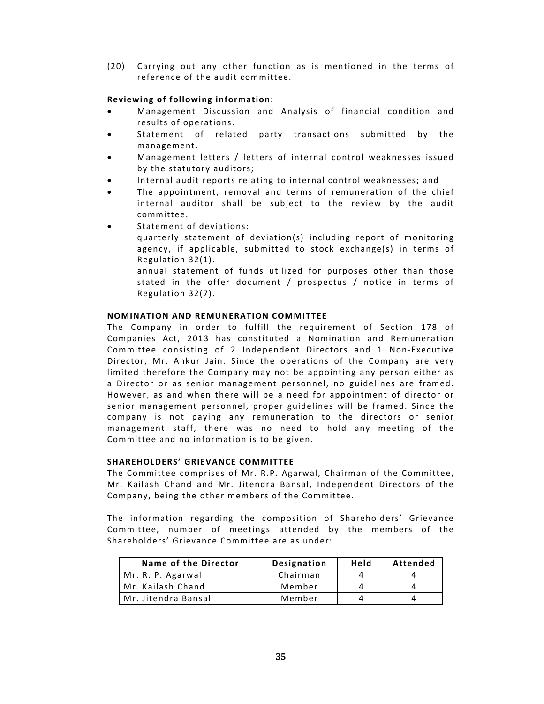(20) Carrying out any other function as is mentioned in the terms of reference of the audit committee.

# **Reviewing of following information:**

- Management Discussion and Analysis of financial condition and results of operations.
- Statement of related party transactions submitted by the management.
- Management letters / letters of internal control weaknesses issued by the statutory auditors;
- Internal audit reports relating to internal control weaknesses; and
- The appointment, removal and terms of remuneration of the chief internal auditor shall be subject to the review by the audit committee.
- Statement of deviations:
	- quarterly statement of deviation(s) including report of monitoring agency, if applicable, submitted to stock exchange(s) in terms of Regulation 32(1).

annual statement of funds utilized for purposes other than those stated in the offer document / prospectus / notice in terms of Regulation 32(7).

## **NOMINATION AND REMUNERATION COMMITTEE**

The Company in order to fulfill the requirement of Section 178 of Companies Act, 2013 has constituted a Nomination and Remuneration Committee consisting of 2 Independent Directors and 1 Non-Executive Director, Mr. Ankur Jain. Since the operations of the Company are very limited therefore the Company may not be appointing any person either as a Director or as senior management personnel, no guidelines are framed. However, as and when there will be a need for appointment of director or senior management personnel, proper guidelines will be framed. Since the company is not paying any remuneration to the directors or senior management staff, there was no need to hold any meeting of the Committee and no information is to be given.

## **SHAREHOLDERS' GRIEVANCE COMMITTEE**

The Committee comprises of Mr. R.P. Agarwal, Chairman of the Committee, Mr. Kailash Chand and Mr. Jitendra Bansal, Independent Directors of the Company, being the other members of the Committee.

The information regarding the composition of Shareholders' Grievance Committee, number of meetings attended by the members of the Shareholders' Grievance Committee are as under:

| Name of the Director | <b>Designation</b> | Held | Attended |
|----------------------|--------------------|------|----------|
| Mr. R. P. Agarwal    | Chairman           |      |          |
| Mr. Kailash Chand    | Member             |      | Д        |
| Mr. Jitendra Bansal  | Member             |      | Д        |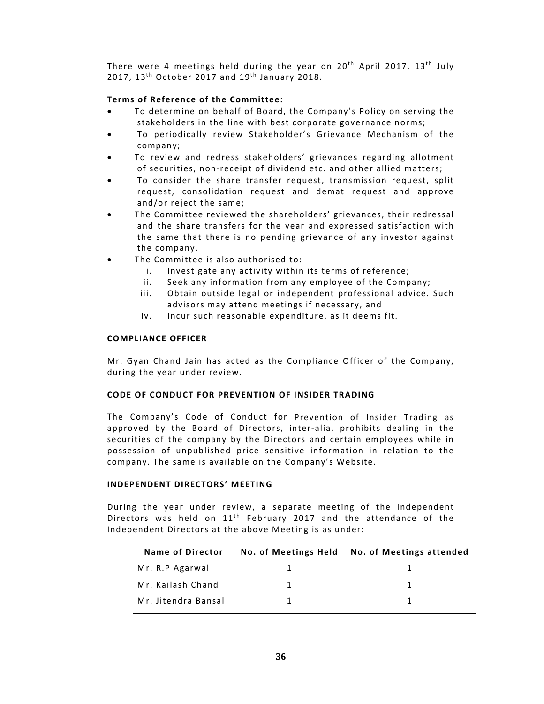There were 4 meetings held during the year on  $20<sup>th</sup>$  April 2017, 13<sup>th</sup> July 2017,  $13<sup>th</sup>$  October 2017 and  $19<sup>th</sup>$  January 2018.

# **Terms** of Reference of the Committee:

- To determine on behalf of Board, the Company's Policy on serving the stakeholders in the line with best corporate governance norms;
- To periodically review Stakeholder's Grievance Mechanism of the company;
- To review and redress stakeholders' grievances regarding allotment of securities, non-receipt of dividend etc. and other allied matters;
- To consider the share transfer request, transmission request, split request, consolidation request and demat request and approve and/or reject the same;
- The Committee reviewed the shareholders' grievances, their redressal and the share transfers for the year and expressed satisfaction with the same that there is no pending grievance of any investor against the company.
- The Committee is also authorised to:
	- i. Investigate any activity within its terms of reference;
	- ii. Seek any information from any employee of the Company;
	- iii. Obtain outside legal or independent professional advice. Such advisors may attend meetings if necessary, and
	- iv. Incur such reasonable expenditure, as it deems fit.

## **COMPLIANCE OFFICER**

Mr. Gyan Chand Jain has acted as the Compliance Officer of the Company, during the year under review.

## **CODE OF CONDUCT FOR PREVENTION OF INSIDER TRADING**

The Company's Code of Conduct for Prevention of Insider Trading as approved by the Board of Directors, inter-alia, prohibits dealing in the securities of the company by the Directors and certain employees while in possession of unpublished price sensitive information in relation to the company. The same is available on the Company's Website.

# **INDEPENDENT DIRECTORS' MEETING**

During the year under review, a separate meeting of the Independent Directors was held on  $11<sup>th</sup>$  February 2017 and the attendance of the Independent Directors at the above Meeting is as under:

| <b>Name of Director</b> | No. of Meetings Held | No. of Meetings attended |
|-------------------------|----------------------|--------------------------|
| Mr. R.P Agarwal         |                      |                          |
| Mr. Kailash Chand       |                      |                          |
| Mr. Jitendra Bansal     |                      |                          |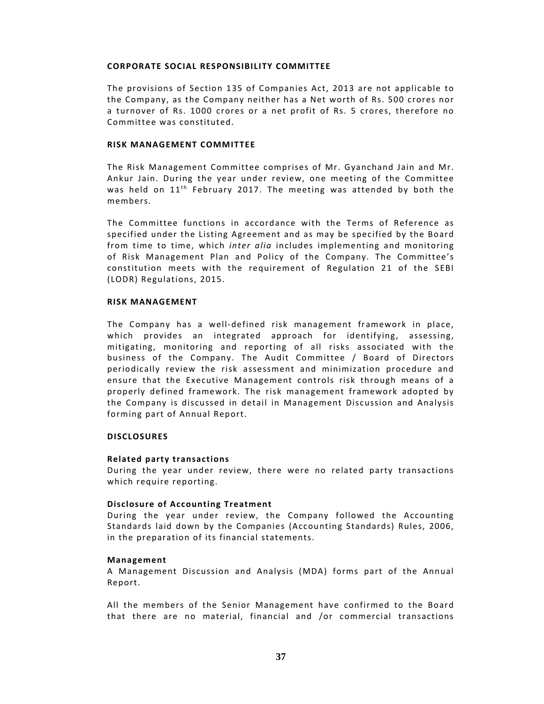## **CORPORATE SOCIAL RESPONSIBILITY COMMITTEE**

The provisions of Section 135 of Companies Act, 2013 are not applicable to the Company, as the Company neither has a Net worth of Rs. 500 crores nor a turnover of Rs. 1000 crores or a net profit of Rs. 5 crores, therefore no Committee was constituted.

## **RISK MANAGEMENT COMMITTEE**

The Risk Management Committee comprises of Mr. Gyanchand Jain and Mr. Ankur Jain. During the year under review, one meeting of the Committee was held on  $11<sup>th</sup>$  February 2017. The meeting was attended by both the members.

The Committee functions in accordance with the Terms of Reference as specified under the Listing Agreement and as may be specified by the Board from time to time, which *inter alia* includes implementing and monitoring of Risk Management Plan and Policy of the Company. The Committee's constitution meets with the requirement of Regulation 21 of the SEBI (LODR) Regulations, 2015.

#### **RISK MANAGEMENT**

The Company has a well‐defined risk management framework in place, which provides an integrated approach for identifying, assessing, mitigating, monitoring and reporting of all risks associated with the business of the Company. The Audit Committee / Board of Directors periodically review the risk assessment and minimization procedure and ensure that the Executive Management controls risk through means of a properly defined framework. The risk management framework adopted by the Company is discussed in detail in Management Discussion and Analysis forming part of Annual Report.

## **DISCLOSURES**

## **Related party transactions**

During the year under review, there were no related party transactions which require reporting.

## **Disclosure of Accounting Treatment**

During the year under review, the Company followed the Accounting Standards laid down by the Companies (Accounting Standards) Rules, 2006, in the preparation of its financial statements.

#### **Management**

A Management Discussion and Analysis (MDA) forms part of the Annual Report.

All the members of the Senior Management have confirmed to the Board that there are no material, financial and /or commercial transactions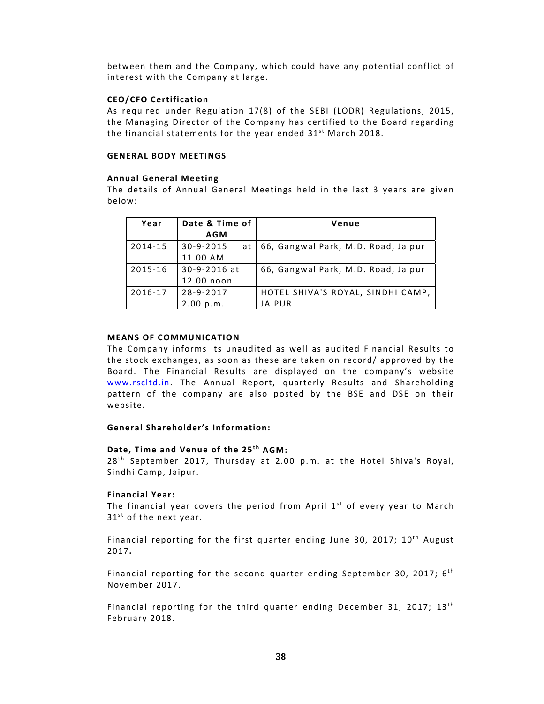between them and the Company, which could have any potential conflict of interest with the Company at large.

## **CEO/CFO Certification**

As required under Regulation 17(8) of the SEBI (LODR) Regulations, 2015, the Managing Director of the Company has certified to the Board regarding the financial statements for the year ended  $31^{st}$  March 2018.

#### **GENERAL BODY MEETINGS**

#### **Annual General Meeting**

The details of Annual General Meetings held in the last 3 years are given below:

| Year    | Date & Time of        | Venue                               |
|---------|-----------------------|-------------------------------------|
|         | <b>AGM</b>            |                                     |
| 2014-15 | $30 - 9 - 2015$<br>at | 66, Gangwal Park, M.D. Road, Jaipur |
|         | 11.00 AM              |                                     |
| 2015-16 | 30-9-2016 at          | 66, Gangwal Park, M.D. Road, Jaipur |
|         | 12.00 noon            |                                     |
| 2016-17 | $28 - 9 - 2017$       | HOTEL SHIVA'S ROYAL, SINDHI CAMP,   |
|         | 2.00 p.m.             | <b>JAIPUR</b>                       |

## **MEANS OF COMMUNICATION**

The Company informs its unaudited as well as audited Financial Results to the stock exchanges, as soon as these are taken on record/ approved by the Board. The Financial Results are displayed on the company's website www.rscltd.in. The Annual Report, quarterly Results and Shareholding pattern of the company are also posted by the BSE and DSE on their website.

## **General Shareholder's Information:**

### **Date, Time and Venue of the 25<sup>th</sup> AGM:**

 $28<sup>th</sup>$  September 2017, Thursday at 2.00 p.m. at the Hotel Shiva's Royal, Sindhi Camp, Jaipur.

## **Financial Year:**

The financial year covers the period from April  $1<sup>st</sup>$  of every year to March  $31<sup>st</sup>$  of the next year.

Financial reporting for the first quarter ending June 30, 2017;  $10<sup>th</sup>$  August 2017**.**

Financial reporting for the second quarter ending September 30, 2017;  $6<sup>th</sup>$ November 2017.

Financial reporting for the third quarter ending December 31, 2017;  $13<sup>th</sup>$ February 2018.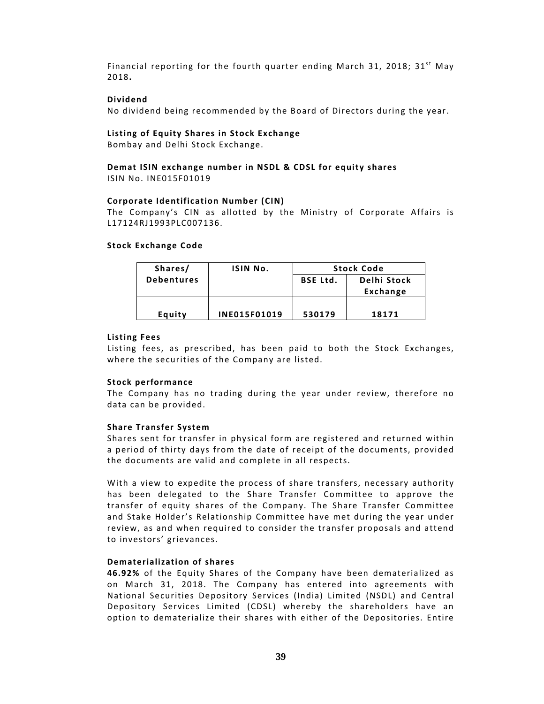Financial reporting for the fourth quarter ending March 31, 2018;  $31^{st}$  May 2018**.**

## **Dividend**

No dividend being recommended by the Board of Directors during the year.

#### **Listing of Equity Shares in Stock Exchange**

Bombay and Delhi Stock Exchange.

#### **Demat ISIN exchange number in NSDL & CDSL for equity shares** ISIN No. INE015F01019

#### **Corporate Identification Number (CIN)**

The Company's CIN as allotted by the Ministry of Corporate Affairs is L17124RJ1993PLC007136.

#### **Stock Exchange Code**

| Shares/           | ISIN No.            | <b>Stock Code</b>              |          |
|-------------------|---------------------|--------------------------------|----------|
| <b>Debentures</b> |                     | Delhi Stock<br><b>BSE Ltd.</b> |          |
|                   |                     |                                | Exchange |
|                   |                     |                                |          |
| Equity            | <b>INE015F01019</b> | 530179                         | 18171    |

#### **Listing Fees**

Listing fees, as prescribed, has been paid to both the Stock Exchanges, where the securities of the Company are listed.

#### **Stock performance**

The Company has no trading during the year under review, therefore no data can be provided.

## **Share Transfer System**

Shares sent for transfer in physical form are registered and returned within a period of thirty days from the date of receipt of the documents, provided the documents are valid and complete in all respects.

With a view to expedite the process of share transfers, necessary authority has been delegated to the Share Transfer Committee to approve the transfer of equity shares of the Company. The Share Transfer Committee and Stake Holder's Relationship Committee have met during the year under review, as and when required to consider the transfer proposals and attend to investors' grievances.

## **Dematerialization of shares**

46.92% of the Equity Shares of the Company have been dematerialized as on March 31, 2018. The Company has entered into agreements with National Securities Depository Services (India) Limited (NSDL) and Central Depository Services Limited (CDSL) whereby the shareholders have an option to dematerialize their shares with either of the Depositories. Entire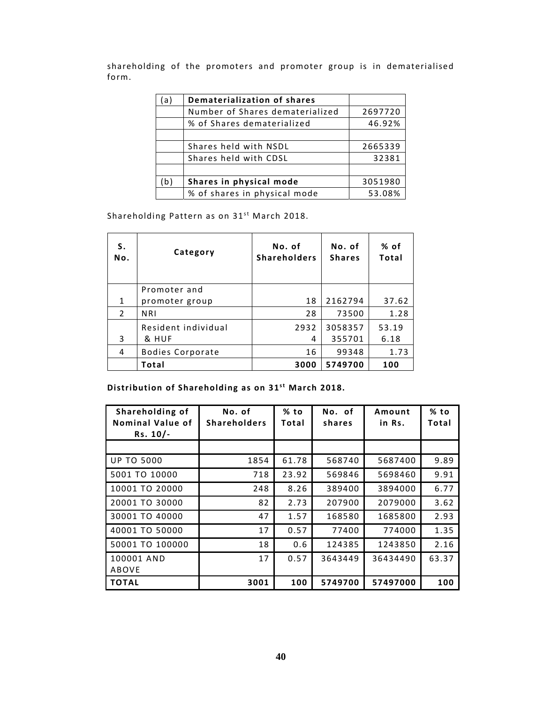shareholding of the promoters and promoter group is in dematerialised form.

| a) | Dematerialization of shares     |         |
|----|---------------------------------|---------|
|    | Number of Shares dematerialized | 2697720 |
|    | % of Shares dematerialized      | 46.92%  |
|    |                                 |         |
|    | Shares held with NSDL           | 2665339 |
|    | Shares held with CDSL           | 32381   |
|    |                                 |         |
| b) | Shares in physical mode         | 3051980 |
|    | % of shares in physical mode    | 53.08%  |

Shareholding Pattern as on 31<sup>st</sup> March 2018.

| S.<br>No. | Category            | No. of<br><b>Shareholders</b> | No. of<br><b>Shares</b> | % of<br>Total |
|-----------|---------------------|-------------------------------|-------------------------|---------------|
|           | Promoter and        |                               |                         |               |
| 1         | promoter group      | 18                            | 2162794                 | 37.62         |
| 2         | <b>NRI</b>          | 28                            | 73500                   | 1.28          |
|           | Resident individual | 2932                          | 3058357                 | 53.19         |
| 3         | & HUF               | 4                             | 355701                  | 6.18          |
| 4         | Bodies Corporate    | 16                            | 99348                   | 1.73          |
|           | Total               | 3000                          | 5749700                 | 100           |

**Distribution of Shareholding as on 31st March 2018.** 

| Shareholding of<br>Nominal Value of<br>$Rs. 10/-$ | No. of<br><b>Shareholders</b> | % to<br>Total | No. of<br>shares | Amount<br>in Rs. | % to<br>Total |
|---------------------------------------------------|-------------------------------|---------------|------------------|------------------|---------------|
|                                                   |                               |               |                  |                  |               |
| <b>UP TO 5000</b>                                 | 1854                          | 61.78         | 568740           | 5687400          | 9.89          |
| 5001 TO 10000                                     | 718                           | 23.92         | 569846           | 5698460          | 9.91          |
| 10001 TO 20000                                    | 248                           | 8.26          | 389400           | 3894000          | 6.77          |
| 20001 TO 30000                                    | 82                            | 2.73          | 207900           | 2079000          | 3.62          |
| 30001 TO 40000                                    | 47                            | 1.57          | 168580           | 1685800          | 2.93          |
| 40001 TO 50000                                    | 17                            | 0.57          | 77400            | 774000           | 1.35          |
| 50001 TO 100000                                   | 18                            | 0.6           | 124385           | 1243850          | 2.16          |
| 100001 AND<br>ABOVE                               | 17                            | 0.57          | 3643449          | 36434490         | 63.37         |
| <b>TOTAL</b>                                      | 3001                          | 100           | 5749700          | 57497000         | 100           |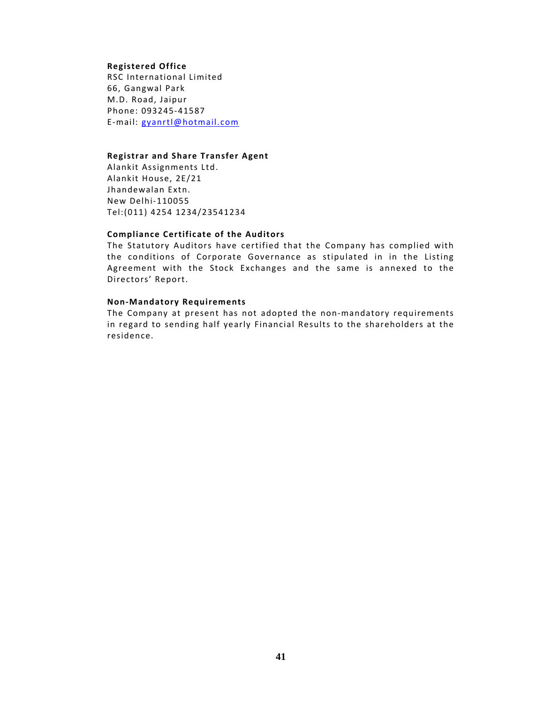#### **Registered Office**

RSC International Limited 66, Gangwal Park M.D. Road, Jaipur Phone: 093245‐41587 E‐mail: gyanrtl@hotmail.com

#### **Registrar and Share Transfer Agent**

Alankit Assignments Ltd. Alankit House, 2E/21 Jhandewalan Extn. New Delhi‐110055 Tel:(011) 4254 1234/23541234

## **Compliance Certificate of the Auditors**

The Statutory Auditors have certified that the Company has complied with the conditions of Corporate Governance as stipulated in in the Listing Agreement with the Stock Exchanges and the same is annexed to the Directors' Report.

#### **Non‐Mandatory Requirements**

The Company at present has not adopted the non-mandatory requirements in regard to sending half yearly Financial Results to the shareholders at the residence.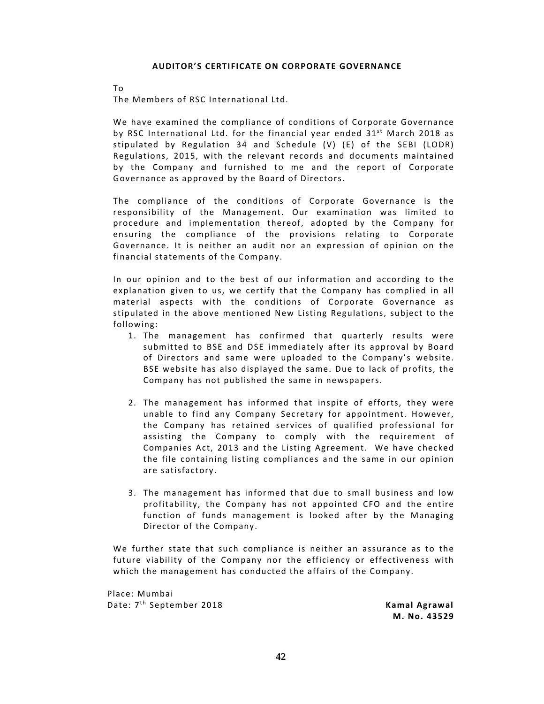#### **AUDITOR'S CERTIFICATE ON CORPORATE GOVERNANCE**

To

The Members of RSC International Ltd.

We have examined the compliance of conditions of Corporate Governance by RSC International Ltd. for the financial year ended  $31^{st}$  March 2018 as stipulated by Regulation 34 and Schedule  $(V)$  (E) of the SEBI (LODR) Regulations, 2015, with the relevant records and documents maintained by the Company and furnished to me and the report of Corporate Governance as approved by the Board of Directors.

The compliance of the conditions of Corporate Governance is the responsibility of the Management. Our examination was limited to procedure and implementation thereof, adopted by the Company for ensuring the compliance of the provisions relating to Corporate Governance. It is neither an audit nor an expression of opinion on the financial statements of the Company.

In our opinion and to the best of our information and according to the explanation given to us, we certify that the Company has complied in all material aspects with the conditions of Corporate Governance as stipulated in the above mentioned New Listing Regulations, subject to the following:

- 1. The management has confirmed that quarterly results were submitted to BSE and DSE immediately after its approval by Board of Directors and same were uploaded to the Company's website. BSE website has also displayed the same. Due to lack of profits, the Company has not published the same in newspapers.
- 2. The management has informed that inspite of efforts, they were unable to find any Company Secretary for appointment. However, the Company has retained services of qualified professional for assisting the Company to comply with the requirement of Companies Act, 2013 and the Listing Agreement. We have checked the file containing listing compliances and the same in our opinion are satisfactory.
- 3. The management has informed that due to small business and low profitability, the Company has not appointed CFO and the entire function of funds management is looked after by the Managing Director of the Company.

We further state that such compliance is neither an assurance as to the future viability of the Company nor the efficiency or effectiveness with which the management has conducted the affairs of the Company.

Place: Mumbai Date: 7t h September 2018 **Kamal Agrawal**

**M. No. 43529**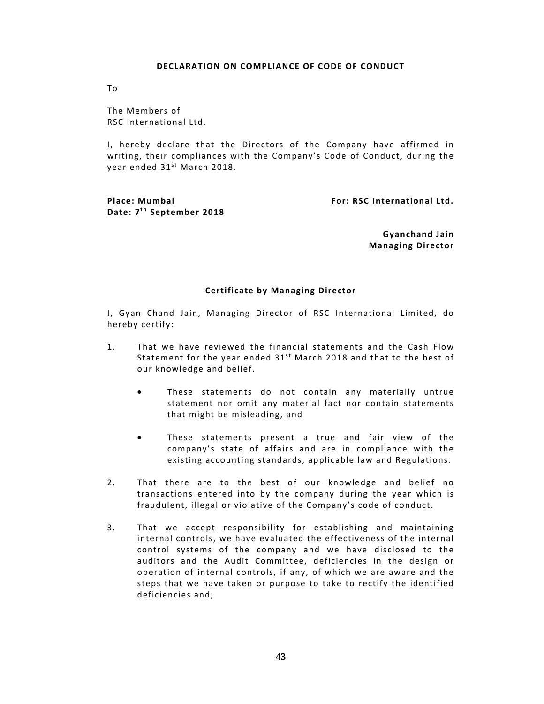#### **DECLARATION ON COMPLIANCE OF CODE OF CONDUCT**

To

The Members of RSC International Ltd.

I, hereby declare that the Directors of the Company have affirmed in writing, their compliances with the Company's Code of Conduct, during the year ended 31<sup>st</sup> March 2018.

**Place: Mumbai For: RSC International Ltd. Date:**  $7<sup>th</sup>$  **September** 2018

 **Gyanchand Jain Managing Director**

## **Certificate by Managing Director**

I, Gyan Chand Jain, Managing Director of RSC International Limited, do hereby certify:

- 1. That we have reviewed the financial statements and the Cash Flow Statement for the year ended  $31<sup>st</sup>$  March 2018 and that to the best of our knowledge and belief.
	- These statements do not contain any materially untrue statement nor omit any material fact nor contain statements that might be misleading, and
	- These statements present a true and fair view of the company's state of affairs and are in compliance with the existing accounting standards, applicable law and Regulations.
- 2. That there are to the best of our knowledge and belief no transactions entered into by the company during the year which is fraudulent, illegal or violative of the Company's code of conduct.
- 3. That we accept responsibility for establishing and maintaining internal controls, we have evaluated the effectiveness of the internal control systems of the company and we have disclosed to the auditors and the Audit Committee, deficiencies in the design or operation of internal controls, if any, of which we are aware and the steps that we have taken or purpose to take to rectify the identified deficiencies and;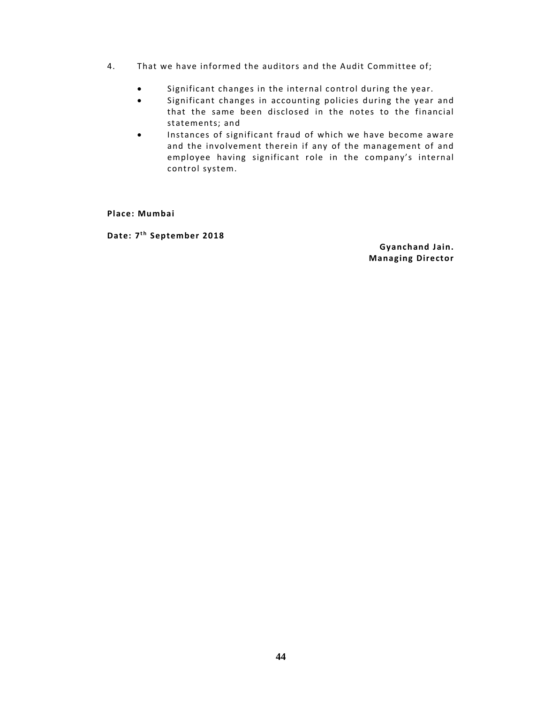- 4. That we have informed the auditors and the Audit Committee of;
	- Significant changes in the internal control during the year.
	- Significant changes in accounting policies during the year and that the same been disclosed in the notes to the financial statements; and
	- Instances of significant fraud of which we have become aware and the involvement therein if any of the management of and employee having significant role in the company's internal control system.

**Place: Mumbai** 

**Date:**  $7<sup>th</sup>$  **September** 2018

 **Gyanchand Jain. Managing Director**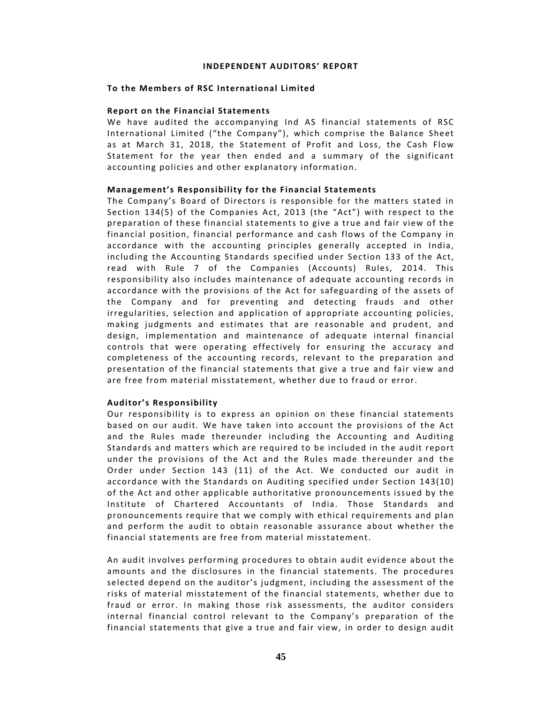#### **INDEPENDENT AUDITORS' REPORT**

## **To** the Members of RSC International Limited

#### **Report on the Financial Statements**

We have audited the accompanying Ind AS financial statements of RSC International Limited ("the Company"), which comprise the Balance Sheet as at March 31, 2018, the Statement of Profit and Loss, the Cash Flow Statement for the year then ended and a summary of the significant accounting policies and other explanatory information.

#### **Management's Responsibility for the Financial Statements**

The Company's Board of Directors is responsible for the matters stated in Section 134(5) of the Companies Act, 2013 (the "Act") with respect to the preparation of these financial statements to give a true and fair view of the financial position, financial performance and cash flows of the Company in accordance with the accounting principles generally accepted in India, including the Accounting Standards specified under Section 133 of the Act, read with Rule 7 of the Companies (Accounts) Rules, 2014. This responsibility also includes maintenance of adequate accounting records in accordance with the provisions of the Act for safeguarding of the assets of the Company and for preventing and detecting frauds and other irregularities, selection and application of appropriate accounting policies, making judgments and estimates that are reasonable and prudent, and design, implementation and maintenance of adequate internal financial controls that were operating effectively for ensuring the accuracy and completeness of the accounting records, relevant to the preparation and presentation of the financial statements that give a true and fair view and are free from material misstatement, whether due to fraud or error.

#### **Auditor's Responsibility**

Our responsibility is to express an opinion on these financial statements based on our audit. We have taken into account the provisions of the Act and the Rules made thereunder including the Accounting and Auditing Standards and matters which are required to be included in the audit report under the provisions of the Act and the Rules made thereunder and the Order under Section 143 (11) of the Act. We conducted our audit in accordance with the Standards on Auditing specified under Section 143(10) of the Act and other applicable authoritative pronouncements issued by the Institute of Chartered Accountants of India. Those Standards and pronouncements require that we comply with ethical requirements and plan and perform the audit to obtain reasonable assurance about whether the financial statements are free from material misstatement.

An audit involves performing procedures to obtain audit evidence about the amounts and the disclosures in the financial statements. The procedures selected depend on the auditor's judgment, including the assessment of the risks of material misstatement of the financial statements, whether due to fraud or error. In making those risk assessments, the auditor considers internal financial control relevant to the Company's preparation of the financial statements that give a true and fair view, in order to design audit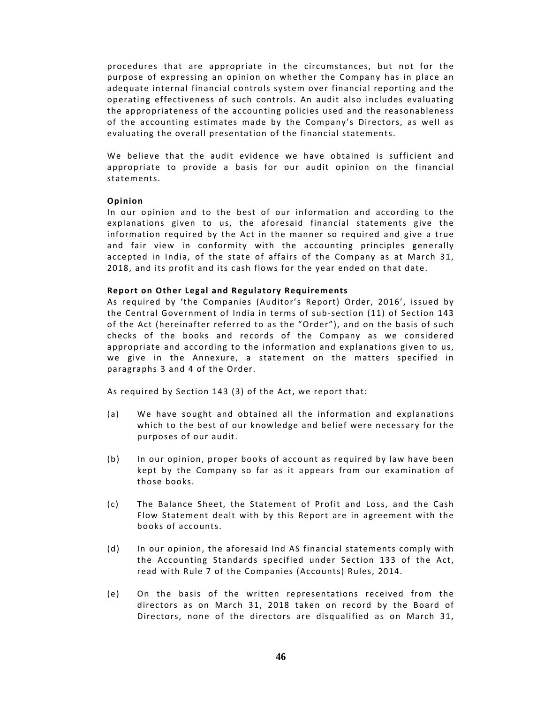procedures that are appropriate in the circumstances, but not for the purpose of expressing an opinion on whether the Company has in place an adequate internal financial controls system over financial reporting and the operating effectiveness of such controls. An audit also includes evaluating the appropriateness of the accounting policies used and the reasonableness of the accounting estimates made by the Company's Directors, as well as evaluating the overall presentation of the financial statements.

We believe that the audit evidence we have obtained is sufficient and appropriate to provide a basis for our audit opinion on the financial statements.

#### **Opinion**

In our opinion and to the best of our information and according to the explanations given to us, the aforesaid financial statements give the information required by the Act in the manner so required and give a true and fair view in conformity with the accounting principles generally accepted in India, of the state of affairs of the Company as at March 31, 2018, and its profit and its cash flows for the year ended on that date.

#### **Report on Other Legal and Regulatory Requirements**

As required by 'the Companies (Auditor's Report) Order, 2016', issued by the Central Government of India in terms of sub-section (11) of Section 143 of the Act (hereinafter referred to as the "Order"), and on the basis of such checks of the books and records of the Company as we considered appropriate and according to the information and explanations given to us, we give in the Annexure, a statement on the matters specified in paragraphs 3 and 4 of the Order.

As required by Section 143 (3) of the Act, we report that:

- (a) We have sought and obtained all the information and explanations which to the best of our knowledge and belief were necessary for the purposes of our audit.
- (b) In our opinion, proper books of account as required by law have been kept by the Company so far as it appears from our examination of those books.
- (c) The Balance Sheet, the Statement of Profit and Loss, and the Cash Flow Statement dealt with by this Report are in agreement with the books of accounts.
- (d) In our opinion, the aforesaid Ind AS financial statements comply with the Accounting Standards specified under Section 133 of the Act, read with Rule 7 of the Companies (Accounts) Rules, 2014.
- (e) On the basis of the written representations received from the directors as on March 31, 2018 taken on record by the Board of Directors, none of the directors are disqualified as on March 31,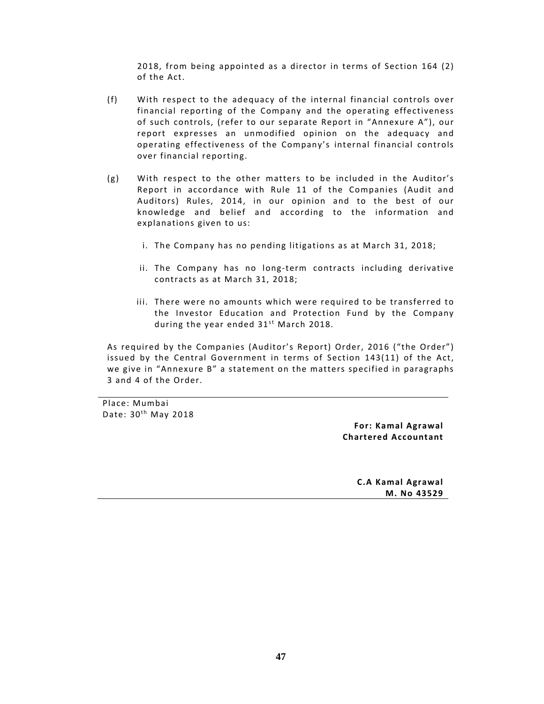2018, from being appointed as a director in terms of Section 164 (2) of the Act.

- (f) With respect to the adequacy of the internal financial controls over financial reporting of the Company and the operating effectiveness of such controls, (refer to our separate Report in "Annexure A"), our report expresses an unmodified opinion on the adequacy and operating effectiveness of the Company's internal financial controls over financial reporting.
- (g) With respect to the other matters to be included in the Auditor's Report in accordance with Rule 11 of the Companies (Audit and Auditors) Rules, 2014, in our opinion and to the best of our knowledge and belief and according to the information and explanations given to us:
	- i. The Company has no pending litigations as at March 31, 2018;
	- ii. The Company has no long‐term contracts including derivative contracts as at March 31, 2018;
	- iii. There were no amounts which were required to be transferred to the Investor Education and Protection Fund by the Company during the year ended  $31^{st}$  March 2018.

As required by the Companies (Auditor's Report) Order, 2016 ("the Order") issued by the Central Government in terms of Section 143(11) of the Act, we give in "Annexure B" a statement on the matters specified in paragraphs 3 and 4 of the Order.

Place: Mumbai Date:  $30<sup>th</sup>$  May 2018

> **For: Kamal Agrawal Chartered Accountant**

> > **C.A Kamal Agrawal M. No 43529**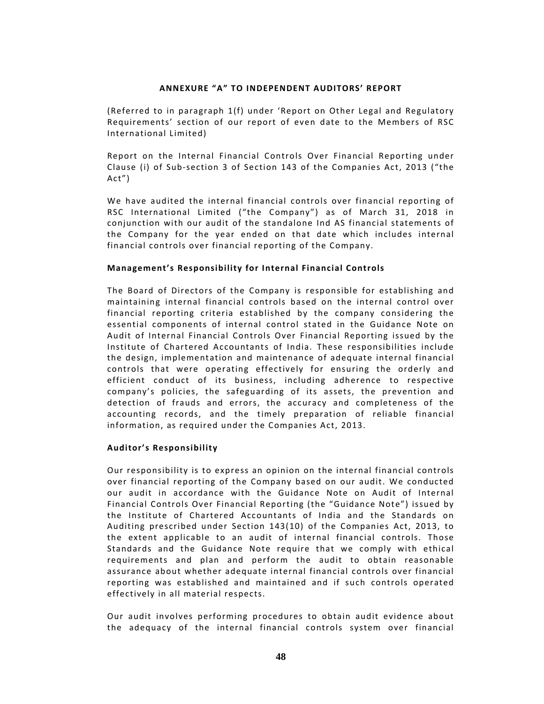# **ANNEXURE "A" TO INDEPENDENT AUDITORS' REPORT**

(Referred to in paragraph 1(f) under 'Report on Other Legal and Regulatory Requirements' section of our report of even date to the Members of RSC International Limited)

Report on the Internal Financial Controls Over Financial Reporting under Clause (i) of Sub-section 3 of Section 143 of the Companies Act, 2013 ("the Act")

We have audited the internal financial controls over financial reporting of RSC International Limited ("the Company") as of March 31, 2018 in conjunction with our audit of the standalone Ind AS financial statements of the Company for the year ended on that date which includes internal financial controls over financial reporting of the Company.

#### **Management's Responsibility for Internal Financial Controls**

The Board of Directors of the Company is responsible for establishing and maintaining internal financial controls based on the internal control over financial reporting criteria established by the company considering the essential components of internal control stated in the Guidance Note on Audit of Internal Financial Controls Over Financial Reporting issued by the Institute of Chartered Accountants of India. These responsibilities include the design, implementation and maintenance of adequate internal financial controls that were operating effectively for ensuring the orderly and efficient conduct of its business, including adherence to respective company's policies, the safeguarding of its assets, the prevention and detection of frauds and errors, the accuracy and completeness of the accounting records, and the timely preparation of reliable financial information, as required under the Companies Act, 2013.

## **Auditor's Responsibility**

Our responsibility is to express an opinion on the internal financial controls over financial reporting of the Company based on our audit. We conducted our audit in accordance with the Guidance Note on Audit of Internal Financial Controls Over Financial Reporting (the "Guidance Note") issued by the Institute of Chartered Accountants of India and the Standards on Auditing prescribed under Section 143(10) of the Companies Act, 2013, to the extent applicable to an audit of internal financial controls. Those Standards and the Guidance Note require that we comply with ethical requirements and plan and perform the audit to obtain reasonable assurance about whether adequate internal financial controls over financial reporting was established and maintained and if such controls operated effectively in all material respects.

Our audit involves performing procedures to obtain audit evidence about the adequacy of the internal financial controls system over financial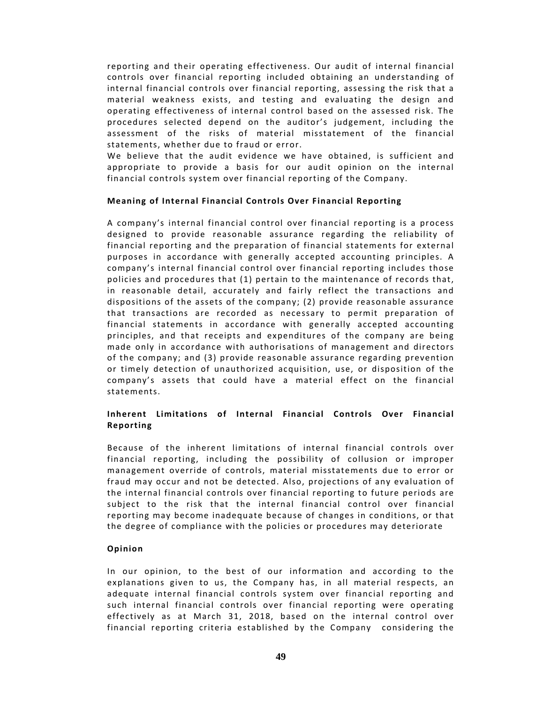reporting and their operating effectiveness. Our audit of internal financial controls over financial reporting included obtaining an understanding of internal financial controls over financial reporting, assessing the risk that a material weakness exists, and testing and evaluating the design and operating effectiveness of internal control based on the assessed risk. The procedures selected depend on the auditor's judgement, including the assessment of the risks of material misstatement of the financial statements, whether due to fraud or error.

We believe that the audit evidence we have obtained, is sufficient and appropriate to provide a basis for our audit opinion on the internal financial controls system over financial reporting of the Company.

## **Meaning of Internal Financial Controls Over Financial Reporting**

A company's internal financial control over financial reporting is a process designed to provide reasonable assurance regarding the reliability of financial reporting and the preparation of financial statements for external purposes in accordance with generally accepted accounting principles. A company's internal financial control over financial reporting includes those policies and procedures that (1) pertain to the maintenance of records that, in reasonable detail, accurately and fairly reflect the transactions and dispositions of the assets of the company;  $(2)$  provide reasonable assurance that transactions are recorded as necessary to permit preparation of financial statements in accordance with generally accepted accounting principles, and that receipts and expenditures of the company are being made only in accordance with authorisations of management and directors of the company; and (3) provide reasonable assurance regarding prevention or timely detection of unauthorized acquisition, use, or disposition of the company's assets that could have a material effect on the financial statements.

# **Inherent Limitations of Internal Financial Controls Over Financial Reporting**

Because of the inherent limitations of internal financial controls over financial reporting, including the possibility of collusion or improper management override of controls, material misstatements due to error or fraud may occur and not be detected. Also, projections of any evaluation of the internal financial controls over financial reporting to future periods are subject to the risk that the internal financial control over financial reporting may become inadequate because of changes in conditions, or that the degree of compliance with the policies or procedures may deteriorate

## **Opinion**

In our opinion, to the best of our information and according to the explanations given to us, the Company has, in all material respects, an adequate internal financial controls system over financial reporting and such internal financial controls over financial reporting were operating effectively as at March 31, 2018, based on the internal control over financial reporting criteria established by the Company considering the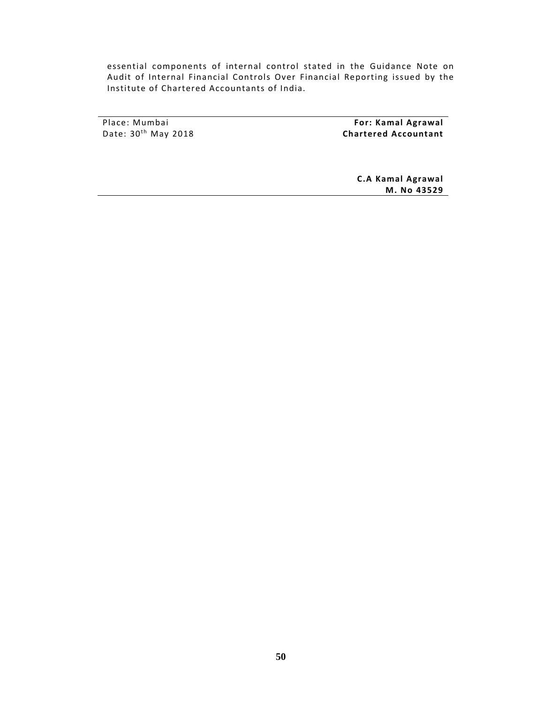essential components of internal control stated in the Guidance Note on Audit of Internal Financial Controls Over Financial Reporting issued by the Institute of Chartered Accountants of India.

Place: Mumbai Date:  $30<sup>th</sup>$  May 2018

 **For: Kamal Agrawal Chartered Accountant**

> **C.A Kamal Agrawal M. No 43529**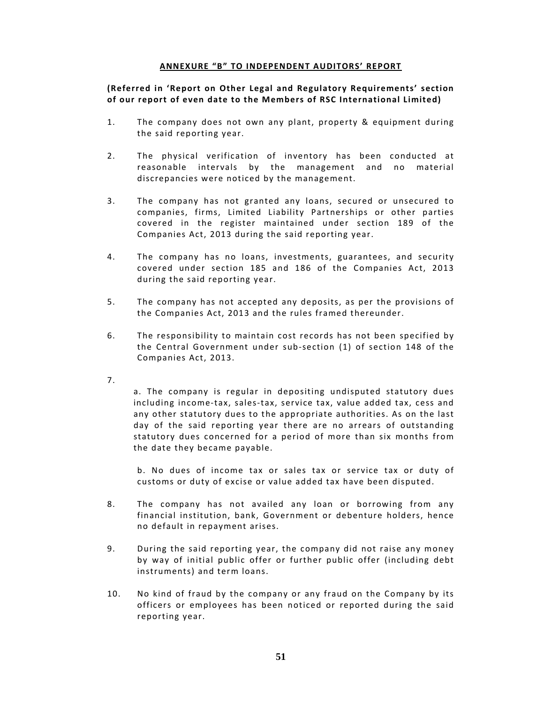## **ANNEXURE "B" TO INDEPENDENT AUDITORS' REPORT**

**(Referred in 'Report on Other Legal and Regulatory Requirements' section o f our report o f even date to the Members o f RSC International Limited)**

- 1. The company does not own any plant, property & equipment during the said reporting year.
- 2. The physical verification of inventory has been conducted at reasonable intervals by the management and no material discrepancies were noticed by the management.
- 3. The company has not granted any loans, secured or unsecured to companies, firms, Limited Liability Partnerships or other parties covered in the register maintained under section 189 of the Companies Act, 2013 during the said reporting year.
- 4. The company has no loans, investments, guarantees, and security covered under section 185 and 186 of the Companies Act, 2013 during the said reporting year.
- 5. The company has not accepted any deposits, as per the provisions of the Companies Act, 2013 and the rules framed thereunder.
- 6. The responsibility to maintain cost records has not been specified by the Central Government under sub-section (1) of section 148 of the Companies Act, 2013.
- 7.

a. The company is regular in depositing undisputed statutory dues including income‐tax, sales‐tax, service tax, value added tax, cess and any other statutory dues to the appropriate authorities. As on the last day of the said reporting year there are no arrears of outstanding statutory dues concerned for a period of more than six months from the date they became payable.

b. No dues of income tax or sales tax or service tax or duty of customs or duty of excise or value added tax have been disputed.

- 8. The company has not availed any loan or borrowing from any financial institution, bank, Government or debenture holders, hence no default in repayment arises.
- 9. During the said reporting year, the company did not raise any money by way of initial public offer or further public offer (including debt instruments) and term loans.
- 10. No kind of fraud by the company or any fraud on the Company by its officers or employees has been noticed or reported during the said reporting year.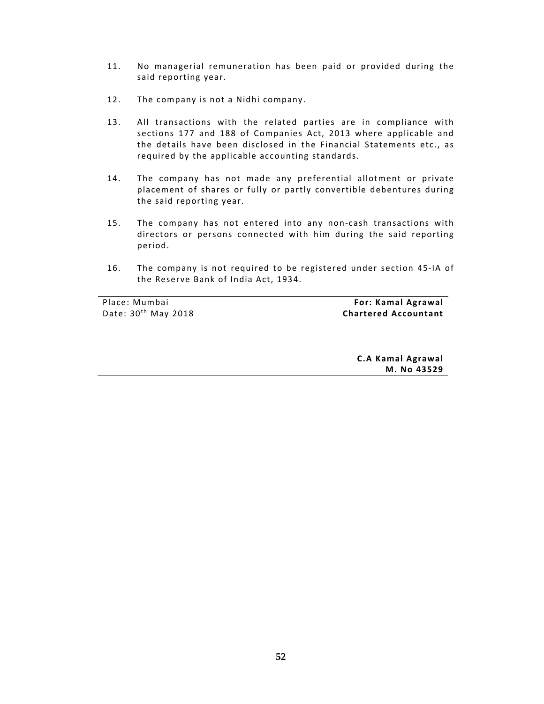- 11. No managerial remuneration has been paid or provided during the said reporting year.
- 12. The company is not a Nidhi company.
- 13. All transactions with the related parties are in compliance with sections 177 and 188 of Companies Act, 2013 where applicable and the details have been disclosed in the Financial Statements etc., as required by the applicable accounting standards.
- 14. The company has not made any preferential allotment or private placement of shares or fully or partly convertible debentures during the said reporting year.
- 15. The company has not entered into any non‐cash transactions with directors or persons connected with him during the said reporting period.
- 16. The company is not required to be registered under section 45-IA of the Reserve Bank of India Act, 1934.

Place: Mumbai Date:  $30<sup>th</sup>$  May 2018

 **For: Kamal Agrawal Chartered Accountant**

> **C.A Kamal Agrawal M. No 43529**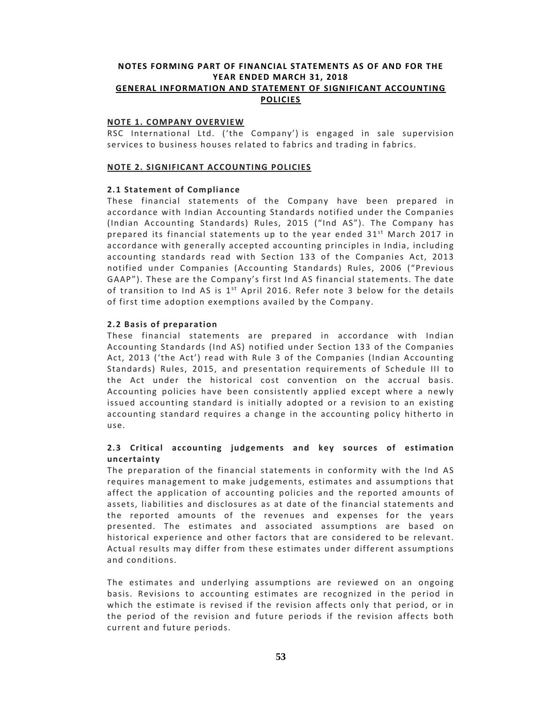# **NOTES FORMING PART OF FINANCIAL STATEMENTS AS OF AND FOR THE YEAR ENDED MARCH 31, 2018 GENERAL INFORMATION AND STATEMENT OF SIGNIFICANT ACCOUNTING POLICIES**

#### **NOTE 1. COMPANY OVERVIEW**

RSC International Ltd. ('the Company') is engaged in sale supervision services to business houses related to fabrics and trading in fabrics.

#### **NOTE 2. SIGNIFICANT ACCOUNTING POLICIES**

#### **2.1 Statement of Compliance**

These financial statements of the Company have been prepared in accordance with Indian Accounting Standards notified under the Companies (Indian Accounting Standards) Rules, 2015 ("Ind AS"). The Company has prepared its financial statements up to the year ended  $31<sup>st</sup>$  March 2017 in accordance with generally accepted accounting principles in India, including accounting standards read with Section 133 of the Companies Act, 2013 notified under Companies (Accounting Standards) Rules, 2006 ("Previous GAAP"). These are the Company's first Ind AS financial statements. The date of transition to Ind AS is  $1^{st}$  April 2016. Refer note 3 below for the details of first time adoption exemptions availed by the Company.

## **2.2 Basis of preparation**

These financial statements are prepared in accordance with Indian Accounting Standards (Ind AS) notified under Section 133 of the Companies Act, 2013 ('the Act') read with Rule 3 of the Companies (Indian Accounting Standards) Rules, 2015, and presentation requirements of Schedule III to the Act under the historical cost convention on the accrual basis. Accounting policies have been consistently applied except where a newly issued accounting standard is initially adopted or a revision to an existing accounting standard requires a change in the accounting policy hitherto in use.

# **2.3 Critical accounting judgements and key sources o f estimation uncertainty**

The preparation of the financial statements in conformity with the Ind AS requires management to make judgements, estimates and assumptions that affect the application of accounting policies and the reported amounts of assets, liabilities and disclosures as at date of the financial statements and the reported amounts of the revenues and expenses for the years presented. The estimates and associated assumptions are based on historical experience and other factors that are considered to be relevant. Actual results may differ from these estimates under different assumptions and conditions.

The estimates and underlying assumptions are reviewed on an ongoing basis. Revisions to accounting estimates are recognized in the period in which the estimate is revised if the revision affects only that period, or in the period of the revision and future periods if the revision affects both current and future periods.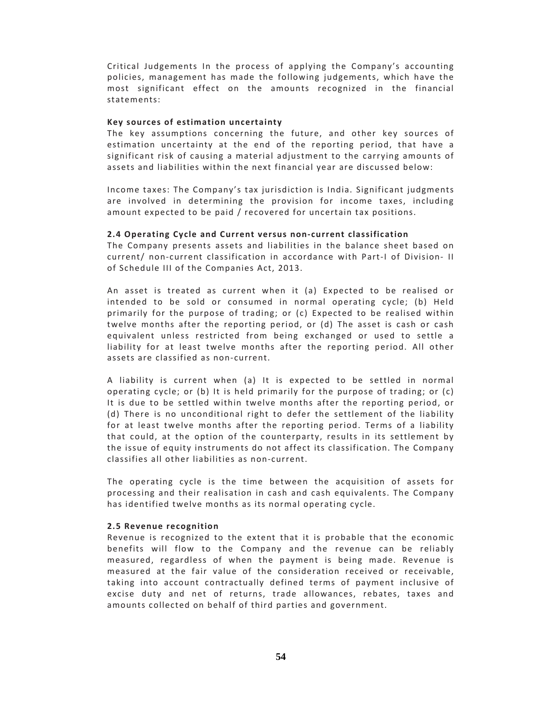Critical Judgements In the process of applying the Company's accounting policies, management has made the following judgements, which have the most significant effect on the amounts recognized in the financial statements:

#### **Key** sources of estimation uncertainty

The key assumptions concerning the future, and other key sources of estimation uncertainty at the end of the reporting period, that have a significant risk of causing a material adjustment to the carrying amounts of assets and liabilities within the next financial year are discussed below:

Income taxes: The Company's tax jurisdiction is India. Significant judgments are involved in determining the provision for income taxes, including amount expected to be paid / recovered for uncertain tax positions.

#### **2.4 Operating Cycle and Current versus non‐current classification**

The Company presents assets and liabilities in the balance sheet based on current/ non-current classification in accordance with Part-I of Division- II of Schedule III of the Companies Act, 2013.

An asset is treated as current when it (a) Expected to be realised or intended to be sold or consumed in normal operating cycle; (b) Held primarily for the purpose of trading; or  $(c)$  Expected to be realised within twelve months after the reporting period, or (d) The asset is cash or cash equivalent unless restricted from being exchanged or used to settle a liability for at least twelve months after the reporting period. All other assets are classified as non‐current.

A liability is current when (a) It is expected to be settled in normal operating cycle; or (b) It is held primarily for the purpose of trading; or  $(c)$ It is due to be settled within twelve months after the reporting period, or (d) There is no unconditional right to defer the settlement of the liability for at least twelve months after the reporting period. Terms of a liability that could, at the option of the counterparty, results in its settlement by the issue of equity instruments do not affect its classification. The Company classifies all other liabilities as non‐current.

The operating cycle is the time between the acquisition of assets for processing and their realisation in cash and cash equivalents. The Company has identified twelve months as its normal operating cycle.

### **2.5 Revenue recognition**

Revenue is recognized to the extent that it is probable that the economic benefits will flow to the Company and the revenue can be reliably measured, regardless of when the payment is being made. Revenue is measured at the fair value of the consideration received or receivable, taking into account contractually defined terms of payment inclusive of excise duty and net of returns, trade allowances, rebates, taxes and amounts collected on behalf of third parties and government.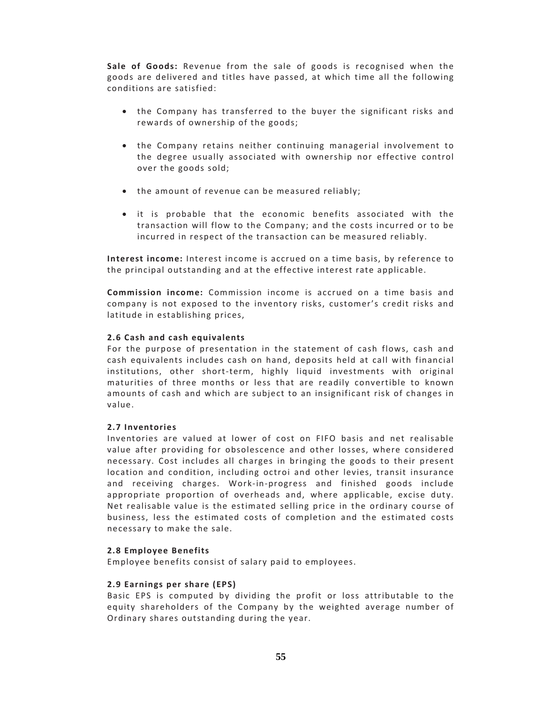Sale of Goods: Revenue from the sale of goods is recognised when the goods are delivered and titles have passed, at which time all the following conditions are satisfied:

- the Company has transferred to the buyer the significant risks and rewards of ownership of the goods;
- the Company retains neither continuing managerial involvement to the degree usually associated with ownership nor effective control over the goods sold;
- the amount of revenue can be measured reliably;
- it is probable that the economic benefits associated with the transaction will flow to the Company; and the costs incurred or to be incurred in respect of the transaction can be measured reliably.

**Interest income:** Interest income is accrued on a time basis, by reference to the principal outstanding and at the effective interest rate applicable.

**Commission income:** Commission income is accrued on a time basis and company is not exposed to the inventory risks, customer's credit risks and latitude in establishing prices,

# **2.6 Cash and cash equivalents**

For the purpose of presentation in the statement of cash flows, cash and cash equivalents includes cash on hand, deposits held at call with financial institutions, other short‐term, highly liquid investments with original maturities of three months or less that are readily convertible to known amounts of cash and which are subject to an insignificant risk of changes in value.

## **2.7 Inventories**

Inventories are valued at lower of cost on FIFO basis and net realisable value after providing for obsolescence and other losses, where considered necessary. Cost includes all charges in bringing the goods to their present location and condition, including octroi and other levies, transit insurance and receiving charges. Work‐in‐progress and finished goods include appropriate proportion of overheads and, where applicable, excise duty. Net realisable value is the estimated selling price in the ordinary course of business, less the estimated costs of completion and the estimated costs necessary to make the sale.

## **2.8 Employee Benefits**

Employee benefits consist of salary paid to employees.

## **2.9 Earnings per share (EPS)**

Basic EPS is computed by dividing the profit or loss attributable to the equity shareholders of the Company by the weighted average number of Ordinary shares outstanding during the year.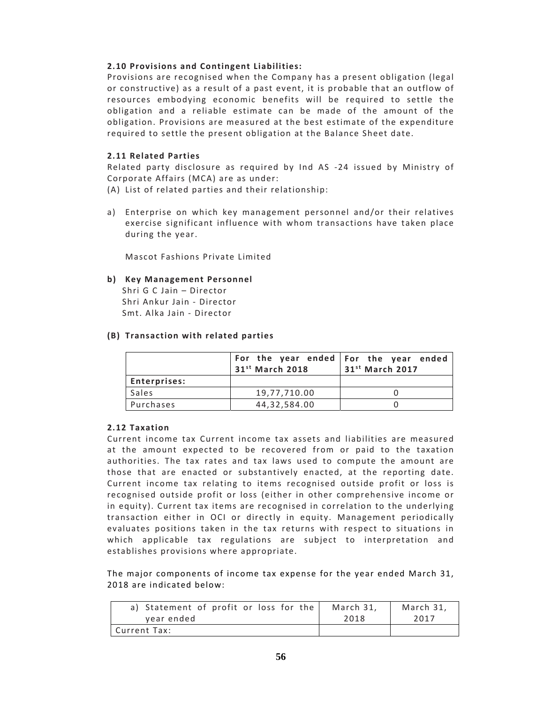# **2.10 Provisions and Contingent Liabilities:**

Provisions are recognised when the Company has a present obligation (legal or constructive) as a result of a past event, it is probable that an outflow of resources embodying economic benefits will be required to settle the obligation and a reliable estimate can be made of the amount of the obligation. Provisions are measured at the best estimate of the expenditure required to settle the present obligation at the Balance Sheet date.

# **2.11 Related Parties**

Related party disclosure as required by Ind AS -24 issued by Ministry of Corporate Affairs (MCA) are as under:

- (A) List of related parties and their relationship:
- a) Enterprise on which key management personnel and/or their relatives exercise significant influence with whom transactions have taken place during the year.

Mascot Fashions Private Limited

## **b ) Key Management Personnel**

Shri G C Jain – Director Shri Ankur Jain ‐ Director Smt. Alka Jain ‐ Director

## **(B) Transaction with related parties**

|                     | 31 <sup>st</sup> March 2018 | For the year ended   For the year ended<br>31 <sup>st</sup> March 2017 |
|---------------------|-----------------------------|------------------------------------------------------------------------|
| <b>Enterprises:</b> |                             |                                                                        |
| Sales               | 19,77,710.00                |                                                                        |
| Purchases           | 44.32.584.00                |                                                                        |

## **2.12 Taxation**

Current income tax Current income tax assets and liabilities are measured at the amount expected to be recovered from or paid to the taxation authorities. The tax rates and tax laws used to compute the amount are those that are enacted or substantively enacted, at the reporting date. Current income tax relating to items recognised outside profit or loss is recognised outside profit or loss (either in other comprehensive income or in equity). Current tax items are recognised in correlation to the underlying transaction either in OCI or directly in equity. Management periodically evaluates positions taken in the tax returns with respect to situations in which applicable tax regulations are subject to interpretation and establishes provisions where appropriate.

The major components of income tax expense for the year ended March 31, 2018 are indicated below:

| a) Statement of profit or loss for the | March 31, | March 31. |
|----------------------------------------|-----------|-----------|
| year ended                             | 2018      | 2017      |
| Current Tax:                           |           |           |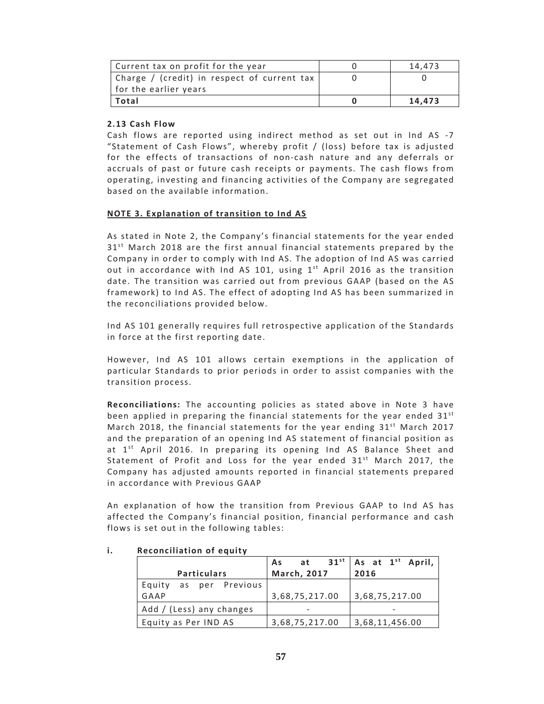| Current tax on profit for the year          | 14.473 |
|---------------------------------------------|--------|
| Charge / (credit) in respect of current tax |        |
| for the earlier years                       |        |
| Total                                       | 14.473 |

# **2.13 Cash Flow**

Cash flows are reported using indirect method as set out in Ind AS ‐7 "Statement of Cash Flows", whereby profit / (loss) before tax is adjusted for the effects of transactions of non-cash nature and any deferrals or accruals of past or future cash receipts or payments. The cash flows from operating, investing and financing activities of the Company are segregated based on the available information.

## **NOTE 3. Explanation o f transition to Ind AS**

As stated in Note 2, the Company's financial statements for the year ended  $31<sup>st</sup>$  March 2018 are the first annual financial statements prepared by the Company in order to comply with Ind AS. The adoption of Ind AS was carried out in accordance with Ind AS 101, using  $1<sup>st</sup>$  April 2016 as the transition date. The transition was carried out from previous GAAP (based on the AS framework) to Ind AS. The effect of adopting Ind AS has been summarized in the reconciliations provided below.

Ind AS 101 generally requires full retrospective application of the Standards in force at the first reporting date.

However, Ind AS 101 allows certain exemptions in the application of particular Standards to prior periods in order to assist companies with the transition process.

**Reconciliations:** The accounting policies as stated above in Note 3 have been applied in preparing the financial statements for the year ended  $31^{st}$ March 2018, the financial statements for the year ending  $31^{st}$  March 2017 and the preparation of an opening Ind AS statement of financial position as at  $1<sup>st</sup>$  April 2016. In preparing its opening Ind AS Balance Sheet and Statement of Profit and Loss for the year ended  $31^{st}$  March 2017, the Company has adjusted amounts reported in financial statements prepared in accordance with Previous GAAP

An explanation of how the transition from Previous GAAP to Ind AS has affected the Company's financial position, financial performance and cash flows is set out in the following tables:

|                          |                | $\begin{array}{ c c c c c }\n\hline\n\text{As} & \text{at} & \text{31}^{\text{st}} & \text{As} & \text{at} & \overline{\text{1}^{\text{st}} & \text{April},} \\ \hline\n\text{March, 2017} & 2016 & & \\\hline\n\end{array}$ |
|--------------------------|----------------|------------------------------------------------------------------------------------------------------------------------------------------------------------------------------------------------------------------------------|
| <b>Particulars</b>       |                |                                                                                                                                                                                                                              |
| Equity as per Previous   |                |                                                                                                                                                                                                                              |
| GAAP                     | 3,68,75,217.00 | 3,68,75,217.00                                                                                                                                                                                                               |
| Add / (Less) any changes |                |                                                                                                                                                                                                                              |
| Equity as Per IND AS     | 3,68,75,217.00 | 3,68,11,456.00                                                                                                                                                                                                               |

## **i.** Reconciliation of equity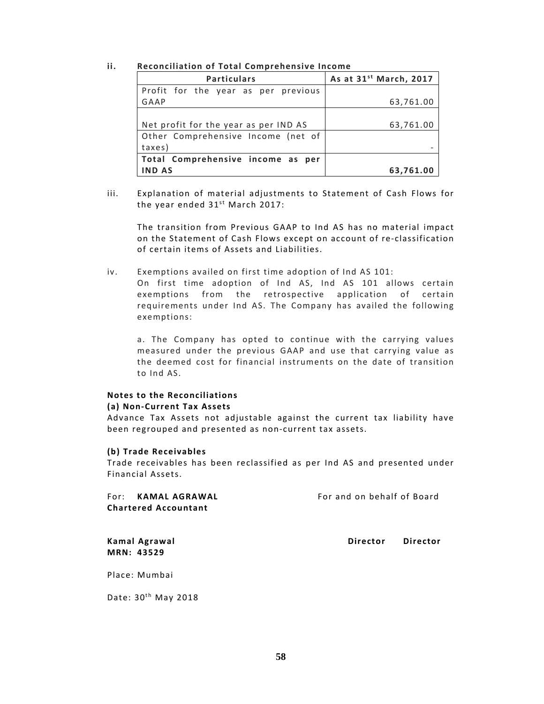#### **ii. Reconciliation of Total Comprehensive Income**

| <b>Particulars</b>                    | As at 31 <sup>st</sup> March, 2017 |
|---------------------------------------|------------------------------------|
| Profit for the year as per previous   |                                    |
| GAAP                                  | 63,761.00                          |
|                                       |                                    |
| Net profit for the year as per IND AS | 63,761.00                          |
| Other Comprehensive Income (net of    |                                    |
| taxes)                                |                                    |
| Total Comprehensive income as per     |                                    |
| <b>IND AS</b>                         | 63,761.00                          |

iii. Explanation of material adjustments to Statement of Cash Flows for the year ended  $31^{st}$  March 2017:

The transition from Previous GAAP to Ind AS has no material impact on the Statement of Cash Flows except on account of re-classification of certain items of Assets and Liabilities.

iv. Exemptions availed on first time adoption of Ind AS 101:

On first time adoption of Ind AS, Ind AS 101 allows certain exemptions from the retrospective application of certain requirements under Ind AS. The Company has availed the following exemptions:

a. The Company has opted to continue with the carrying values measured under the previous GAAP and use that carrying value as the deemed cost for financial instruments on the date of transition to Ind AS.

# **Notes to the Reconciliations**

**(a) Non‐Current Tax Assets**

Advance Tax Assets not adjustable against the current tax liability have been regrouped and presented as non‐current tax assets.

## **(b) Trade Receivables**

Trade receivables has been reclassified as per Ind AS and presented under Financial Assets.

| For: KAMAL AGRAWAL          | For and on behalf of Board |
|-----------------------------|----------------------------|
| <b>Chartered Accountant</b> |                            |
|                             |                            |
|                             |                            |

**MRN: 43529**

**Kamal Agrawal Director Director**

Place: Mumbai

Date:  $30<sup>th</sup>$  May 2018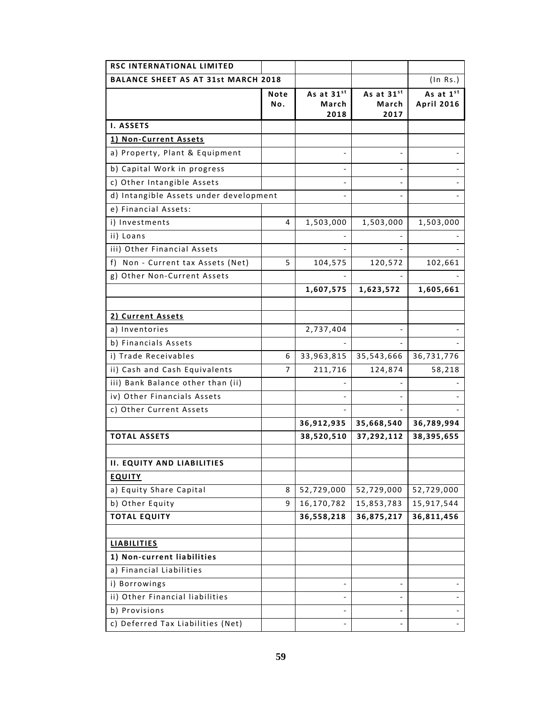| <b>RSC INTERNATIONAL LIMITED</b>           |             |                             |                             |                                |  |  |
|--------------------------------------------|-------------|-----------------------------|-----------------------------|--------------------------------|--|--|
| <b>BALANCE SHEET AS AT 31st MARCH 2018</b> |             |                             |                             | (In Rs.)                       |  |  |
|                                            | Note<br>Νo. | As at 31st<br>March<br>2018 | As at 31st<br>March<br>2017 | As at 1st<br><b>April 2016</b> |  |  |
| I. ASSETS                                  |             |                             |                             |                                |  |  |
| 1) Non-Current Assets                      |             |                             |                             |                                |  |  |
| a) Property, Plant & Equipment             |             |                             |                             |                                |  |  |
| b) Capital Work in progress                |             |                             |                             |                                |  |  |
| c) Other Intangible Assets                 |             |                             |                             |                                |  |  |
| d) Intangible Assets under development     |             |                             |                             |                                |  |  |
| e) Financial Assets:                       |             |                             |                             |                                |  |  |
| i) Investments                             | 4           | 1,503,000                   | 1,503,000                   | 1,503,000                      |  |  |
| ii) Loans                                  |             |                             |                             |                                |  |  |
| iii) Other Financial Assets                |             |                             |                             |                                |  |  |
| Non - Current tax Assets (Net)<br>f).      | 5           | 104,575                     | 120,572                     | 102,661                        |  |  |
| g) Other Non-Current Assets                |             |                             |                             |                                |  |  |
|                                            |             | 1,607,575                   | 1,623,572                   | 1,605,661                      |  |  |
| 2) Current Assets                          |             |                             |                             |                                |  |  |
| a) Inventories                             |             | 2,737,404                   |                             |                                |  |  |
| b) Financials Assets                       |             |                             |                             |                                |  |  |
| i) Trade Receivables                       | 6           | 33,963,815                  | 35,543,666                  | 36,731,776                     |  |  |
| ii) Cash and Cash Equivalents              | 7           | 211,716                     | 124,874                     | 58,218                         |  |  |
| iii) Bank Balance other than (ii)          |             |                             |                             |                                |  |  |
| iv) Other Financials Assets                |             |                             |                             |                                |  |  |
| c) Other Current Assets                    |             |                             |                             |                                |  |  |
|                                            |             | 36,912,935                  | 35,668,540                  | 36,789,994                     |  |  |
| <b>TOTAL ASSETS</b>                        |             | 38,520,510                  | 37,292,112                  | 38,395,655                     |  |  |
| <b>II. EQUITY AND LIABILITIES</b>          |             |                             |                             |                                |  |  |
| <b>EQUITY</b>                              |             |                             |                             |                                |  |  |
| a) Equity Share Capital                    | 8           | 52,729,000                  | 52,729,000                  | 52,729,000                     |  |  |
| b) Other Equity                            | 9           | 16,170,782                  | 15,853,783                  | 15,917,544                     |  |  |
| <b>TOTAL EQUITY</b>                        |             | 36,558,218                  | 36,875,217                  | 36,811,456                     |  |  |
|                                            |             |                             |                             |                                |  |  |
| <b>LIABILITIES</b>                         |             |                             |                             |                                |  |  |
| 1) Non-current liabilities                 |             |                             |                             |                                |  |  |
| a) Financial Liabilities                   |             |                             |                             |                                |  |  |
| i) Borrowings                              |             |                             |                             |                                |  |  |
| ii) Other Financial liabilities            |             |                             |                             |                                |  |  |
| b) Provisions                              |             |                             |                             |                                |  |  |
| c) Deferred Tax Liabilities (Net)          |             |                             |                             |                                |  |  |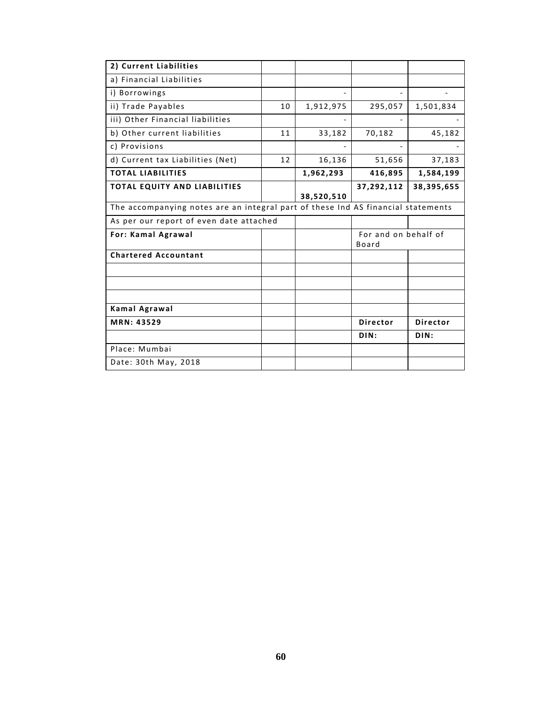| 2) Current Liabilities                                                           |    |            |                               |                 |
|----------------------------------------------------------------------------------|----|------------|-------------------------------|-----------------|
| a) Financial Liabilities                                                         |    |            |                               |                 |
| i) Borrowings                                                                    |    |            |                               |                 |
| ii) Trade Payables                                                               | 10 | 1,912,975  | 295,057                       | 1,501,834       |
| iii) Other Financial liabilities                                                 |    |            |                               |                 |
| b) Other current liabilities                                                     | 11 | 33,182     | 70,182                        | 45,182          |
| c) Provisions                                                                    |    |            |                               |                 |
| d) Current tax Liabilities (Net)                                                 | 12 | 16,136     | 51,656                        | 37,183          |
| <b>TOTAL LIABILITIES</b>                                                         |    | 1,962,293  | 416,895                       | 1,584,199       |
| <b>TOTAL EQUITY AND LIABILITIES</b>                                              |    |            | 37,292,112                    | 38,395,655      |
|                                                                                  |    | 38,520,510 |                               |                 |
| The accompanying notes are an integral part of these Ind AS financial statements |    |            |                               |                 |
| As per our report of even date attached                                          |    |            |                               |                 |
| <b>For: Kamal Agrawal</b>                                                        |    |            | For and on behalf of<br>Board |                 |
| <b>Chartered Accountant</b>                                                      |    |            |                               |                 |
|                                                                                  |    |            |                               |                 |
|                                                                                  |    |            |                               |                 |
|                                                                                  |    |            |                               |                 |
| Kamal Agrawal                                                                    |    |            |                               |                 |
| MRN: 43529                                                                       |    |            | <b>Director</b>               | <b>Director</b> |
|                                                                                  |    |            |                               |                 |
|                                                                                  |    |            | DIN:                          | DIN:            |
| Place: Mumbai                                                                    |    |            |                               |                 |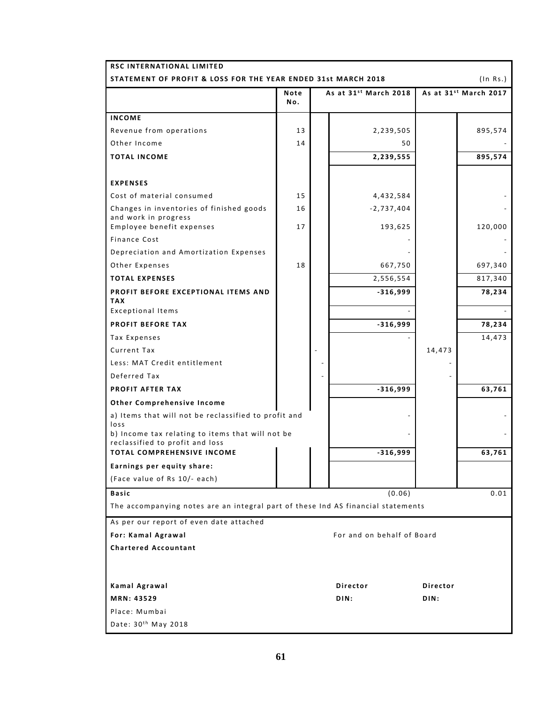| <b>RSC INTERNATIONAL LIMITED</b>                                                 |             |  |                            |          |                                   |
|----------------------------------------------------------------------------------|-------------|--|----------------------------|----------|-----------------------------------|
| (In Rs.)<br>STATEMENT OF PROFIT & LOSS FOR THE YEAR ENDED 31st MARCH 2018        |             |  |                            |          |                                   |
|                                                                                  | Note<br>No. |  | As at 31st March 2018      |          | As at 31 <sup>st</sup> March 2017 |
| <b>INCOME</b>                                                                    |             |  |                            |          |                                   |
| Revenue from operations                                                          | 13          |  | 2,239,505                  |          | 895,574                           |
| Other Income                                                                     | 14          |  | 50                         |          |                                   |
| <b>TOTAL INCOME</b>                                                              |             |  | 2,239,555                  |          | 895,574                           |
|                                                                                  |             |  |                            |          |                                   |
| <b>EXPENSES</b>                                                                  |             |  |                            |          |                                   |
| Cost of material consumed                                                        | 15          |  | 4,432,584                  |          |                                   |
| Changes in inventories of finished goods                                         | 16          |  | $-2,737,404$               |          |                                   |
| and work in progress                                                             |             |  |                            |          |                                   |
| Employee benefit expenses<br>Finance Cost                                        | 17          |  | 193,625                    |          | 120,000                           |
| Depreciation and Amortization Expenses                                           |             |  |                            |          |                                   |
| Other Expenses                                                                   | 18          |  | 667,750                    |          | 697,340                           |
| <b>TOTAL EXPENSES</b>                                                            |             |  | 2,556,554                  |          | 817,340                           |
| PROFIT BEFORE EXCEPTIONAL ITEMS AND                                              |             |  | $-316,999$                 |          |                                   |
| <b>TAX</b>                                                                       |             |  |                            |          | 78,234                            |
| <b>Exceptional Items</b>                                                         |             |  |                            |          |                                   |
| <b>PROFIT BEFORE TAX</b>                                                         |             |  | $-316,999$                 |          | 78,234                            |
| Tax Expenses                                                                     |             |  |                            |          | 14,473                            |
| Current Tax                                                                      |             |  |                            | 14,473   |                                   |
| Less: MAT Credit entitlement                                                     |             |  |                            |          |                                   |
| Deferred Tax                                                                     |             |  |                            |          |                                   |
| PROFIT AFTER TAX                                                                 |             |  | $-316,999$                 |          | 63,761                            |
| Other Comprehensive Income                                                       |             |  |                            |          |                                   |
| a) Items that will not be reclassified to profit and<br>loss                     |             |  |                            |          |                                   |
| b) Income tax relating to items that will not be                                 |             |  |                            |          |                                   |
| reclassified to profit and loss<br>TOTAL COMPREHENSIVE INCOME                    |             |  | $-316,999$                 |          | 63,761                            |
| Earnings per equity share:                                                       |             |  |                            |          |                                   |
| (Face value of Rs 10/- each)                                                     |             |  |                            |          |                                   |
| <b>Basic</b>                                                                     |             |  | (0.06)                     |          | 0.01                              |
| The accompanying notes are an integral part of these Ind AS financial statements |             |  |                            |          |                                   |
| As per our report of even date attached                                          |             |  |                            |          |                                   |
| For: Kamal Agrawal                                                               |             |  | For and on behalf of Board |          |                                   |
| <b>Chartered Accountant</b>                                                      |             |  |                            |          |                                   |
|                                                                                  |             |  |                            |          |                                   |
| Kamal Agrawal                                                                    |             |  | Director                   | Director |                                   |
| MRN: 43529                                                                       |             |  | DIN:                       | DIN:     |                                   |
| Place: Mumbai                                                                    |             |  |                            |          |                                   |
| Date: 30 <sup>th</sup> May 2018                                                  |             |  |                            |          |                                   |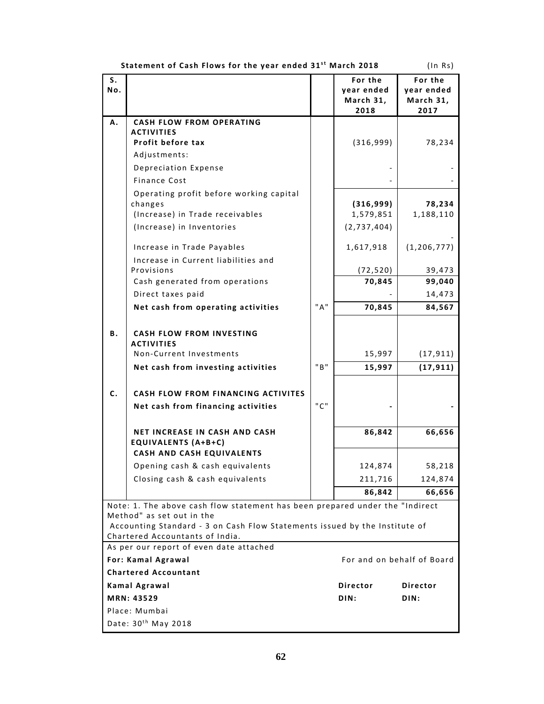|                                                  | Statement of Cash Flows for the year ended 31" March 2018                                                 |     |                                            | (IN RS)                                    |
|--------------------------------------------------|-----------------------------------------------------------------------------------------------------------|-----|--------------------------------------------|--------------------------------------------|
| S.<br>Νo.                                        |                                                                                                           |     | For the<br>year ended<br>March 31,<br>2018 | For the<br>year ended<br>March 31,<br>2017 |
| А.                                               | <b>CASH FLOW FROM OPERATING</b>                                                                           |     |                                            |                                            |
|                                                  | <b>ACTIVITIES</b>                                                                                         |     |                                            |                                            |
|                                                  | Profit before tax                                                                                         |     | (316,999)                                  | 78,234                                     |
|                                                  | Adjustments:                                                                                              |     |                                            |                                            |
|                                                  | Depreciation Expense                                                                                      |     |                                            |                                            |
|                                                  | <b>Finance Cost</b>                                                                                       |     |                                            |                                            |
|                                                  | Operating profit before working capital<br>changes                                                        |     | (316,999)                                  | 78,234                                     |
|                                                  | (Increase) in Trade receivables                                                                           |     | 1,579,851                                  | 1,188,110                                  |
|                                                  | (Increase) in Inventories                                                                                 |     | (2,737,404)                                |                                            |
|                                                  | Increase in Trade Payables                                                                                |     | 1,617,918                                  | (1, 206, 777)                              |
|                                                  | Increase in Current liabilities and                                                                       |     |                                            |                                            |
|                                                  | Provisions                                                                                                |     | (72, 520)                                  | 39,473                                     |
|                                                  | Cash generated from operations                                                                            |     | 70,845                                     | 99,040                                     |
|                                                  | Direct taxes paid                                                                                         |     |                                            | 14,473                                     |
|                                                  | Net cash from operating activities                                                                        | "A" | 70,845                                     | 84,567                                     |
|                                                  |                                                                                                           |     |                                            |                                            |
| Β.                                               | <b>CASH FLOW FROM INVESTING</b><br><b>ACTIVITIES</b>                                                      |     |                                            |                                            |
|                                                  | Non-Current Investments                                                                                   |     | 15,997                                     | (17, 911)                                  |
|                                                  | Net cash from investing activities                                                                        | "B" | 15,997                                     | (17, 911)                                  |
| C.                                               | <b>CASH FLOW FROM FINANCING ACTIVITES</b>                                                                 |     |                                            |                                            |
|                                                  | Net cash from financing activities                                                                        | "C" |                                            |                                            |
|                                                  |                                                                                                           |     |                                            |                                            |
|                                                  | <b>NET INCREASE IN CASH AND CASH</b>                                                                      |     | 86,842                                     | 66,656                                     |
|                                                  | <b>EQUIVALENTS (A+B+C)</b>                                                                                |     |                                            |                                            |
|                                                  | CASH AND CASH EQUIVALENTS                                                                                 |     |                                            |                                            |
|                                                  | Opening cash & cash equivalents                                                                           |     | 124,874                                    | 58,218                                     |
|                                                  | Closing cash & cash equivalents                                                                           |     | 211,716                                    | 124,874                                    |
|                                                  |                                                                                                           |     | 86,842                                     | 66,656                                     |
|                                                  | Note: 1. The above cash flow statement has been prepared under the "Indirect<br>Method" as set out in the |     |                                            |                                            |
|                                                  | Accounting Standard - 3 on Cash Flow Statements issued by the Institute of                                |     |                                            |                                            |
|                                                  | Chartered Accountants of India.                                                                           |     |                                            |                                            |
| As per our report of even date attached          |                                                                                                           |     |                                            |                                            |
| For and on behalf of Board<br>For: Kamal Agrawal |                                                                                                           |     |                                            |                                            |
| <b>Chartered Accountant</b>                      |                                                                                                           |     |                                            |                                            |
| Kamal Agrawal                                    |                                                                                                           |     | Director                                   | <b>Director</b>                            |
| MRN: 43529                                       |                                                                                                           |     | DIN:                                       | DIN:                                       |
| Place: Mumbai                                    |                                                                                                           |     |                                            |                                            |
|                                                  | Date: 30 <sup>th</sup> May 2018                                                                           |     |                                            |                                            |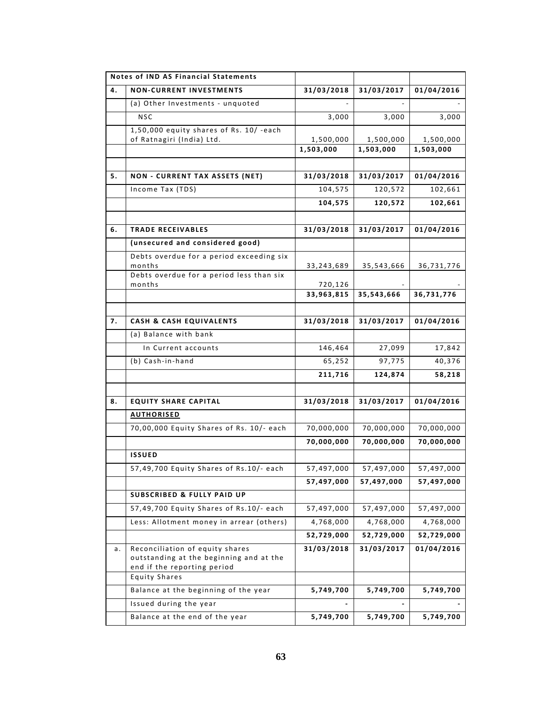| 31/03/2018<br>31/03/2017<br>01/04/2016<br>4.<br><b>NON-CURRENT INVESTMENTS</b><br>(a) Other Investments - unquoted<br><b>NSC</b><br>3,000<br>3,000<br>3,000<br>1,50,000 equity shares of Rs. 10/ -each<br>of Ratnagiri (India) Ltd.<br>1,500,000<br>1,500,000<br>1,500,000<br>1,503,000<br>1,503,000<br>1,503,000<br>31/03/2018<br>31/03/2017<br>01/04/2016<br>5.<br><b>NON - CURRENT TAX ASSETS (NET)</b><br>Income Tax (TDS)<br>104,575<br>120,572<br>102,661<br>104,575<br>120,572<br>102,661<br>31/03/2018<br>01/04/2016<br>31/03/2017<br>6.<br><b>TRADE RECEIVABLES</b><br>(unsecured and considered good)<br>Debts overdue for a period exceeding six<br>months<br>33, 243, 689<br>35,543,666<br>36,731,776<br>Debts overdue for a period less than six<br>months<br>720,126<br>33,963,815<br>35,543,666<br>36,731,776 | Notes of IND AS Financial Statements |  |  |
|------------------------------------------------------------------------------------------------------------------------------------------------------------------------------------------------------------------------------------------------------------------------------------------------------------------------------------------------------------------------------------------------------------------------------------------------------------------------------------------------------------------------------------------------------------------------------------------------------------------------------------------------------------------------------------------------------------------------------------------------------------------------------------------------------------------------------|--------------------------------------|--|--|
|                                                                                                                                                                                                                                                                                                                                                                                                                                                                                                                                                                                                                                                                                                                                                                                                                              |                                      |  |  |
|                                                                                                                                                                                                                                                                                                                                                                                                                                                                                                                                                                                                                                                                                                                                                                                                                              |                                      |  |  |
|                                                                                                                                                                                                                                                                                                                                                                                                                                                                                                                                                                                                                                                                                                                                                                                                                              |                                      |  |  |
|                                                                                                                                                                                                                                                                                                                                                                                                                                                                                                                                                                                                                                                                                                                                                                                                                              |                                      |  |  |
|                                                                                                                                                                                                                                                                                                                                                                                                                                                                                                                                                                                                                                                                                                                                                                                                                              |                                      |  |  |
|                                                                                                                                                                                                                                                                                                                                                                                                                                                                                                                                                                                                                                                                                                                                                                                                                              |                                      |  |  |
|                                                                                                                                                                                                                                                                                                                                                                                                                                                                                                                                                                                                                                                                                                                                                                                                                              |                                      |  |  |
|                                                                                                                                                                                                                                                                                                                                                                                                                                                                                                                                                                                                                                                                                                                                                                                                                              |                                      |  |  |
|                                                                                                                                                                                                                                                                                                                                                                                                                                                                                                                                                                                                                                                                                                                                                                                                                              |                                      |  |  |
|                                                                                                                                                                                                                                                                                                                                                                                                                                                                                                                                                                                                                                                                                                                                                                                                                              |                                      |  |  |
|                                                                                                                                                                                                                                                                                                                                                                                                                                                                                                                                                                                                                                                                                                                                                                                                                              |                                      |  |  |
|                                                                                                                                                                                                                                                                                                                                                                                                                                                                                                                                                                                                                                                                                                                                                                                                                              |                                      |  |  |
|                                                                                                                                                                                                                                                                                                                                                                                                                                                                                                                                                                                                                                                                                                                                                                                                                              |                                      |  |  |
|                                                                                                                                                                                                                                                                                                                                                                                                                                                                                                                                                                                                                                                                                                                                                                                                                              |                                      |  |  |
|                                                                                                                                                                                                                                                                                                                                                                                                                                                                                                                                                                                                                                                                                                                                                                                                                              |                                      |  |  |
|                                                                                                                                                                                                                                                                                                                                                                                                                                                                                                                                                                                                                                                                                                                                                                                                                              |                                      |  |  |
|                                                                                                                                                                                                                                                                                                                                                                                                                                                                                                                                                                                                                                                                                                                                                                                                                              |                                      |  |  |
| 01/04/2016<br>31/03/2018<br>31/03/2017<br><b>CASH &amp; CASH EQUIVALENTS</b><br>7.                                                                                                                                                                                                                                                                                                                                                                                                                                                                                                                                                                                                                                                                                                                                           |                                      |  |  |
| (a) Balance with bank                                                                                                                                                                                                                                                                                                                                                                                                                                                                                                                                                                                                                                                                                                                                                                                                        |                                      |  |  |
| 146,464<br>27,099<br>17,842<br>In Current accounts                                                                                                                                                                                                                                                                                                                                                                                                                                                                                                                                                                                                                                                                                                                                                                           |                                      |  |  |
| (b) Cash-in-hand<br>97,775<br>40,376<br>65,252                                                                                                                                                                                                                                                                                                                                                                                                                                                                                                                                                                                                                                                                                                                                                                               |                                      |  |  |
| 211,716<br>124,874<br>58,218                                                                                                                                                                                                                                                                                                                                                                                                                                                                                                                                                                                                                                                                                                                                                                                                 |                                      |  |  |
|                                                                                                                                                                                                                                                                                                                                                                                                                                                                                                                                                                                                                                                                                                                                                                                                                              |                                      |  |  |
| 31/03/2018<br>31/03/2017<br>01/04/2016<br><b>EQUITY SHARE CAPITAL</b><br>8.                                                                                                                                                                                                                                                                                                                                                                                                                                                                                                                                                                                                                                                                                                                                                  |                                      |  |  |
| <b>AUTHORISED</b>                                                                                                                                                                                                                                                                                                                                                                                                                                                                                                                                                                                                                                                                                                                                                                                                            |                                      |  |  |
| 70,00,000 Equity Shares of Rs. 10/- each<br>70,000,000<br>70,000,000<br>70,000,000                                                                                                                                                                                                                                                                                                                                                                                                                                                                                                                                                                                                                                                                                                                                           |                                      |  |  |
| 70,000,000<br>70,000,000<br>70,000,000                                                                                                                                                                                                                                                                                                                                                                                                                                                                                                                                                                                                                                                                                                                                                                                       |                                      |  |  |
| <b>ISSUED</b>                                                                                                                                                                                                                                                                                                                                                                                                                                                                                                                                                                                                                                                                                                                                                                                                                |                                      |  |  |
| 57,49,700 Equity Shares of Rs.10/- each<br>57,497,000<br>57,497,000<br>57,497,000                                                                                                                                                                                                                                                                                                                                                                                                                                                                                                                                                                                                                                                                                                                                            |                                      |  |  |
| 57,497,000<br>57,497,000<br>57,497,000                                                                                                                                                                                                                                                                                                                                                                                                                                                                                                                                                                                                                                                                                                                                                                                       |                                      |  |  |
| <b>SUBSCRIBED &amp; FULLY PAID UP</b>                                                                                                                                                                                                                                                                                                                                                                                                                                                                                                                                                                                                                                                                                                                                                                                        |                                      |  |  |
| 57,49,700 Equity Shares of Rs.10/- each<br>57,497,000<br>57,497,000<br>57,497,000                                                                                                                                                                                                                                                                                                                                                                                                                                                                                                                                                                                                                                                                                                                                            |                                      |  |  |
| Less: Allotment money in arrear (others)<br>4,768,000<br>4,768,000<br>4,768,000                                                                                                                                                                                                                                                                                                                                                                                                                                                                                                                                                                                                                                                                                                                                              |                                      |  |  |
| 52,729,000<br>52,729,000<br>52,729,000                                                                                                                                                                                                                                                                                                                                                                                                                                                                                                                                                                                                                                                                                                                                                                                       |                                      |  |  |
| Reconciliation of equity shares<br>31/03/2017<br>01/04/2016<br>31/03/2018<br>а.                                                                                                                                                                                                                                                                                                                                                                                                                                                                                                                                                                                                                                                                                                                                              |                                      |  |  |
| outstanding at the beginning and at the                                                                                                                                                                                                                                                                                                                                                                                                                                                                                                                                                                                                                                                                                                                                                                                      |                                      |  |  |
| end if the reporting period<br><b>Equity Shares</b>                                                                                                                                                                                                                                                                                                                                                                                                                                                                                                                                                                                                                                                                                                                                                                          |                                      |  |  |
| Balance at the beginning of the year<br>5,749,700<br>5,749,700<br>5,749,700                                                                                                                                                                                                                                                                                                                                                                                                                                                                                                                                                                                                                                                                                                                                                  |                                      |  |  |
| Issued during the year                                                                                                                                                                                                                                                                                                                                                                                                                                                                                                                                                                                                                                                                                                                                                                                                       |                                      |  |  |
| Balance at the end of the year<br>5,749,700<br>5,749,700<br>5,749,700                                                                                                                                                                                                                                                                                                                                                                                                                                                                                                                                                                                                                                                                                                                                                        |                                      |  |  |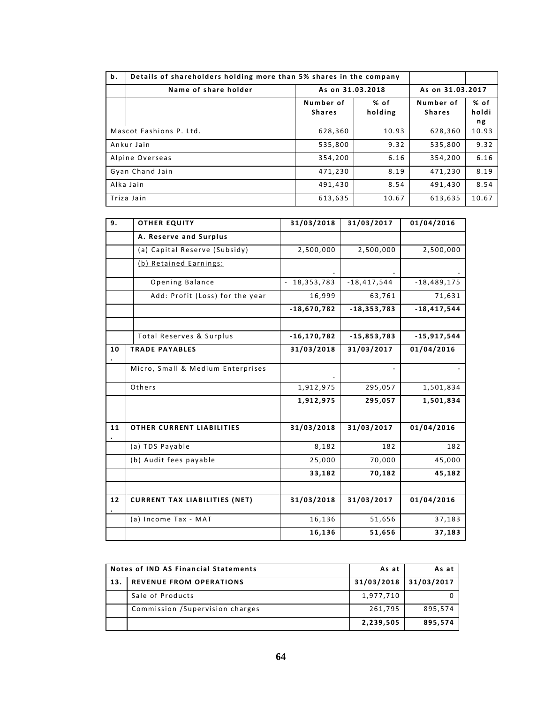| b.                      | Details of shareholders holding more than 5% shares in the company |                            |                  |                            |                     |
|-------------------------|--------------------------------------------------------------------|----------------------------|------------------|----------------------------|---------------------|
|                         | Name of share holder                                               |                            | As on 31.03.2018 |                            | As on 31.03.2017    |
|                         |                                                                    | Number of<br><b>Shares</b> | % of<br>holding  | Number of<br><b>Shares</b> | % of<br>holdi<br>ng |
| Mascot Fashions P. Ltd. |                                                                    | 628,360                    | 10.93            | 628.360                    | 10.93               |
| Ankur Jain              |                                                                    | 535,800                    | 9.32             | 535,800                    | 9.32                |
| Alpine Overseas         |                                                                    | 354,200                    | 6.16             | 354,200                    | 6.16                |
| Gyan Chand Jain         |                                                                    | 471,230                    | 8.19             | 471,230                    | 8.19                |
| Alka Jain               |                                                                    | 491,430                    | 8.54             | 491,430                    | 8.54                |
| Triza Jain              |                                                                    | 613,635                    | 10.67            | 613,635                    | 10.67               |

| 9. | <b>OTHER EQUITY</b>                  | 31/03/2018      | 31/03/2017      | 01/04/2016      |
|----|--------------------------------------|-----------------|-----------------|-----------------|
|    | A. Reserve and Surplus               |                 |                 |                 |
|    | (a) Capital Reserve (Subsidy)        | 2,500,000       | 2,500,000       | 2,500,000       |
|    | (b) Retained Earnings:               |                 |                 |                 |
|    | Opening Balance                      | 18,353,783      | $-18,417,544$   | $-18,489,175$   |
|    | Add: Profit (Loss) for the year      | 16,999          | 63,761          | 71,631          |
|    |                                      | $-18,670,782$   | $-18, 353, 783$ | $-18, 417, 544$ |
|    |                                      |                 |                 |                 |
|    | Total Reserves & Surplus             | $-16, 170, 782$ | $-15,853,783$   | $-15,917,544$   |
| 10 | <b>TRADE PAYABLES</b>                | 31/03/2018      | 31/03/2017      | 01/04/2016      |
|    | Micro, Small & Medium Enterprises    |                 |                 |                 |
|    | Others                               | 1,912,975       | 295,057         | 1,501,834       |
|    |                                      | 1,912,975       | 295,057         | 1,501,834       |
|    |                                      |                 |                 |                 |
| 11 | OTHER CURRENT LIABILITIES            | 31/03/2018      | 31/03/2017      | 01/04/2016      |
|    | (a) TDS Payable                      | 8,182           | 182             | 182             |
|    | (b) Audit fees payable               | 25,000          | 70,000          | 45,000          |
|    |                                      | 33,182          | 70,182          | 45,182          |
|    |                                      |                 |                 |                 |
| 12 | <b>CURRENT TAX LIABILITIES (NET)</b> | 31/03/2018      | 31/03/2017      | 01/04/2016      |
|    | (a) Income Tax - MAT                 | 16,136          | 51,656          | 37,183          |
|    |                                      | 16,136          | 51,656          | 37,183          |

| Notes of IND AS Financial Statements |                                  | As at      | As at      |
|--------------------------------------|----------------------------------|------------|------------|
| 13.                                  | <b>REVENUE FROM OPERATIONS</b>   | 31/03/2018 | 31/03/2017 |
|                                      | Sale of Products                 | 1,977,710  |            |
|                                      | Commission / Supervision charges | 261,795    | 895.574    |
|                                      |                                  | 2,239,505  | 895,574    |